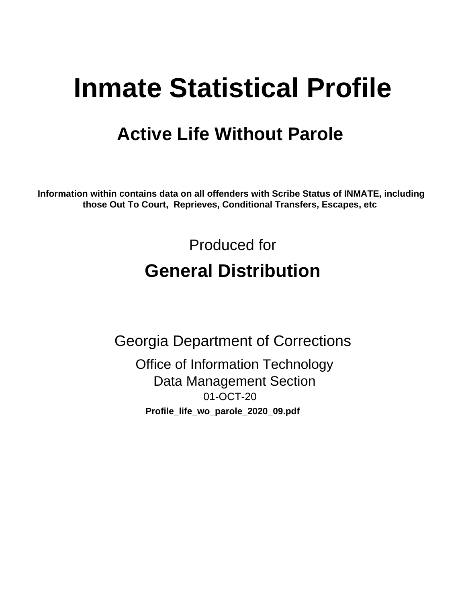# **Inmate Statistical Profile**

## **Active Life Without Parole**

Information within contains data on all offenders with Scribe Status of INMATE, including those Out To Court, Reprieves, Conditional Transfers, Escapes, etc

> Produced for **General Distribution**

**Georgia Department of Corrections Office of Information Technology Data Management Section** 01-OCT-20 Profile\_life\_wo\_parole\_2020\_09.pdf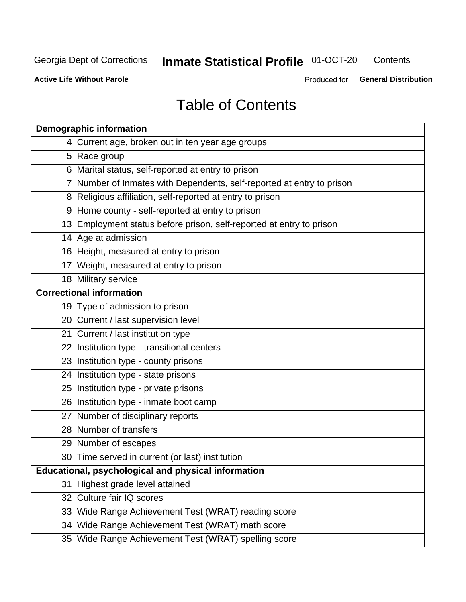#### **Inmate Statistical Profile 01-OCT-20** Contents

**Active Life Without Parole** 

Produced for General Distribution

## **Table of Contents**

|    | <b>Demographic information</b>                                        |
|----|-----------------------------------------------------------------------|
|    | 4 Current age, broken out in ten year age groups                      |
|    | 5 Race group                                                          |
|    | 6 Marital status, self-reported at entry to prison                    |
|    | 7 Number of Inmates with Dependents, self-reported at entry to prison |
|    | 8 Religious affiliation, self-reported at entry to prison             |
|    | 9 Home county - self-reported at entry to prison                      |
|    | 13 Employment status before prison, self-reported at entry to prison  |
|    | 14 Age at admission                                                   |
|    | 16 Height, measured at entry to prison                                |
|    | 17 Weight, measured at entry to prison                                |
|    | 18 Military service                                                   |
|    | <b>Correctional information</b>                                       |
|    | 19 Type of admission to prison                                        |
|    | 20 Current / last supervision level                                   |
|    | 21 Current / last institution type                                    |
|    | 22 Institution type - transitional centers                            |
|    | 23 Institution type - county prisons                                  |
|    | 24 Institution type - state prisons                                   |
|    | 25 Institution type - private prisons                                 |
|    | 26 Institution type - inmate boot camp                                |
|    | 27 Number of disciplinary reports                                     |
|    | 28 Number of transfers                                                |
|    | 29 Number of escapes                                                  |
|    | 30 Time served in current (or last) institution                       |
|    | Educational, psychological and physical information                   |
| 31 | Highest grade level attained                                          |
|    | 32 Culture fair IQ scores                                             |
|    | 33 Wide Range Achievement Test (WRAT) reading score                   |
|    | 34 Wide Range Achievement Test (WRAT) math score                      |
|    | 35 Wide Range Achievement Test (WRAT) spelling score                  |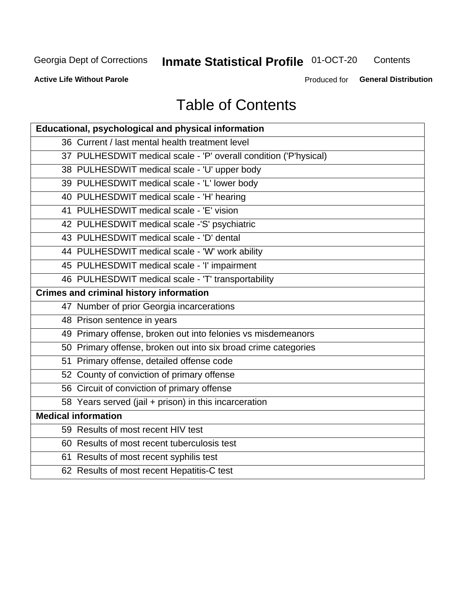## **Inmate Statistical Profile 01-OCT-20**

Contents

**Active Life Without Parole** 

Produced for General Distribution

## **Table of Contents**

| <b>Educational, psychological and physical information</b>       |
|------------------------------------------------------------------|
| 36 Current / last mental health treatment level                  |
| 37 PULHESDWIT medical scale - 'P' overall condition ('P'hysical) |
| 38 PULHESDWIT medical scale - 'U' upper body                     |
| 39 PULHESDWIT medical scale - 'L' lower body                     |
| 40 PULHESDWIT medical scale - 'H' hearing                        |
| 41 PULHESDWIT medical scale - 'E' vision                         |
| 42 PULHESDWIT medical scale -'S' psychiatric                     |
| 43 PULHESDWIT medical scale - 'D' dental                         |
| 44 PULHESDWIT medical scale - 'W' work ability                   |
| 45 PULHESDWIT medical scale - 'I' impairment                     |
| 46 PULHESDWIT medical scale - 'T' transportability               |
| <b>Crimes and criminal history information</b>                   |
| 47 Number of prior Georgia incarcerations                        |
| 48 Prison sentence in years                                      |
| 49 Primary offense, broken out into felonies vs misdemeanors     |
| 50 Primary offense, broken out into six broad crime categories   |
| 51 Primary offense, detailed offense code                        |
| 52 County of conviction of primary offense                       |
| 56 Circuit of conviction of primary offense                      |
| 58 Years served (jail + prison) in this incarceration            |
| <b>Medical information</b>                                       |
| 59 Results of most recent HIV test                               |
| 60 Results of most recent tuberculosis test                      |
| 61 Results of most recent syphilis test                          |
| 62 Results of most recent Hepatitis-C test                       |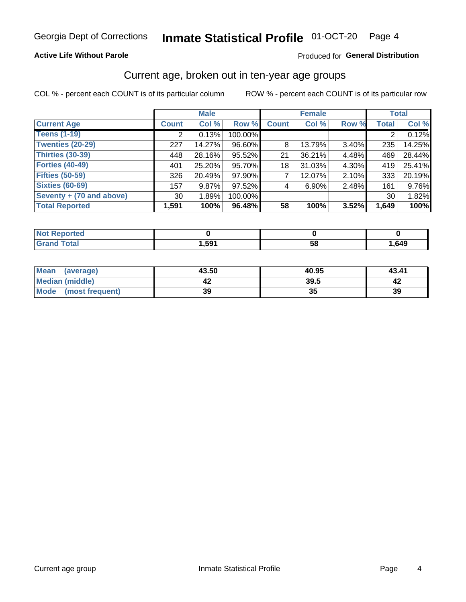#### **Active Life Without Parole**

#### Produced for General Distribution

## Current age, broken out in ten-year age groups

COL % - percent each COUNT is of its particular column

|                          |              | <b>Male</b> |         |              | <b>Female</b> |          |              | <b>Total</b> |
|--------------------------|--------------|-------------|---------|--------------|---------------|----------|--------------|--------------|
| <b>Current Age</b>       | <b>Count</b> | Col %       | Row %   | <b>Count</b> | Col %         | Row %    | <b>Total</b> | Col %        |
| <b>Teens (1-19)</b>      |              | 0.13%       | 100.00% |              |               |          |              | 0.12%        |
| <b>Twenties (20-29)</b>  | 227          | 14.27%      | 96.60%  | 8            | 13.79%        | $3.40\%$ | 235          | 14.25%       |
| Thirties (30-39)         | 448          | 28.16%      | 95.52%  | 21           | 36.21%        | 4.48%    | 469          | 28.44%       |
| <b>Forties (40-49)</b>   | 401          | 25.20%      | 95.70%  | 18           | 31.03%        | 4.30%    | 419          | 25.41%       |
| <b>Fifties (50-59)</b>   | 326          | 20.49%      | 97.90%  |              | 12.07%        | $2.10\%$ | 333          | 20.19%       |
| <b>Sixties (60-69)</b>   | 157          | 9.87%       | 97.52%  | 4            | $6.90\%$      | 2.48%    | 161          | 9.76%        |
| Seventy + (70 and above) | 30           | 1.89%       | 100.00% |              |               |          | 30           | 1.82%        |
| <b>Total Reported</b>    | 1,591        | 100%        | 96.48%  | 58           | 100%          | 3.52%    | 1,649        | 100%         |

| <b>Continued and</b><br>N<br>тек |      |          |      |
|----------------------------------|------|----------|------|
| $f \wedge f \wedge f$            | ,591 | co<br>วด | ,649 |

| Mean<br>(average)      | 43.50 | 40.95 | 43.41 |
|------------------------|-------|-------|-------|
| <b>Median (middle)</b> |       | 39.5  |       |
| Mode (most frequent)   | 39    | JJ    | 39    |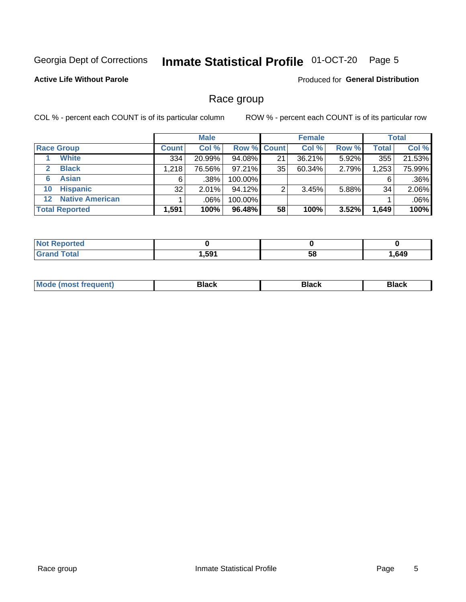#### Inmate Statistical Profile 01-OCT-20 Page 5

#### **Active Life Without Parole**

Produced for General Distribution

### Race group

COL % - percent each COUNT is of its particular column

|                       |                        |              | <b>Male</b> |           |                    | <b>Female</b> |       |       | <b>Total</b> |
|-----------------------|------------------------|--------------|-------------|-----------|--------------------|---------------|-------|-------|--------------|
|                       | <b>Race Group</b>      | <b>Count</b> | Col %       |           | <b>Row % Count</b> | Col %         | Row % | Total | Col %        |
|                       | <b>White</b>           | 334          | 20.99%      | 94.08%    | 21                 | 36.21%        | 5.92% | 355   | 21.53%       |
| $\mathbf{2}$          | <b>Black</b>           | 1,218        | 76.56%      | $97.21\%$ | 35                 | 60.34%        | 2.79% | 1,253 | 75.99%       |
| 6                     | <b>Asian</b>           | 6            | .38%        | 100.00%   |                    |               |       | 6     | .36%         |
| 10                    | <b>Hispanic</b>        | 32           | 2.01%       | 94.12%    | ◠                  | 3.45%         | 5.88% | 34    | 2.06%        |
| $12 \,$               | <b>Native American</b> |              | .06%        | 100.00%   |                    |               |       |       | .06%         |
| <b>Total Reported</b> |                        | 1,591        | 100%        | 96.48%    | 58                 | 100%          | 3.52% | 1,649 | 100%         |

| neo         |      |    |      |
|-------------|------|----|------|
| $f = 4 - 7$ | .591 | 58 | ,649 |

| –•••• |  | M |  |  |  |
|-------|--|---|--|--|--|
|-------|--|---|--|--|--|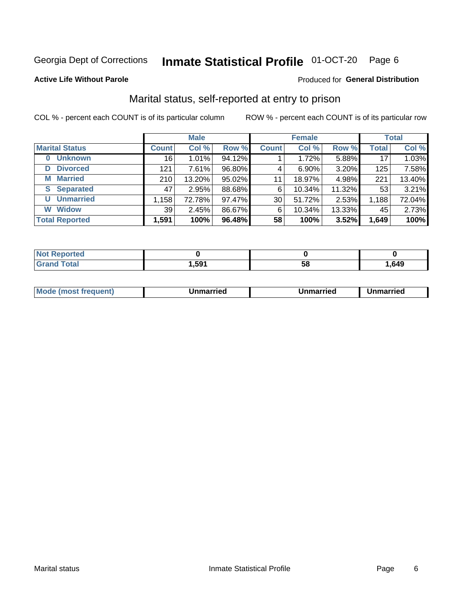#### Inmate Statistical Profile 01-OCT-20 Page 6

#### **Active Life Without Parole**

#### **Produced for General Distribution**

## Marital status, self-reported at entry to prison

COL % - percent each COUNT is of its particular column

|                            | <b>Male</b>  |        |        |              | <b>Female</b> | <b>Total</b> |              |        |
|----------------------------|--------------|--------|--------|--------------|---------------|--------------|--------------|--------|
| <b>Marital Status</b>      | <b>Count</b> | Col %  | Row %  | <b>Count</b> | Col %         | Row %        | <b>Total</b> | Col %  |
| <b>Unknown</b><br>$\bf{0}$ | 16           | 1.01%  | 94.12% |              | 1.72%         | 5.88%        | 17           | 1.03%  |
| <b>Divorced</b><br>D       | 121          | 7.61%  | 96.80% | 4            | $6.90\%$      | 3.20%        | 125          | 7.58%  |
| <b>Married</b><br>М        | 210          | 13.20% | 95.02% | 11           | 18.97%        | 4.98%        | 221          | 13.40% |
| <b>Separated</b><br>S.     | 47           | 2.95%  | 88.68% | 6            | 10.34%        | 11.32%       | 53           | 3.21%  |
| <b>Unmarried</b><br>U      | 1,158        | 72.78% | 97.47% | 30           | 51.72%        | 2.53%        | 1,188        | 72.04% |
| <b>Widow</b><br>W          | 39           | 2.45%  | 86.67% | 6            | 10.34%        | 13.33%       | 45           | 2.73%  |
| <b>Total Reported</b>      | 1,591        | 100%   | 96.48% | 58           | 100%          | 3.52%        | 1,649        | 100%   |

| prtea<br>NOT |      |    |      |
|--------------|------|----|------|
| <b>Total</b> | ,591 | ວດ | ,649 |

|  | M | . | Unmarried | າmarried<br>_____ |
|--|---|---|-----------|-------------------|
|--|---|---|-----------|-------------------|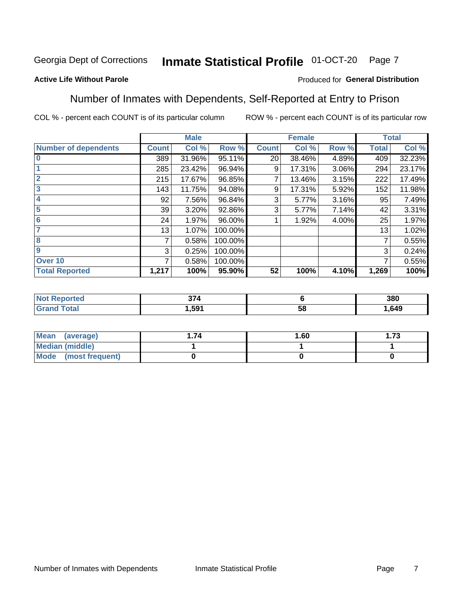#### Inmate Statistical Profile 01-OCT-20 Page 7

#### **Active Life Without Parole**

#### Produced for General Distribution

### Number of Inmates with Dependents, Self-Reported at Entry to Prison

COL % - percent each COUNT is of its particular column

|                             |                 | <b>Male</b> |         |              | <b>Female</b> |       |              | <b>Total</b> |
|-----------------------------|-----------------|-------------|---------|--------------|---------------|-------|--------------|--------------|
| <b>Number of dependents</b> | <b>Count</b>    | Col %       | Row %   | <b>Count</b> | Col %         | Row % | <b>Total</b> | Col %        |
| $\bf{0}$                    | 389             | 31.96%      | 95.11%  | 20           | 38.46%        | 4.89% | 409          | 32.23%       |
|                             | 285             | 23.42%      | 96.94%  | 9            | 17.31%        | 3.06% | 294          | 23.17%       |
| $\overline{2}$              | 215             | 17.67%      | 96.85%  |              | 13.46%        | 3.15% | 222          | 17.49%       |
| 3                           | 143             | 11.75%      | 94.08%  | 9            | 17.31%        | 5.92% | 152          | 11.98%       |
| 4                           | 92              | 7.56%       | 96.84%  | 3            | 5.77%         | 3.16% | 95           | 7.49%        |
| 5                           | 39 <sub>1</sub> | 3.20%       | 92.86%  | 3            | 5.77%         | 7.14% | 42           | 3.31%        |
| 6                           | 24              | 1.97%       | 96.00%  |              | 1.92%         | 4.00% | 25           | 1.97%        |
| 7                           | 13              | 1.07%       | 100.00% |              |               |       | 13           | 1.02%        |
| 8                           | 7               | 0.58%       | 100.00% |              |               |       | 7            | 0.55%        |
| $\boldsymbol{9}$            | 3               | 0.25%       | 100.00% |              |               |       | 3            | 0.24%        |
| Over <sub>10</sub>          | 7               | 0.58%       | 100.00% |              |               |       | 7            | 0.55%        |
| <b>Total Reported</b>       | 1,217           | 100%        | 95.90%  | 52           | 100%          | 4.10% | 1,269        | 100%         |

| $\sim$<br>$\sim$ |          | 380  |
|------------------|----------|------|
| .591             | . .<br>◡ | .649 |

| <b>Mean</b><br>(average) | 1.60 | - 72<br>I. I J |
|--------------------------|------|----------------|
| Median (middle)          |      |                |
| Mode<br>(most frequent)  |      |                |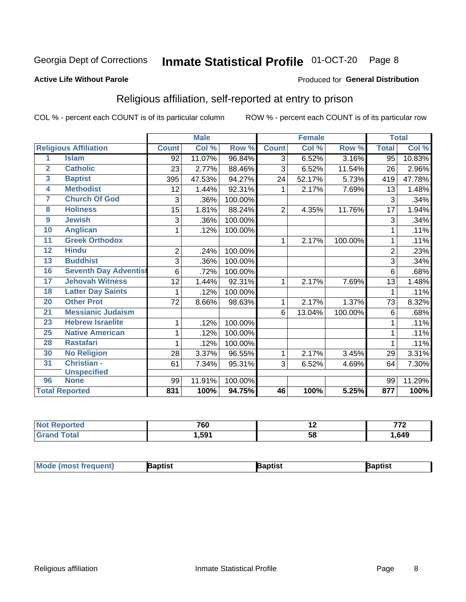#### Inmate Statistical Profile 01-OCT-20 Page 8

#### **Active Life Without Parole**

#### Produced for General Distribution

## Religious affiliation, self-reported at entry to prison

COL % - percent each COUNT is of its particular column

|                         |                              |                | <b>Male</b> |         |                | <b>Female</b> |         | <b>Total</b>   |        |
|-------------------------|------------------------------|----------------|-------------|---------|----------------|---------------|---------|----------------|--------|
|                         | <b>Religious Affiliation</b> | <b>Count</b>   | Col %       | Row %   | <b>Count</b>   | Col %         | Row %   | <b>Total</b>   | Col %  |
| 1                       | <b>Islam</b>                 | 92             | 11.07%      | 96.84%  | 3              | 6.52%         | 3.16%   | 95             | 10.83% |
| $\overline{2}$          | <b>Catholic</b>              | 23             | 2.77%       | 88.46%  | 3              | 6.52%         | 11.54%  | 26             | 2.96%  |
| $\overline{\mathbf{3}}$ | <b>Baptist</b>               | 395            | 47.53%      | 94.27%  | 24             | 52.17%        | 5.73%   | 419            | 47.78% |
| 4                       | <b>Methodist</b>             | 12             | 1.44%       | 92.31%  | 1              | 2.17%         | 7.69%   | 13             | 1.48%  |
| 7                       | <b>Church Of God</b>         | 3              | .36%        | 100.00% |                |               |         | 3              | .34%   |
| 8                       | <b>Holiness</b>              | 15             | 1.81%       | 88.24%  | $\overline{2}$ | 4.35%         | 11.76%  | 17             | 1.94%  |
| $\overline{9}$          | <b>Jewish</b>                | 3              | .36%        | 100.00% |                |               |         | 3              | .34%   |
| 10                      | <b>Anglican</b>              | 1              | .12%        | 100.00% |                |               |         | 1              | .11%   |
| 11                      | <b>Greek Orthodox</b>        |                |             |         | 1              | 2.17%         | 100.00% |                | .11%   |
| 12                      | <b>Hindu</b>                 | $\overline{2}$ | .24%        | 100.00% |                |               |         | $\overline{2}$ | .23%   |
| 13                      | <b>Buddhist</b>              | 3              | .36%        | 100.00% |                |               |         | 3              | .34%   |
| 16                      | <b>Seventh Day Adventist</b> | 6              | .72%        | 100.00% |                |               |         | 6              | .68%   |
| $\overline{17}$         | <b>Jehovah Witness</b>       | 12             | 1.44%       | 92.31%  | 1              | 2.17%         | 7.69%   | 13             | 1.48%  |
| 18                      | <b>Latter Day Saints</b>     | 1              | .12%        | 100.00% |                |               |         |                | .11%   |
| 20                      | <b>Other Prot</b>            | 72             | 8.66%       | 98.63%  | 1              | 2.17%         | 1.37%   | 73             | 8.32%  |
| $\overline{21}$         | <b>Messianic Judaism</b>     |                |             |         | 6              | 13.04%        | 100.00% | 6              | .68%   |
| 23                      | <b>Hebrew Israelite</b>      | 1              | .12%        | 100.00% |                |               |         |                | .11%   |
| 25                      | <b>Native American</b>       | 1              | .12%        | 100.00% |                |               |         |                | .11%   |
| 28                      | <b>Rastafari</b>             | 1              | .12%        | 100.00% |                |               |         | 1              | .11%   |
| 30                      | <b>No Religion</b>           | 28             | 3.37%       | 96.55%  | 1              | 2.17%         | 3.45%   | 29             | 3.31%  |
| 31                      | Christian -                  | 61             | 7.34%       | 95.31%  | 3              | 6.52%         | 4.69%   | 64             | 7.30%  |
|                         | <b>Unspecified</b>           |                |             |         |                |               |         |                |        |
| 96                      | <b>None</b>                  | 99             | 11.91%      | 100.00% |                |               |         | 99             | 11.29% |
|                         | <b>Total Reported</b>        | 831            | 100%        | 94.75%  | 46             | 100%          | 5.25%   | 877            | 100%   |

| . . | 700<br>טס י |           | 770<br><u>.</u> |
|-----|-------------|-----------|-----------------|
|     | .591        | 5Е<br>ິບເ | .649            |

| Mode (most frequ<br>aptist<br>Nuent) | ˈaɒtist | ʿaptis |
|--------------------------------------|---------|--------|
|--------------------------------------|---------|--------|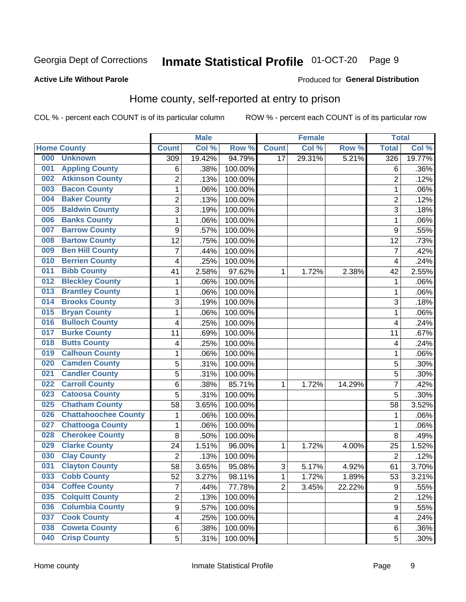#### Inmate Statistical Profile 01-OCT-20 Page 9

#### **Active Life Without Parole**

#### Produced for General Distribution

## Home county, self-reported at entry to prison

COL % - percent each COUNT is of its particular column

|     |                             |                         | <b>Male</b> |         |                | <b>Female</b> |        | <b>Total</b>            |        |
|-----|-----------------------------|-------------------------|-------------|---------|----------------|---------------|--------|-------------------------|--------|
|     | <b>Home County</b>          | <b>Count</b>            | Col %       | Row %   | <b>Count</b>   | Col %         | Row %  | <b>Total</b>            | Col %  |
| 000 | <b>Unknown</b>              | 309                     | 19.42%      | 94.79%  | 17             | 29.31%        | 5.21%  | 326                     | 19.77% |
| 001 | <b>Appling County</b>       | 6                       | .38%        | 100.00% |                |               |        | 6                       | .36%   |
| 002 | <b>Atkinson County</b>      | $\overline{2}$          | .13%        | 100.00% |                |               |        | $\overline{2}$          | .12%   |
| 003 | <b>Bacon County</b>         | $\mathbf 1$             | .06%        | 100.00% |                |               |        | 1                       | .06%   |
| 004 | <b>Baker County</b>         | $\overline{2}$          | .13%        | 100.00% |                |               |        | $\overline{2}$          | .12%   |
| 005 | <b>Baldwin County</b>       | 3                       | .19%        | 100.00% |                |               |        | 3                       | .18%   |
| 006 | <b>Banks County</b>         | $\mathbf{1}$            | .06%        | 100.00% |                |               |        | 1                       | .06%   |
| 007 | <b>Barrow County</b>        | 9                       | .57%        | 100.00% |                |               |        | 9                       | .55%   |
| 008 | <b>Bartow County</b>        | 12                      | .75%        | 100.00% |                |               |        | 12                      | .73%   |
| 009 | <b>Ben Hill County</b>      | 7                       | .44%        | 100.00% |                |               |        | $\overline{7}$          | .42%   |
| 010 | <b>Berrien County</b>       | 4                       | .25%        | 100.00% |                |               |        | $\overline{\mathbf{4}}$ | .24%   |
| 011 | <b>Bibb County</b>          | 41                      | 2.58%       | 97.62%  | 1              | 1.72%         | 2.38%  | 42                      | 2.55%  |
| 012 | <b>Bleckley County</b>      | 1                       | .06%        | 100.00% |                |               |        | 1                       | .06%   |
| 013 | <b>Brantley County</b>      | $\mathbf 1$             | .06%        | 100.00% |                |               |        | 1                       | .06%   |
| 014 | <b>Brooks County</b>        | 3                       | .19%        | 100.00% |                |               |        | 3                       | .18%   |
| 015 | <b>Bryan County</b>         | $\mathbf 1$             | .06%        | 100.00% |                |               |        | 1                       | .06%   |
| 016 | <b>Bulloch County</b>       | 4                       | .25%        | 100.00% |                |               |        | $\overline{4}$          | .24%   |
| 017 | <b>Burke County</b>         | 11                      | .69%        | 100.00% |                |               |        | 11                      | .67%   |
| 018 | <b>Butts County</b>         | 4                       | .25%        | 100.00% |                |               |        | 4                       | .24%   |
| 019 | <b>Calhoun County</b>       | $\mathbf 1$             | .06%        | 100.00% |                |               |        | 1                       | .06%   |
| 020 | <b>Camden County</b>        | 5                       | .31%        | 100.00% |                |               |        | 5                       | .30%   |
| 021 | <b>Candler County</b>       | 5                       | .31%        | 100.00% |                |               |        | 5                       | .30%   |
| 022 | <b>Carroll County</b>       | 6                       | .38%        | 85.71%  | 1              | 1.72%         | 14.29% | 7                       | .42%   |
| 023 | <b>Catoosa County</b>       | 5                       | .31%        | 100.00% |                |               |        | 5                       | .30%   |
| 025 | <b>Chatham County</b>       | 58                      | 3.65%       | 100.00% |                |               |        | 58                      | 3.52%  |
| 026 | <b>Chattahoochee County</b> | $\mathbf 1$             | .06%        | 100.00% |                |               |        | 1                       | .06%   |
| 027 | <b>Chattooga County</b>     | $\mathbf 1$             | .06%        | 100.00% |                |               |        | 1                       | .06%   |
| 028 | <b>Cherokee County</b>      | 8                       | .50%        | 100.00% |                |               |        | 8                       | .49%   |
| 029 | <b>Clarke County</b>        | 24                      | 1.51%       | 96.00%  | 1              | 1.72%         | 4.00%  | 25                      | 1.52%  |
| 030 | <b>Clay County</b>          | $\overline{2}$          | .13%        | 100.00% |                |               |        | $\overline{2}$          | .12%   |
| 031 | <b>Clayton County</b>       | 58                      | 3.65%       | 95.08%  | $\mathsf 3$    | 5.17%         | 4.92%  | 61                      | 3.70%  |
| 033 | <b>Cobb County</b>          | 52                      | 3.27%       | 98.11%  | 1              | 1.72%         | 1.89%  | 53                      | 3.21%  |
| 034 | <b>Coffee County</b>        | $\overline{7}$          | .44%        | 77.78%  | $\overline{2}$ | 3.45%         | 22.22% | $\boldsymbol{9}$        | .55%   |
| 035 | <b>Colquitt County</b>      | $\overline{2}$          | .13%        | 100.00% |                |               |        | $\overline{2}$          | .12%   |
| 036 | <b>Columbia County</b>      | $\overline{9}$          | .57%        | 100.00% |                |               |        | $\boldsymbol{9}$        | .55%   |
| 037 | <b>Cook County</b>          | $\overline{\mathbf{4}}$ | .25%        | 100.00% |                |               |        | 4                       | .24%   |
| 038 | <b>Coweta County</b>        | 6                       | .38%        | 100.00% |                |               |        | 6                       | .36%   |
| 040 | <b>Crisp County</b>         | 5                       | .31%        | 100.00% |                |               |        | 5                       | .30%   |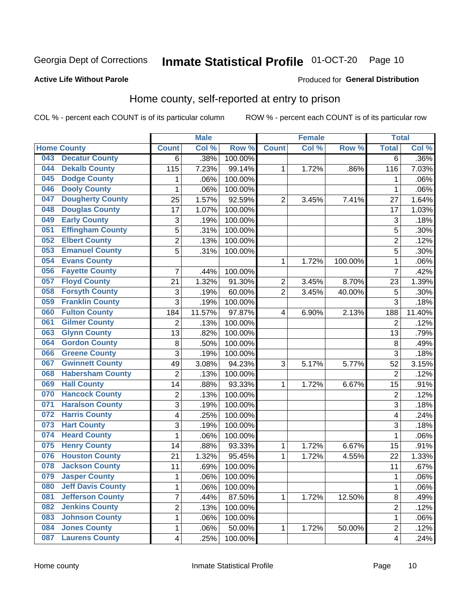#### Inmate Statistical Profile 01-OCT-20 Page 10

#### **Active Life Without Parole**

#### **Produced for General Distribution**

## Home county, self-reported at entry to prison

COL % - percent each COUNT is of its particular column

|     |                          |                         | <b>Male</b> |         |                | <b>Female</b>       |         | <b>Total</b>            |        |
|-----|--------------------------|-------------------------|-------------|---------|----------------|---------------------|---------|-------------------------|--------|
|     | <b>Home County</b>       | <b>Count</b>            | Col %       | Row %   | <b>Count</b>   | Col %               | Row %   | <b>Total</b>            | Col %  |
| 043 | <b>Decatur County</b>    | 6                       | .38%        | 100.00% |                |                     |         | 6                       | .36%   |
| 044 | <b>Dekalb County</b>     | 115                     | 7.23%       | 99.14%  | 1              | $\overline{1.72\%}$ | .86%    | 116                     | 7.03%  |
| 045 | <b>Dodge County</b>      | 1                       | .06%        | 100.00% |                |                     |         | 1                       | .06%   |
| 046 | <b>Dooly County</b>      | 1                       | .06%        | 100.00% |                |                     |         | 1                       | .06%   |
| 047 | <b>Dougherty County</b>  | 25                      | 1.57%       | 92.59%  | $\overline{2}$ | 3.45%               | 7.41%   | 27                      | 1.64%  |
| 048 | <b>Douglas County</b>    | 17                      | 1.07%       | 100.00% |                |                     |         | 17                      | 1.03%  |
| 049 | <b>Early County</b>      | 3                       | .19%        | 100.00% |                |                     |         | 3                       | .18%   |
| 051 | <b>Effingham County</b>  | 5                       | .31%        | 100.00% |                |                     |         | 5                       | .30%   |
| 052 | <b>Elbert County</b>     | $\overline{2}$          | .13%        | 100.00% |                |                     |         | $\overline{2}$          | .12%   |
| 053 | <b>Emanuel County</b>    | 5                       | .31%        | 100.00% |                |                     |         | 5                       | .30%   |
| 054 | <b>Evans County</b>      |                         |             |         | 1              | 1.72%               | 100.00% | 1                       | .06%   |
| 056 | <b>Fayette County</b>    | 7                       | .44%        | 100.00% |                |                     |         | $\overline{7}$          | .42%   |
| 057 | <b>Floyd County</b>      | 21                      | 1.32%       | 91.30%  | $\overline{2}$ | 3.45%               | 8.70%   | 23                      | 1.39%  |
| 058 | <b>Forsyth County</b>    | 3                       | .19%        | 60.00%  | $\overline{2}$ | 3.45%               | 40.00%  | 5                       | .30%   |
| 059 | <b>Franklin County</b>   | 3                       | .19%        | 100.00% |                |                     |         | 3                       | .18%   |
| 060 | <b>Fulton County</b>     | 184                     | 11.57%      | 97.87%  | 4              | 6.90%               | 2.13%   | 188                     | 11.40% |
| 061 | <b>Gilmer County</b>     | $\overline{2}$          | .13%        | 100.00% |                |                     |         | $\overline{2}$          | .12%   |
| 063 | <b>Glynn County</b>      | 13                      | .82%        | 100.00% |                |                     |         | 13                      | .79%   |
| 064 | <b>Gordon County</b>     | 8                       | .50%        | 100.00% |                |                     |         | 8                       | .49%   |
| 066 | <b>Greene County</b>     | 3                       | .19%        | 100.00% |                |                     |         | 3                       | .18%   |
| 067 | <b>Gwinnett County</b>   | 49                      | 3.08%       | 94.23%  | 3              | 5.17%               | 5.77%   | 52                      | 3.15%  |
| 068 | <b>Habersham County</b>  | $\overline{2}$          | .13%        | 100.00% |                |                     |         | $\overline{2}$          | .12%   |
| 069 | <b>Hall County</b>       | 14                      | .88%        | 93.33%  | 1              | 1.72%               | 6.67%   | 15                      | .91%   |
| 070 | <b>Hancock County</b>    | 2                       | .13%        | 100.00% |                |                     |         | $\overline{2}$          | .12%   |
| 071 | <b>Haralson County</b>   | 3                       | .19%        | 100.00% |                |                     |         | 3                       | .18%   |
| 072 | <b>Harris County</b>     | 4                       | .25%        | 100.00% |                |                     |         | $\overline{\mathbf{4}}$ | .24%   |
| 073 | <b>Hart County</b>       | 3                       | .19%        | 100.00% |                |                     |         | 3                       | .18%   |
| 074 | <b>Heard County</b>      | 1                       | .06%        | 100.00% |                |                     |         | 1                       | .06%   |
| 075 | <b>Henry County</b>      | 14                      | .88%        | 93.33%  | 1              | 1.72%               | 6.67%   | 15                      | .91%   |
| 076 | <b>Houston County</b>    | 21                      | 1.32%       | 95.45%  | 1              | 1.72%               | 4.55%   | 22                      | 1.33%  |
| 078 | <b>Jackson County</b>    | 11                      | .69%        | 100.00% |                |                     |         | 11                      | .67%   |
| 079 | <b>Jasper County</b>     | 1                       | .06%        | 100.00% |                |                     |         | 1                       | .06%   |
| 080 | <b>Jeff Davis County</b> | $\mathbf{1}$            | .06%        | 100.00% |                |                     |         | 1                       | .06%   |
| 081 | <b>Jefferson County</b>  | $\overline{7}$          | .44%        | 87.50%  | 1              | 1.72%               | 12.50%  | 8                       | .49%   |
| 082 | <b>Jenkins County</b>    | $\overline{2}$          | .13%        | 100.00% |                |                     |         | $\overline{2}$          | .12%   |
| 083 | <b>Johnson County</b>    | $\mathbf{1}$            | .06%        | 100.00% |                |                     |         | 1                       | .06%   |
| 084 | <b>Jones County</b>      | $\mathbf{1}$            | .06%        | 50.00%  | 1              | 1.72%               | 50.00%  | $\overline{2}$          | .12%   |
| 087 | <b>Laurens County</b>    | $\overline{\mathbf{4}}$ | .25%        | 100.00% |                |                     |         | $\overline{\mathbf{4}}$ | .24%   |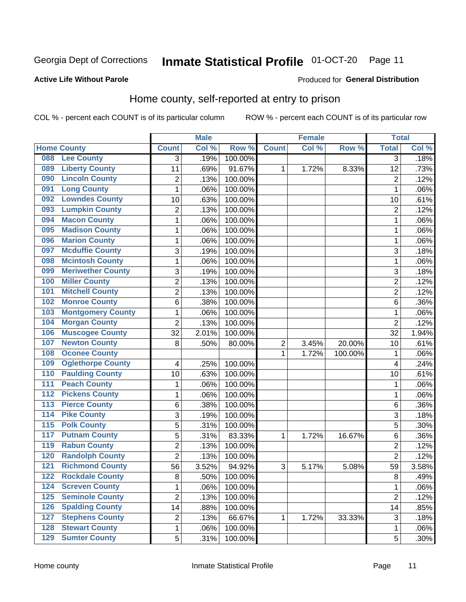## Inmate Statistical Profile 01-OCT-20 Page 11

#### **Active Life Without Parole**

#### Produced for General Distribution

## Home county, self-reported at entry to prison

COL % - percent each COUNT is of its particular column

|                  |                          |                         | <b>Male</b> |         |              | <b>Female</b> |         | <b>Total</b>   |       |
|------------------|--------------------------|-------------------------|-------------|---------|--------------|---------------|---------|----------------|-------|
|                  | <b>Home County</b>       | <b>Count</b>            | Col %       | Row %   | <b>Count</b> | Col%          | Row %   | <b>Total</b>   | Col % |
| 088              | <b>Lee County</b>        | 3                       | .19%        | 100.00% |              |               |         | 3              | .18%  |
| 089              | <b>Liberty County</b>    | 11                      | .69%        | 91.67%  | 1            | 1.72%         | 8.33%   | 12             | .73%  |
| 090              | <b>Lincoln County</b>    | $\overline{c}$          | .13%        | 100.00% |              |               |         | $\overline{c}$ | .12%  |
| 091              | <b>Long County</b>       | $\mathbf{1}$            | .06%        | 100.00% |              |               |         | 1              | .06%  |
| 092              | <b>Lowndes County</b>    | 10                      | .63%        | 100.00% |              |               |         | 10             | .61%  |
| 093              | <b>Lumpkin County</b>    | $\overline{2}$          | .13%        | 100.00% |              |               |         | $\overline{2}$ | .12%  |
| 094              | <b>Macon County</b>      | 1                       | .06%        | 100.00% |              |               |         | 1              | .06%  |
| 095              | <b>Madison County</b>    | $\mathbf{1}$            | .06%        | 100.00% |              |               |         | 1              | .06%  |
| 096              | <b>Marion County</b>     | $\mathbf{1}$            | .06%        | 100.00% |              |               |         | 1              | .06%  |
| 097              | <b>Mcduffie County</b>   | 3                       | .19%        | 100.00% |              |               |         | 3              | .18%  |
| 098              | <b>Mcintosh County</b>   | $\mathbf{1}$            | .06%        | 100.00% |              |               |         | 1              | .06%  |
| 099              | <b>Meriwether County</b> | $\sqrt{3}$              | .19%        | 100.00% |              |               |         | 3              | .18%  |
| 100              | <b>Miller County</b>     | $\overline{c}$          | .13%        | 100.00% |              |               |         | $\overline{c}$ | .12%  |
| 101              | <b>Mitchell County</b>   | $\overline{2}$          | .13%        | 100.00% |              |               |         | $\overline{2}$ | .12%  |
| 102              | <b>Monroe County</b>     | 6                       | .38%        | 100.00% |              |               |         | 6              | .36%  |
| 103              | <b>Montgomery County</b> | $\mathbf{1}$            | .06%        | 100.00% |              |               |         | 1              | .06%  |
| 104              | <b>Morgan County</b>     | $\overline{2}$          | .13%        | 100.00% |              |               |         | $\overline{2}$ | .12%  |
| 106              | <b>Muscogee County</b>   | 32                      | 2.01%       | 100.00% |              |               |         | 32             | 1.94% |
| 107              | <b>Newton County</b>     | 8                       | .50%        | 80.00%  | 2            | 3.45%         | 20.00%  | 10             | .61%  |
| 108              | <b>Oconee County</b>     |                         |             |         | 1            | 1.72%         | 100.00% | 1              | .06%  |
| 109              | <b>Oglethorpe County</b> | $\overline{\mathbf{4}}$ | .25%        | 100.00% |              |               |         | 4              | .24%  |
| 110              | <b>Paulding County</b>   | 10                      | .63%        | 100.00% |              |               |         | 10             | .61%  |
| 111              | <b>Peach County</b>      | $\mathbf 1$             | .06%        | 100.00% |              |               |         | 1              | .06%  |
| 112              | <b>Pickens County</b>    | $\mathbf{1}$            | .06%        | 100.00% |              |               |         | 1              | .06%  |
| 113              | <b>Pierce County</b>     | 6                       | .38%        | 100.00% |              |               |         | 6              | .36%  |
| 114              | <b>Pike County</b>       | 3                       | .19%        | 100.00% |              |               |         | 3              | .18%  |
| $\overline{115}$ | <b>Polk County</b>       | 5                       | .31%        | 100.00% |              |               |         | 5              | .30%  |
| 117              | <b>Putnam County</b>     | $\sqrt{5}$              | .31%        | 83.33%  | 1            | 1.72%         | 16.67%  | 6              | .36%  |
| 119              | <b>Rabun County</b>      | $\overline{2}$          | .13%        | 100.00% |              |               |         | $\overline{2}$ | .12%  |
| 120              | <b>Randolph County</b>   | $\overline{2}$          | .13%        | 100.00% |              |               |         | $\overline{2}$ | .12%  |
| 121              | <b>Richmond County</b>   | 56                      | 3.52%       | 94.92%  | 3            | 5.17%         | 5.08%   | 59             | 3.58% |
| 122              | <b>Rockdale County</b>   | 8                       | .50%        | 100.00% |              |               |         | 8              | .49%  |
| 124              | <b>Screven County</b>    | $\mathbf 1$             | .06%        | 100.00% |              |               |         | 1              | .06%  |
| 125              | <b>Seminole County</b>   | $\overline{2}$          | .13%        | 100.00% |              |               |         | $\overline{2}$ | .12%  |
| 126              | <b>Spalding County</b>   | 14                      | .88%        | 100.00% |              |               |         | 14             | .85%  |
| 127              | <b>Stephens County</b>   | $\overline{2}$          | .13%        | 66.67%  | 1            | 1.72%         | 33.33%  | 3              | .18%  |
| 128              | <b>Stewart County</b>    | $\mathbf 1$             | .06%        | 100.00% |              |               |         | 1              | .06%  |
| 129              | <b>Sumter County</b>     | 5                       | .31%        | 100.00% |              |               |         | 5              | .30%  |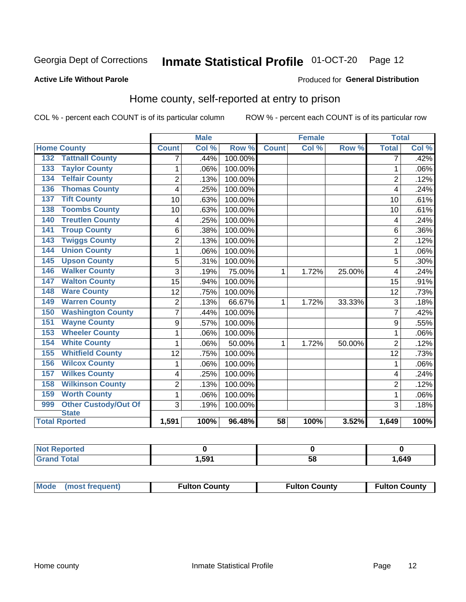## Inmate Statistical Profile 01-OCT-20 Page 12

#### **Active Life Without Parole**

#### Produced for General Distribution

### Home county, self-reported at entry to prison

COL % - percent each COUNT is of its particular column

|     |                                      |                | <b>Male</b> |         | <b>Female</b>   |       |        | <b>Total</b>   |      |
|-----|--------------------------------------|----------------|-------------|---------|-----------------|-------|--------|----------------|------|
|     | <b>Home County</b>                   | <b>Count</b>   | Col %       | Row %   | <b>Count</b>    | Col % | Row %  | <b>Total</b>   | Col% |
| 132 | <b>Tattnall County</b>               | 7              | .44%        | 100.00% |                 |       |        | 7              | .42% |
| 133 | <b>Taylor County</b>                 | 1              | .06%        | 100.00% |                 |       |        |                | .06% |
| 134 | <b>Telfair County</b>                | $\overline{2}$ | .13%        | 100.00% |                 |       |        | $\overline{2}$ | .12% |
| 136 | <b>Thomas County</b>                 | 4              | .25%        | 100.00% |                 |       |        | 4              | .24% |
| 137 | <b>Tift County</b>                   | 10             | .63%        | 100.00% |                 |       |        | 10             | .61% |
| 138 | <b>Toombs County</b>                 | 10             | .63%        | 100.00% |                 |       |        | 10             | .61% |
| 140 | <b>Treutlen County</b>               | 4              | .25%        | 100.00% |                 |       |        | 4              | .24% |
| 141 | <b>Troup County</b>                  | 6              | .38%        | 100.00% |                 |       |        | 6              | .36% |
| 143 | <b>Twiggs County</b>                 | $\overline{2}$ | .13%        | 100.00% |                 |       |        | $\overline{2}$ | .12% |
| 144 | <b>Union County</b>                  | 1              | .06%        | 100.00% |                 |       |        | 1              | .06% |
| 145 | <b>Upson County</b>                  | 5              | .31%        | 100.00% |                 |       |        | 5              | .30% |
| 146 | <b>Walker County</b>                 | 3              | .19%        | 75.00%  | 1               | 1.72% | 25.00% | 4              | .24% |
| 147 | <b>Walton County</b>                 | 15             | .94%        | 100.00% |                 |       |        | 15             | .91% |
| 148 | <b>Ware County</b>                   | 12             | .75%        | 100.00% |                 |       |        | 12             | .73% |
| 149 | <b>Warren County</b>                 | $\overline{2}$ | .13%        | 66.67%  | $\mathbf{1}$    | 1.72% | 33.33% | 3              | .18% |
| 150 | <b>Washington County</b>             | 7              | .44%        | 100.00% |                 |       |        | 7              | .42% |
| 151 | <b>Wayne County</b>                  | 9              | .57%        | 100.00% |                 |       |        | 9              | .55% |
| 153 | <b>Wheeler County</b>                | 1              | .06%        | 100.00% |                 |       |        | 1              | .06% |
| 154 | <b>White County</b>                  | 1              | .06%        | 50.00%  | 1               | 1.72% | 50.00% | $\overline{2}$ | .12% |
| 155 | <b>Whitfield County</b>              | 12             | .75%        | 100.00% |                 |       |        | 12             | .73% |
| 156 | <b>Wilcox County</b>                 | 1              | .06%        | 100.00% |                 |       |        | 1              | .06% |
| 157 | <b>Wilkes County</b>                 | 4              | .25%        | 100.00% |                 |       |        | 4              | .24% |
| 158 | <b>Wilkinson County</b>              | $\overline{2}$ | .13%        | 100.00% |                 |       |        | $\overline{2}$ | .12% |
| 159 | <b>Worth County</b>                  | $\mathbf{1}$   | .06%        | 100.00% |                 |       |        | 1              | .06% |
| 999 | Other Custody/Out Of                 | 3              | .19%        | 100.00% |                 |       |        | 3              | .18% |
|     | <b>State</b><br><b>Total Rported</b> | 1,591          | 100%        | 96.48%  | $\overline{58}$ | 100%  | 3.52%  | 1,649          | 100% |

| τeα<br>$\sim$ |      |    |      |
|---------------|------|----|------|
| _____         | .591 | ၁၀ | ,649 |

| Mode (most frequent) | <b>Fulton County</b> | <b>Fulton County</b> | <b>Fulton County</b> |
|----------------------|----------------------|----------------------|----------------------|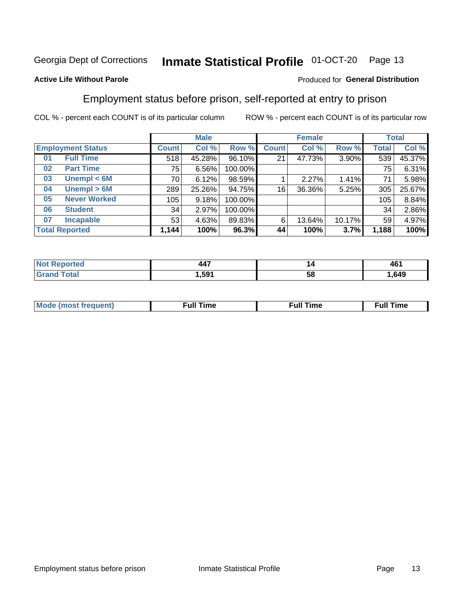#### Inmate Statistical Profile 01-OCT-20 Page 13

#### **Active Life Without Parole**

#### Produced for General Distribution

## Employment status before prison, self-reported at entry to prison

COL % - percent each COUNT is of its particular column

|                          |                     | <b>Male</b>  |        |         | <b>Female</b> |        |        | <b>Total</b> |        |
|--------------------------|---------------------|--------------|--------|---------|---------------|--------|--------|--------------|--------|
| <b>Employment Status</b> |                     | <b>Count</b> | Col %  | Row %   | <b>Count</b>  | Col %  | Row %  | Total        | Col %  |
| 01                       | <b>Full Time</b>    | 518          | 45.28% | 96.10%  | 21            | 47.73% | 3.90%  | 539          | 45.37% |
| 02                       | <b>Part Time</b>    | 75           | 6.56%  | 100.00% |               |        |        | 75           | 6.31%  |
| 03                       | Unempl $<$ 6M       | 70           | 6.12%  | 98.59%  |               | 2.27%  | 1.41%  | 71           | 5.98%  |
| 04                       | Unempl > 6M         | 289          | 25.26% | 94.75%  | 16            | 36.36% | 5.25%  | 305          | 25.67% |
| 05                       | <b>Never Worked</b> | 105          | 9.18%  | 100.00% |               |        |        | 105          | 8.84%  |
| 06                       | <b>Student</b>      | 34           | 2.97%  | 100.00% |               |        |        | 34           | 2.86%  |
| 07                       | <b>Incapable</b>    | 53           | 4.63%  | 89.83%  | 6             | 13.64% | 10.17% | 59           | 4.97%  |
| <b>Total Reported</b>    |                     | 1,144        | 100%   | 96.3%   | 44            | 100%   | 3.7%   | 1,188        | 100%   |

| $\overline{\phantom{a}}$ | ız | 404  |
|--------------------------|----|------|
| $  -$                    |    | י טי |
| .591                     | ວເ |      |

| Mc | ∴ul! | ----<br>ıme<br>w |
|----|------|------------------|
|    |      |                  |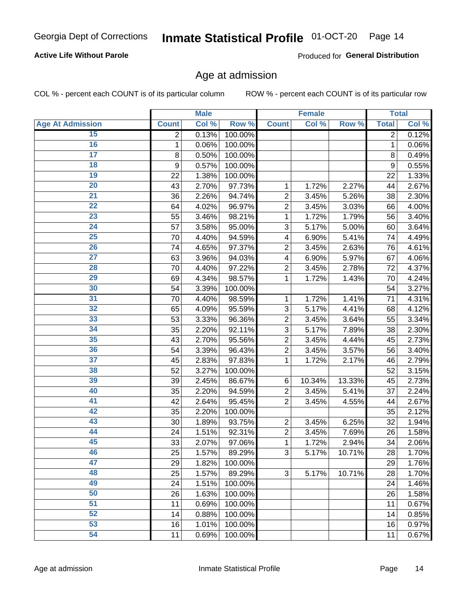#### **Active Life Without Parole**

Produced for General Distribution

### Age at admission

COL % - percent each COUNT is of its particular column

|                         |              | <b>Male</b> |         |                | <b>Female</b> |        |              | <b>Total</b> |
|-------------------------|--------------|-------------|---------|----------------|---------------|--------|--------------|--------------|
| <b>Age At Admission</b> | <b>Count</b> | Col %       | Row %   | <b>Count</b>   | Col %         | Row %  | <b>Total</b> | Col %        |
| 15                      | 2            | 0.13%       | 100.00% |                |               |        | 2            | 0.12%        |
| 16                      | 1            | 0.06%       | 100.00% |                |               |        | 1            | 0.06%        |
| $\overline{17}$         | 8            | 0.50%       | 100.00% |                |               |        | 8            | 0.49%        |
| 18                      | 9            | 0.57%       | 100.00% |                |               |        | 9            | 0.55%        |
| 19                      | 22           | 1.38%       | 100.00% |                |               |        | 22           | 1.33%        |
| $\overline{20}$         | 43           | 2.70%       | 97.73%  | 1              | 1.72%         | 2.27%  | 44           | 2.67%        |
| 21                      | 36           | 2.26%       | 94.74%  | $\overline{2}$ | 3.45%         | 5.26%  | 38           | 2.30%        |
| 22                      | 64           | 4.02%       | 96.97%  | $\overline{2}$ | 3.45%         | 3.03%  | 66           | 4.00%        |
| 23                      | 55           | 3.46%       | 98.21%  | 1              | 1.72%         | 1.79%  | 56           | 3.40%        |
| 24                      | 57           | 3.58%       | 95.00%  | 3              | 5.17%         | 5.00%  | 60           | 3.64%        |
| $\overline{25}$         | 70           | 4.40%       | 94.59%  | 4              | 6.90%         | 5.41%  | 74           | 4.49%        |
| 26                      | 74           | 4.65%       | 97.37%  | $\overline{2}$ | 3.45%         | 2.63%  | 76           | 4.61%        |
| $\overline{27}$         | 63           | 3.96%       | 94.03%  | 4              | 6.90%         | 5.97%  | 67           | 4.06%        |
| 28                      | 70           | 4.40%       | 97.22%  | $\overline{2}$ | 3.45%         | 2.78%  | 72           | 4.37%        |
| 29                      | 69           | 4.34%       | 98.57%  | 1              | 1.72%         | 1.43%  | 70           | 4.24%        |
| 30                      | 54           | 3.39%       | 100.00% |                |               |        | 54           | 3.27%        |
| 31                      | 70           | 4.40%       | 98.59%  | 1              | 1.72%         | 1.41%  | 71           | 4.31%        |
| 32                      | 65           | 4.09%       | 95.59%  | 3              | 5.17%         | 4.41%  | 68           | 4.12%        |
| 33                      | 53           | 3.33%       | 96.36%  | $\overline{2}$ | 3.45%         | 3.64%  | 55           | 3.34%        |
| 34                      | 35           | 2.20%       | 92.11%  | 3              | 5.17%         | 7.89%  | 38           | 2.30%        |
| 35                      | 43           | 2.70%       | 95.56%  | $\overline{2}$ | 3.45%         | 4.44%  | 45           | 2.73%        |
| 36                      | 54           | 3.39%       | 96.43%  | $\overline{2}$ | 3.45%         | 3.57%  | 56           | 3.40%        |
| $\overline{37}$         | 45           | 2.83%       | 97.83%  | 1              | 1.72%         | 2.17%  | 46           | 2.79%        |
| 38                      | 52           | 3.27%       | 100.00% |                |               |        | 52           | 3.15%        |
| 39                      | 39           | 2.45%       | 86.67%  | 6              | 10.34%        | 13.33% | 45           | 2.73%        |
| 40                      | 35           | 2.20%       | 94.59%  | $\overline{2}$ | 3.45%         | 5.41%  | 37           | 2.24%        |
| 41                      | 42           | 2.64%       | 95.45%  | $\overline{2}$ | 3.45%         | 4.55%  | 44           | 2.67%        |
| 42                      | 35           | 2.20%       | 100.00% |                |               |        | 35           | 2.12%        |
| 43                      | 30           | 1.89%       | 93.75%  | $\overline{2}$ | 3.45%         | 6.25%  | 32           | 1.94%        |
| 44                      | 24           | 1.51%       | 92.31%  | $\overline{2}$ | 3.45%         | 7.69%  | 26           | 1.58%        |
| 45                      | 33           | 2.07%       | 97.06%  | 1              | 1.72%         | 2.94%  | 34           | 2.06%        |
| 46                      | 25           | 1.57%       | 89.29%  | 3              | 5.17%         | 10.71% | 28           | 1.70%        |
| 47                      | 29           | 1.82%       | 100.00% |                |               |        | 29           | 1.76%        |
| 48                      | 25           | 1.57%       | 89.29%  | 3              | 5.17%         | 10.71% | 28           | 1.70%        |
| 49                      | 24           | 1.51%       | 100.00% |                |               |        | 24           | 1.46%        |
| 50                      | 26           | 1.63%       | 100.00% |                |               |        | 26           | 1.58%        |
| $\overline{51}$         | 11           | 0.69%       | 100.00% |                |               |        | 11           | 0.67%        |
| 52                      | 14           | 0.88%       | 100.00% |                |               |        | 14           | 0.85%        |
| 53                      | 16           | 1.01%       | 100.00% |                |               |        | 16           | 0.97%        |
| 54                      | 11           | 0.69%       | 100.00% |                |               |        | 11           | 0.67%        |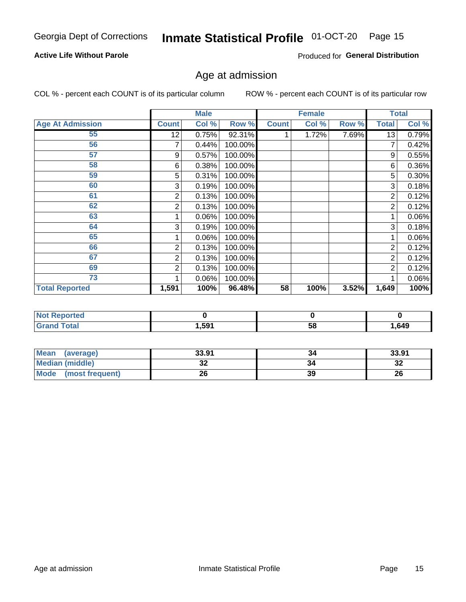#### **Active Life Without Parole**

Produced for General Distribution

## Age at admission

COL % - percent each COUNT is of its particular column

|                         |              | <b>Male</b> |         |              | <b>Female</b> |       |                | <b>Total</b> |
|-------------------------|--------------|-------------|---------|--------------|---------------|-------|----------------|--------------|
| <b>Age At Admission</b> | <b>Count</b> | Col %       | Row %   | <b>Count</b> | Col %         | Row % | <b>Total</b>   | Col %        |
| 55                      | 12           | 0.75%       | 92.31%  |              | 1.72%         | 7.69% | 13             | 0.79%        |
| 56                      | 7            | 0.44%       | 100.00% |              |               |       |                | 0.42%        |
| 57                      | 9            | 0.57%       | 100.00% |              |               |       | 9              | 0.55%        |
| 58                      | 6            | 0.38%       | 100.00% |              |               |       | 6              | 0.36%        |
| 59                      | 5            | 0.31%       | 100.00% |              |               |       | 5              | $0.30\%$     |
| 60                      | 3            | 0.19%       | 100.00% |              |               |       | 3              | 0.18%        |
| 61                      | 2            | 0.13%       | 100.00% |              |               |       | 2              | 0.12%        |
| 62                      | 2            | 0.13%       | 100.00% |              |               |       | 2              | 0.12%        |
| 63                      |              | 0.06%       | 100.00% |              |               |       |                | 0.06%        |
| 64                      | 3            | 0.19%       | 100.00% |              |               |       | 3              | 0.18%        |
| 65                      |              | 0.06%       | 100.00% |              |               |       |                | 0.06%        |
| 66                      | 2            | 0.13%       | 100.00% |              |               |       | 2              | 0.12%        |
| 67                      | 2            | 0.13%       | 100.00% |              |               |       | 2              | 0.12%        |
| 69                      | 2            | 0.13%       | 100.00% |              |               |       | $\overline{2}$ | 0.12%        |
| 73                      |              | 0.06%       | 100.00% |              |               |       |                | 0.06%        |
| <b>Total Reported</b>   | 1,591        | 100%        | 96.48%  | 58           | 100%          | 3.52% | 1,649          | 100%         |

| <b>Not Reported</b> |      |   |       |
|---------------------|------|---|-------|
| <b>Total</b>        | ,591 | ວ | 1,649 |

| <b>Mean</b><br>(average) | 33.91    | 34 | 33.91     |
|--------------------------|----------|----|-----------|
| <b>Median (middle)</b>   | ^^<br>JŁ |    | n g<br>34 |
| Mode<br>(most frequent)  | 26       | 39 | 26        |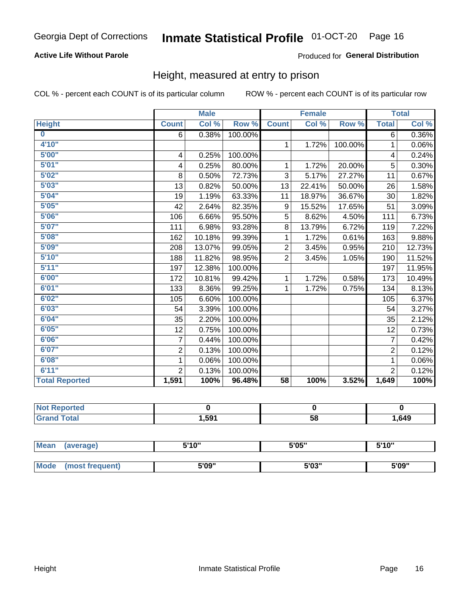#### **Active Life Without Parole**

#### Produced for General Distribution

### Height, measured at entry to prison

COL % - percent each COUNT is of its particular column

|                         |                | <b>Male</b> |         |                 | <b>Female</b> |         |                | <b>Total</b> |
|-------------------------|----------------|-------------|---------|-----------------|---------------|---------|----------------|--------------|
| <b>Height</b>           | <b>Count</b>   | Col %       | Row %   | <b>Count</b>    | Col %         | Row %   | <b>Total</b>   | Col %        |
| $\overline{\mathbf{0}}$ | 6              | 0.38%       | 100.00% |                 |               |         | 6              | $0.36\%$     |
| 4'10"                   |                |             |         | $\mathbf{1}$    | 1.72%         | 100.00% | 1              | 0.06%        |
| 5'00''                  | 4              | 0.25%       | 100.00% |                 |               |         | 4              | 0.24%        |
| 5'01"                   | 4              | 0.25%       | 80.00%  | 1               | 1.72%         | 20.00%  | 5              | 0.30%        |
| 5'02"                   | 8              | 0.50%       | 72.73%  | 3               | 5.17%         | 27.27%  | 11             | 0.67%        |
| 5'03''                  | 13             | 0.82%       | 50.00%  | 13              | 22.41%        | 50.00%  | 26             | 1.58%        |
| 5'04"                   | 19             | 1.19%       | 63.33%  | 11              | 18.97%        | 36.67%  | 30             | 1.82%        |
| 5'05"                   | 42             | 2.64%       | 82.35%  | 9               | 15.52%        | 17.65%  | 51             | 3.09%        |
| 5'06''                  | 106            | 6.66%       | 95.50%  | 5               | 8.62%         | 4.50%   | 111            | 6.73%        |
| 5'07''                  | 111            | 6.98%       | 93.28%  | 8               | 13.79%        | 6.72%   | 119            | 7.22%        |
| 5'08''                  | 162            | 10.18%      | 99.39%  | 1               | 1.72%         | 0.61%   | 163            | 9.88%        |
| 5'09''                  | 208            | 13.07%      | 99.05%  | $\overline{2}$  | 3.45%         | 0.95%   | 210            | 12.73%       |
| 5'10''                  | 188            | 11.82%      | 98.95%  | $\overline{2}$  | 3.45%         | 1.05%   | 190            | 11.52%       |
| 5'11''                  | 197            | 12.38%      | 100.00% |                 |               |         | 197            | 11.95%       |
| 6'00''                  | 172            | 10.81%      | 99.42%  | $\mathbf{1}$    | 1.72%         | 0.58%   | 173            | 10.49%       |
| 6'01''                  | 133            | 8.36%       | 99.25%  | 1.              | 1.72%         | 0.75%   | 134            | 8.13%        |
| 6'02"                   | 105            | 6.60%       | 100.00% |                 |               |         | 105            | 6.37%        |
| 6'03''                  | 54             | 3.39%       | 100.00% |                 |               |         | 54             | 3.27%        |
| 6'04"                   | 35             | 2.20%       | 100.00% |                 |               |         | 35             | 2.12%        |
| 6'05"                   | 12             | 0.75%       | 100.00% |                 |               |         | 12             | 0.73%        |
| 6'06''                  | $\overline{7}$ | 0.44%       | 100.00% |                 |               |         | $\overline{7}$ | 0.42%        |
| 6'07''                  | $\overline{2}$ | 0.13%       | 100.00% |                 |               |         | $\overline{2}$ | 0.12%        |
| 6'08''                  | 1              | 0.06%       | 100.00% |                 |               |         | $\mathbf 1$    | 0.06%        |
| 6'11''                  | $\overline{2}$ | 0.13%       | 100.00% |                 |               |         | $\overline{2}$ | 0.12%        |
| <b>Total Reported</b>   | 1,591          | 100%        | 96.48%  | $\overline{58}$ | 100%          | 3.52%   | 1,649          | 100%         |

| <b>NOT</b><br>rted<br>менон<br>$\sim$ |       |    |      |
|---------------------------------------|-------|----|------|
| $f$ oto $f$                           | . 591 | 58 | .649 |

| <b>Mean</b> | (average)       | 5'10" | 5'05" | 5'10" |  |
|-------------|-----------------|-------|-------|-------|--|
|             |                 |       |       |       |  |
| Mode        | (most frequent) | 5'09" | 5'03" | 5'09" |  |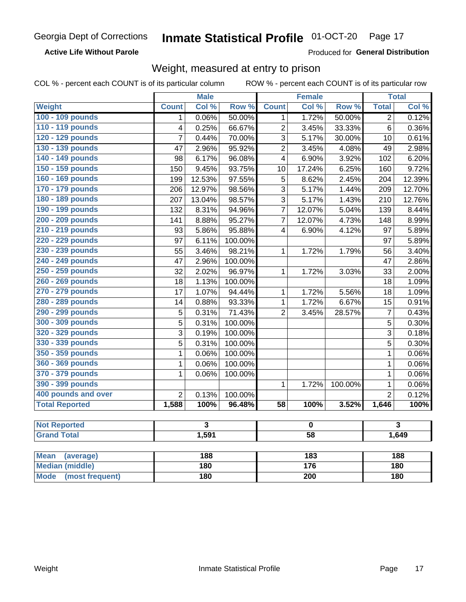**Active Life Without Parole** 

Produced for General Distribution

## Weight, measured at entry to prison

|                          |                         | <b>Male</b> |         |                  | <b>Female</b>    |         |                         | <b>Total</b> |  |
|--------------------------|-------------------------|-------------|---------|------------------|------------------|---------|-------------------------|--------------|--|
| <b>Weight</b>            | <b>Count</b>            | Col %       | Row %   | <b>Count</b>     | Col %            | Row %   | <b>Total</b>            | Col %        |  |
| 100 - 109 pounds         | 1                       | 0.06%       | 50.00%  | 1                | 1.72%            | 50.00%  | $\overline{2}$          | 0.12%        |  |
| 110 - 119 pounds         | $\overline{\mathbf{4}}$ | 0.25%       | 66.67%  | $\overline{2}$   | 3.45%            | 33.33%  | $\overline{6}$          | 0.36%        |  |
| 120 - 129 pounds         | 7                       | 0.44%       | 70.00%  | $\overline{3}$   | 5.17%            | 30.00%  | 10                      | 0.61%        |  |
| 130 - 139 pounds         | 47                      | 2.96%       | 95.92%  | $\overline{2}$   | 3.45%            | 4.08%   | 49                      | 2.98%        |  |
| 140 - 149 pounds         | 98                      | 6.17%       | 96.08%  | 4                | 6.90%            | 3.92%   | 102                     | 6.20%        |  |
| 150 - 159 pounds         | 150                     | 9.45%       | 93.75%  | 10               | 17.24%           | 6.25%   | 160                     | 9.72%        |  |
| 160 - 169 pounds         | 199                     | 12.53%      | 97.55%  | $\overline{5}$   | 8.62%            | 2.45%   | 204                     | 12.39%       |  |
| 170 - 179 pounds         | 206                     | 12.97%      | 98.56%  | 3                | 5.17%            | 1.44%   | 209                     | 12.70%       |  |
| 180 - 189 pounds         | 207                     | 13.04%      | 98.57%  | 3                | 5.17%            | 1.43%   | 210                     | 12.76%       |  |
| 190 - 199 pounds         | 132                     | 8.31%       | 94.96%  | $\overline{7}$   | 12.07%           | 5.04%   | 139                     | 8.44%        |  |
| 200 - 209 pounds         | 141                     | 8.88%       | 95.27%  | $\overline{7}$   | 12.07%           | 4.73%   | 148                     | 8.99%        |  |
| 210 - 219 pounds         | 93                      | 5.86%       | 95.88%  | 4                | 6.90%            | 4.12%   | 97                      | 5.89%        |  |
| 220 - 229 pounds         | 97                      | 6.11%       | 100.00% |                  |                  |         | 97                      | 5.89%        |  |
| 230 - 239 pounds         | 55                      | 3.46%       | 98.21%  | $\mathbf{1}$     | 1.72%            | 1.79%   | 56                      | 3.40%        |  |
| 240 - 249 pounds         | 47                      | 2.96%       | 100.00% |                  |                  |         | 47                      | 2.86%        |  |
| 250 - 259 pounds         | 32                      | 2.02%       | 96.97%  | $\mathbf{1}$     | 1.72%            | 3.03%   | 33                      | 2.00%        |  |
| 260 - 269 pounds         | 18                      | 1.13%       | 100.00% |                  |                  |         | 18                      | 1.09%        |  |
| 270 - 279 pounds         | 17                      | 1.07%       | 94.44%  | $\mathbf 1$      | 1.72%            | 5.56%   | 18                      | 1.09%        |  |
| 280 - 289 pounds         | 14                      | 0.88%       | 93.33%  | $\mathbf{1}$     | 1.72%            | 6.67%   | 15                      | 0.91%        |  |
| 290 - 299 pounds         | 5                       | 0.31%       | 71.43%  | $\overline{2}$   | 3.45%            | 28.57%  | $\boldsymbol{7}$        | 0.43%        |  |
| 300 - 309 pounds         | 5                       | 0.31%       | 100.00% |                  |                  |         | 5                       | 0.30%        |  |
| 320 - 329 pounds         | 3                       | 0.19%       | 100.00% |                  |                  |         | 3                       | 0.18%        |  |
| 330 - 339 pounds         | 5                       | 0.31%       | 100.00% |                  |                  |         | $\overline{5}$          | 0.30%        |  |
| 350 - 359 pounds         | 1                       | 0.06%       | 100.00% |                  |                  |         | $\mathbf{1}$            | 0.06%        |  |
| 360 - 369 pounds         | $\mathbf 1$             | 0.06%       | 100.00% |                  |                  |         | $\mathbf 1$             | 0.06%        |  |
| 370 - 379 pounds         | 1                       | 0.06%       | 100.00% |                  |                  |         | $\mathbf{1}$            | 0.06%        |  |
| 390 - 399 pounds         |                         |             |         | 1                | 1.72%            | 100.00% | $\mathbf{1}$            | 0.06%        |  |
| 400 pounds and over      | $\overline{2}$          | 0.13%       | 100.00% |                  |                  |         | $\overline{2}$          | 0.12%        |  |
| <b>Total Reported</b>    | 1,588                   | 100%        | 96.48%  | $\overline{58}$  | 100%             | 3.52%   | 1,646                   | 100%         |  |
|                          |                         |             |         |                  |                  |         |                         |              |  |
| <b>Not Reported</b>      | $\overline{\mathbf{3}}$ |             | 0       |                  |                  |         | $\overline{\mathbf{3}}$ |              |  |
| <b>Grand Total</b>       |                         | 1,591       |         |                  | $\overline{58}$  |         |                         | 1,649        |  |
| <b>Mean</b><br>(average) |                         | 188         |         | 183              |                  |         | 188                     |              |  |
| <b>Median (middle)</b>   |                         | 180         |         |                  | $\overline{176}$ |         | 180                     |              |  |
| Mode (most frequent)     |                         | 180         |         | $\overline{200}$ |                  |         | <b>180</b>              |              |  |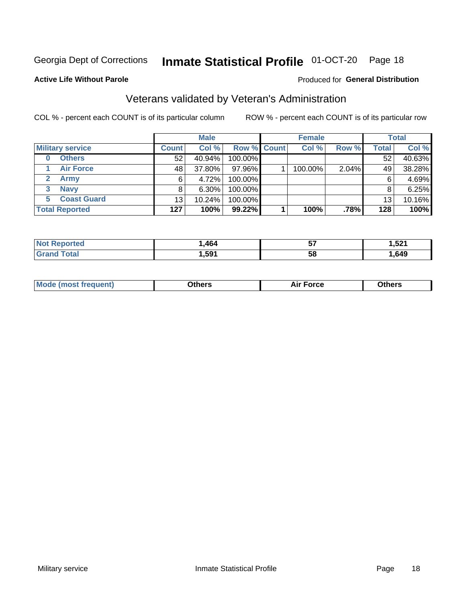## Inmate Statistical Profile 01-OCT-20 Page 18

#### **Active Life Without Parole**

#### Produced for General Distribution

## Veterans validated by Veteran's Administration

COL % - percent each COUNT is of its particular column

|                          |              | <b>Male</b> |                    | <b>Female</b> |       |              | <b>Total</b> |
|--------------------------|--------------|-------------|--------------------|---------------|-------|--------------|--------------|
| <b>Military service</b>  | <b>Count</b> | Col %       | <b>Row % Count</b> | Col %         | Row % | <b>Total</b> | Col %        |
| <b>Others</b><br>0       | 52           | 40.94%      | 100.00%            |               |       | 52           | 40.63%       |
| <b>Air Force</b>         | 48           | 37.80%      | 97.96%             | 100.00%       | 2.04% | 49           | 38.28%       |
| <b>Army</b>              | 6            | 4.72%       | 100.00%            |               |       | 6            | 4.69%        |
| <b>Navy</b><br>3         | 8            | $6.30\%$    | 100.00%            |               |       | 8            | 6.25%        |
| <b>Coast Guard</b><br>5. | 13           | 10.24%      | 100.00%            |               |       | 13           | 10.16%       |
| <b>Total Reported</b>    | 127          | 100%        | $99.22\%$          | 100%          | .78%  | 128          | 100%         |

| rteo        | .464 | --<br>JI | EO <sub>4</sub><br>ا ۷۵. ا<br>__ |
|-------------|------|----------|----------------------------------|
| $C = 4 - 7$ | ,591 | 58       | ,649                             |

| <b>Moo.</b> |
|-------------|
|-------------|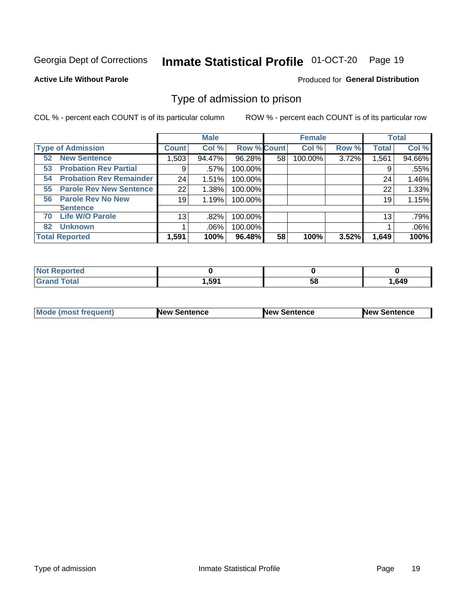#### Inmate Statistical Profile 01-OCT-20 Page 19

**Active Life Without Parole** 

Produced for General Distribution

## Type of admission to prison

COL % - percent each COUNT is of its particular column

|                                      |                 | <b>Male</b> |                    |    | <b>Female</b> |       |              | <b>Total</b> |
|--------------------------------------|-----------------|-------------|--------------------|----|---------------|-------|--------------|--------------|
| <b>Type of Admission</b>             | <b>Count</b>    | Col %       | <b>Row % Count</b> |    | Col %         | Row % | <b>Total</b> | Col %        |
| <b>New Sentence</b><br>52            | 1,503           | 94.47%      | 96.28%             | 58 | 100.00%       | 3.72% | 1,561        | 94.66%       |
| <b>Probation Rev Partial</b><br>53   | 9               | .57%        | 100.00%            |    |               |       | 9            | .55%         |
| <b>Probation Rev Remainder</b><br>54 | 24              | 1.51%       | 100.00%            |    |               |       | 24           | 1.46%        |
| <b>Parole Rev New Sentence</b><br>55 | 22              | 1.38%       | 100.00%            |    |               |       | 22           | 1.33%        |
| <b>Parole Rev No New</b><br>56       | 19              | 1.19%       | 100.00%            |    |               |       | 19           | 1.15%        |
| <b>Sentence</b>                      |                 |             |                    |    |               |       |              |              |
| <b>Life W/O Parole</b><br>70         | 13 <sub>1</sub> | .82%        | 100.00%            |    |               |       | 13           | .79%         |
| <b>Unknown</b><br>82                 |                 | $.06\%$     | 100.00%            |    |               |       |              | .06%         |
| <b>Total Reported</b>                | 1,591           | 100%        | 96.48%             | 58 | 100%          | 3.52% | 1,649        | 100%         |

| Reported<br><b>NOT</b> |       |    |      |
|------------------------|-------|----|------|
| <b>Total</b><br>"Gran. | 1,591 | วง | .649 |

| Mode (most frequent) | <b>New Sentence</b> | <b>New Sentence</b> | <b>New Sentence</b> |
|----------------------|---------------------|---------------------|---------------------|
|                      |                     |                     |                     |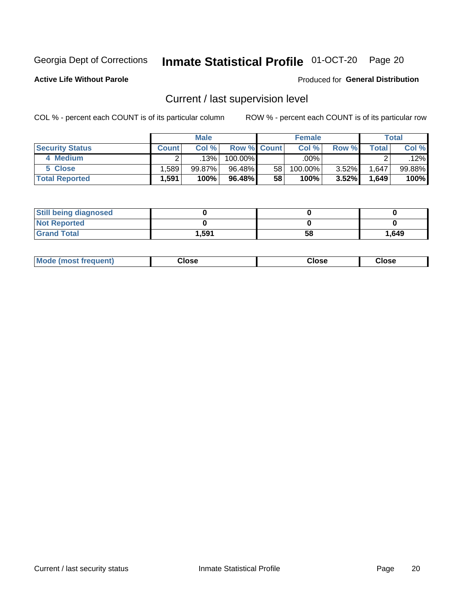## Inmate Statistical Profile 01-OCT-20 Page 20

**Active Life Without Parole** 

#### Produced for General Distribution

## Current / last supervision level

COL % - percent each COUNT is of its particular column

|                        |              | <b>Male</b> |                    |                 | <b>Female</b> |          |       | <b>Total</b> |
|------------------------|--------------|-------------|--------------------|-----------------|---------------|----------|-------|--------------|
| <b>Security Status</b> | <b>Count</b> | Col%        | <b>Row % Count</b> |                 | Col %         | Row %    | Total | Col %        |
| 4 Medium               |              | 13%         | $100.00\%$         |                 | .00%          |          |       | .12%         |
| 5 Close                | .589         | $99.87\%$   | 96.48%             | 58 <sub>1</sub> | 100.00%       | $3.52\%$ | 1,647 | 99.88%       |
| <b>Total Reported</b>  | 1,591        | 100%        | 96.48%             | 58              | 100%          | 3.52%    | 1,649 | 100%         |

| <b>Still being diagnosed</b> |       |    |       |
|------------------------------|-------|----|-------|
| <b>Not Reported</b>          |       |    |       |
| <b>Grand Total</b>           | 1,591 | 58 | 1,649 |

| <b>Mode (most frequent)</b> | Close | ∵lose | Close |
|-----------------------------|-------|-------|-------|
|                             |       |       |       |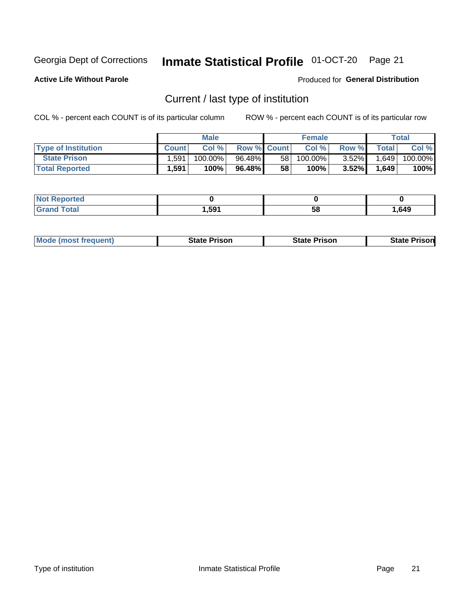## Inmate Statistical Profile 01-OCT-20 Page 21

**Active Life Without Parole** 

Produced for General Distribution

## Current / last type of institution

COL % - percent each COUNT is of its particular column

|                            |              | <b>Male</b> |                    |                 | <b>Female</b> |          |             | <b>Total</b> |
|----------------------------|--------------|-------------|--------------------|-----------------|---------------|----------|-------------|--------------|
| <b>Type of Institution</b> | <b>Count</b> | Col%        | <b>Row % Count</b> |                 | Col %         | Row %    | $\tau$ otal | Col %        |
| <b>State Prison</b>        | 1.591        | $100.00\%$  | 96.48%             | 58 <sub>1</sub> | $100.00\%$    | $3.52\%$ | 1,649       | 100.00%      |
| <b>Total Reported</b>      | 1,591        | 100%        | 96.48%             | 58              | $100\%$ .     | $3.52\%$ | 1,649       | 100%         |

| тео           |      |    |      |
|---------------|------|----|------|
| $- - - - - -$ | ,591 | ၁၀ | ,649 |

| <b>Mode (most frequent)</b> | State Prison | <b>State Prison</b> | State<br>⊦ Prisonl |
|-----------------------------|--------------|---------------------|--------------------|
|                             |              |                     |                    |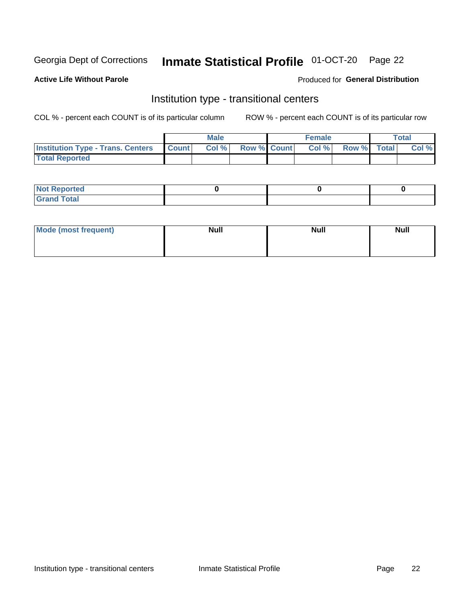## Inmate Statistical Profile 01-OCT-20 Page 22

#### **Active Life Without Parole**

#### Produced for General Distribution

## Institution type - transitional centers

COL % - percent each COUNT is of its particular column

|                                                  | <b>Male</b> |                    | <b>Female</b> |             | Total |
|--------------------------------------------------|-------------|--------------------|---------------|-------------|-------|
| <b>Institution Type - Trans. Centers Count  </b> | Col%        | <b>Row % Count</b> | Col %         | Row % Total | Col % |
| <b>Total Reported</b>                            |             |                    |               |             |       |

| <b>Reported</b><br><b>NOT</b><br>$\sim$            |  |  |
|----------------------------------------------------|--|--|
| $f$ $f \circ f \circ f$<br>$C = 1$<br><b>TULAI</b> |  |  |

| Mode (most frequent) | <b>Null</b> | <b>Null</b> | <b>Null</b> |
|----------------------|-------------|-------------|-------------|
|                      |             |             |             |
|                      |             |             |             |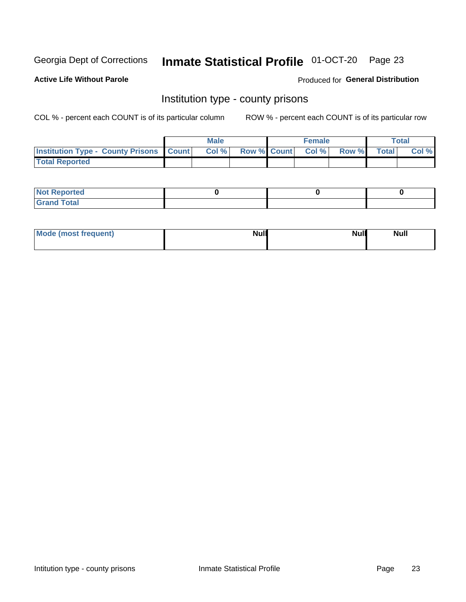## Inmate Statistical Profile 01-OCT-20 Page 23

**Active Life Without Parole** 

Produced for General Distribution

### Institution type - county prisons

COL % - percent each COUNT is of its particular column

|                                                    | <b>Male</b> |       |  | <b>Female</b> |                          |             | <b>Total</b> |       |
|----------------------------------------------------|-------------|-------|--|---------------|--------------------------|-------------|--------------|-------|
| <b>Institution Type - County Prisons   Count  </b> |             | Col % |  |               | <b>Row % Count Col %</b> | Row % Total |              | Col % |
| <b>Total Reported</b>                              |             |       |  |               |                          |             |              |       |

| <b>Not</b><br>: Reported<br> |  |  |
|------------------------------|--|--|
| <b>Total</b><br>---          |  |  |

| Mode (most frequent) | <b>Null</b> | <b>Null</b><br><b>Null</b> |
|----------------------|-------------|----------------------------|
|                      |             |                            |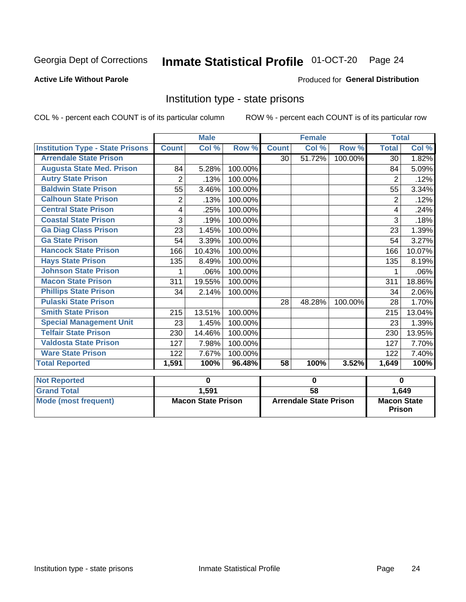#### Inmate Statistical Profile 01-OCT-20 Page 24

#### **Active Life Without Parole**

#### Produced for General Distribution

### Institution type - state prisons

COL % - percent each COUNT is of its particular column

|                                         | <b>Male</b>  |                           |         | <b>Female</b>   |                               |         | <b>Total</b>   |                              |  |
|-----------------------------------------|--------------|---------------------------|---------|-----------------|-------------------------------|---------|----------------|------------------------------|--|
| <b>Institution Type - State Prisons</b> | <b>Count</b> | Col %                     | Row %   | <b>Count</b>    | Col %                         | Row %   | <b>Total</b>   | Col %                        |  |
| <b>Arrendale State Prison</b>           |              |                           |         | 30              | 51.72%                        | 100.00% | 30             | 1.82%                        |  |
| <b>Augusta State Med. Prison</b>        | 84           | 5.28%                     | 100.00% |                 |                               |         | 84             | 5.09%                        |  |
| <b>Autry State Prison</b>               | 2            | .13%                      | 100.00% |                 |                               |         | 2              | .12%                         |  |
| <b>Baldwin State Prison</b>             | 55           | 3.46%                     | 100.00% |                 |                               |         | 55             | 3.34%                        |  |
| <b>Calhoun State Prison</b>             | 2            | .13%                      | 100.00% |                 |                               |         | $\overline{2}$ | .12%                         |  |
| <b>Central State Prison</b>             | 4            | .25%                      | 100.00% |                 |                               |         | 4              | .24%                         |  |
| <b>Coastal State Prison</b>             | 3            | .19%                      | 100.00% |                 |                               |         | 3              | .18%                         |  |
| <b>Ga Diag Class Prison</b>             | 23           | 1.45%                     | 100.00% |                 |                               |         | 23             | 1.39%                        |  |
| <b>Ga State Prison</b>                  | 54           | 3.39%                     | 100.00% |                 |                               |         | 54             | 3.27%                        |  |
| <b>Hancock State Prison</b>             | 166          | 10.43%                    | 100.00% |                 |                               |         | 166            | 10.07%                       |  |
| <b>Hays State Prison</b>                | 135          | 8.49%                     | 100.00% |                 |                               |         | 135            | 8.19%                        |  |
| <b>Johnson State Prison</b>             | 1            | .06%                      | 100.00% |                 |                               |         |                | .06%                         |  |
| <b>Macon State Prison</b>               | 311          | 19.55%                    | 100.00% |                 |                               |         | 311            | 18.86%                       |  |
| <b>Phillips State Prison</b>            | 34           | 2.14%                     | 100.00% |                 |                               |         | 34             | 2.06%                        |  |
| <b>Pulaski State Prison</b>             |              |                           |         | 28              | 48.28%                        | 100.00% | 28             | 1.70%                        |  |
| <b>Smith State Prison</b>               | 215          | 13.51%                    | 100.00% |                 |                               |         | 215            | 13.04%                       |  |
| <b>Special Management Unit</b>          | 23           | 1.45%                     | 100.00% |                 |                               |         | 23             | 1.39%                        |  |
| <b>Telfair State Prison</b>             | 230          | 14.46%                    | 100.00% |                 |                               |         | 230            | 13.95%                       |  |
| <b>Valdosta State Prison</b>            | 127          | 7.98%                     | 100.00% |                 |                               |         | 127            | 7.70%                        |  |
| <b>Ware State Prison</b>                | 122          | 7.67%                     | 100.00% |                 |                               |         | 122            | 7.40%                        |  |
| <b>Total Reported</b>                   | 1,591        | 100%                      | 96.48%  | $\overline{58}$ | 100%                          | 3.52%   | 1,649          | 100%                         |  |
| <b>Not Reported</b>                     |              | 0                         |         | $\bf{0}$        |                               |         | $\bf{0}$       |                              |  |
| <b>Grand Total</b>                      |              | 1,591                     |         | $\overline{58}$ |                               |         |                | 1,649                        |  |
| <b>Mode (most frequent)</b>             |              |                           |         |                 |                               |         |                |                              |  |
|                                         |              | <b>Macon State Prison</b> |         |                 | <b>Arrendale State Prison</b> |         |                | <b>Macon State</b><br>Prison |  |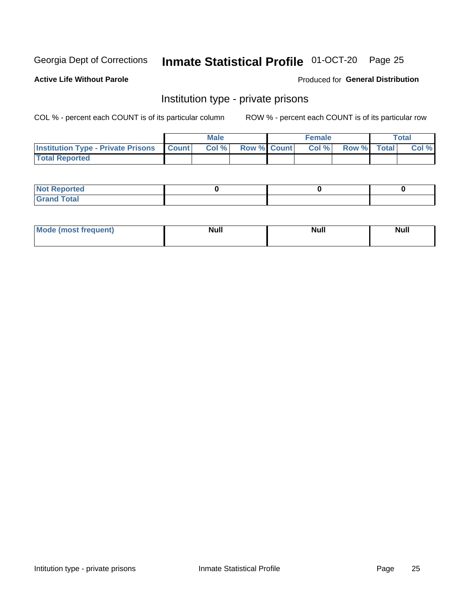## Inmate Statistical Profile 01-OCT-20 Page 25

#### **Active Life Without Parole**

#### Produced for General Distribution

## Institution type - private prisons

COL % - percent each COUNT is of its particular column

|                                                     | <b>Male</b> |       |                    | <b>Female</b> |       |             | Total |       |
|-----------------------------------------------------|-------------|-------|--------------------|---------------|-------|-------------|-------|-------|
| <b>Institution Type - Private Prisons   Count  </b> |             | Col % | <b>Row % Count</b> |               | Col % | Row % Total |       | Col % |
| <b>Total Reported</b>                               |             |       |                    |               |       |             |       |       |

| Not Reported           |  |  |
|------------------------|--|--|
| <b>Cotal</b><br>______ |  |  |

| Moc<br>`auent) | <b>Null</b> | <b>Null</b> | _____ |
|----------------|-------------|-------------|-------|
|                |             |             |       |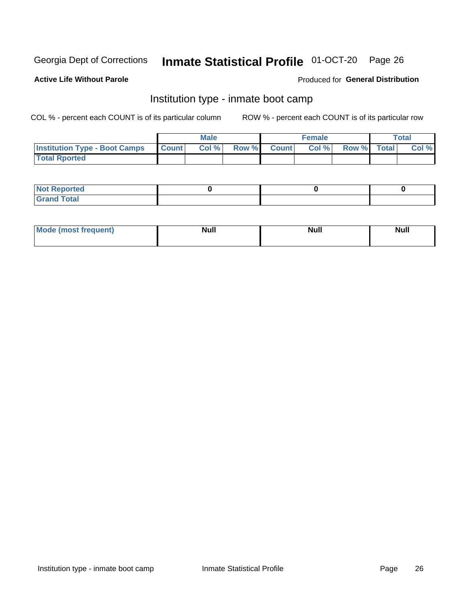## Inmate Statistical Profile 01-OCT-20 Page 26

#### **Active Life Without Parole**

#### Produced for General Distribution

## Institution type - inmate boot camp

COL % - percent each COUNT is of its particular column

|                                      | <b>Male</b>     |       |              |              | <b>Female</b> | <b>Total</b> |  |       |
|--------------------------------------|-----------------|-------|--------------|--------------|---------------|--------------|--|-------|
| <b>Institution Type - Boot Camps</b> | <b>I</b> Count⊥ | Col % | <b>Row %</b> | <b>Count</b> | Col %         | Row % Total  |  | Col % |
| <b>Total Rported</b>                 |                 |       |              |              |               |              |  |       |

| <b>Not Reported</b>            |  |  |
|--------------------------------|--|--|
| <b>Total</b><br>C <sub>r</sub> |  |  |

| Mod<br>uamo | Nul.<br>$- - - - - -$ | <b>Null</b> | . .<br>uu.<br>------ |
|-------------|-----------------------|-------------|----------------------|
|             |                       |             |                      |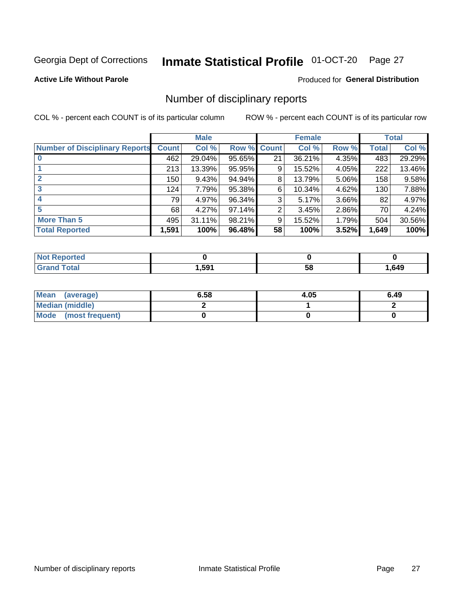## Inmate Statistical Profile 01-OCT-20 Page 27

**Active Life Without Parole** 

#### Produced for General Distribution

## Number of disciplinary reports

COL % - percent each COUNT is of its particular column

|                                       | <b>Male</b>  |        |        | <b>Female</b> |        |          | <b>Total</b> |        |
|---------------------------------------|--------------|--------|--------|---------------|--------|----------|--------------|--------|
| <b>Number of Disciplinary Reports</b> | <b>Count</b> | Col %  | Row %  | <b>Count</b>  | Col %  | Row %    | Total        | Col %  |
|                                       | 462          | 29.04% | 95.65% | 21            | 36.21% | 4.35%    | 483          | 29.29% |
|                                       | 213          | 13.39% | 95.95% | 9             | 15.52% | 4.05%    | 222          | 13.46% |
| $\mathbf{2}$                          | 150          | 9.43%  | 94.94% | 8             | 13.79% | 5.06%    | 158          | 9.58%  |
| 3                                     | 124          | 7.79%  | 95.38% | 6             | 10.34% | 4.62%    | 130          | 7.88%  |
|                                       | 79           | 4.97%  | 96.34% | 3             | 5.17%  | $3.66\%$ | 82           | 4.97%  |
| 5                                     | 68           | 4.27%  | 97.14% | 2             | 3.45%  | 2.86%    | 70           | 4.24%  |
| <b>More Than 5</b>                    | 495          | 31.11% | 98.21% | 9             | 15.52% | 1.79%    | 504          | 30.56% |
| <b>Total Reported</b>                 | 1,591        | 100%   | 96.48% | 58            | 100%   | 3.52%    | 1,649        | 100%   |

| NO<br>τеο |       |    |      |
|-----------|-------|----|------|
| Гоtal     | 591.، | Ⴢჾ | .649 |

| Mean (average)       | 6.58 | 4.05 | 6.49 |
|----------------------|------|------|------|
| Median (middle)      |      |      |      |
| Mode (most frequent) |      |      |      |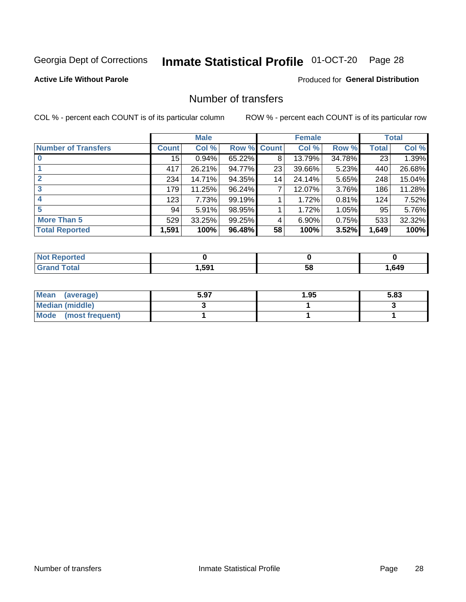## Inmate Statistical Profile 01-OCT-20 Page 28

#### **Active Life Without Parole**

#### **Produced for General Distribution**

## Number of transfers

COL % - percent each COUNT is of its particular column

|                            | <b>Male</b>  |        | <b>Female</b> |    |        | <b>Total</b> |       |        |
|----------------------------|--------------|--------|---------------|----|--------|--------------|-------|--------|
| <b>Number of Transfers</b> | <b>Count</b> | Col %  | Row % Count   |    | Col %  | Row %        | Total | Col %  |
|                            | 15           | 0.94%  | 65.22%        | 8  | 13.79% | 34.78%       | 23    | 1.39%  |
|                            | 417          | 26.21% | 94.77%        | 23 | 39.66% | 5.23%        | 440   | 26.68% |
| 2                          | 234          | 14.71% | 94.35%        | 14 | 24.14% | 5.65%        | 248   | 15.04% |
| 3                          | 179          | 11.25% | 96.24%        | 7  | 12.07% | $3.76\%$     | 186   | 11.28% |
| 4                          | 123          | 7.73%  | 99.19%        |    | 1.72%  | 0.81%        | 124   | 7.52%  |
| 5                          | 94           | 5.91%  | 98.95%        |    | 1.72%  | 1.05%        | 95    | 5.76%  |
| <b>More Than 5</b>         | 529          | 33.25% | 99.25%        | 4  | 6.90%  | 0.75%        | 533   | 32.32% |
| <b>Total Reported</b>      | 1,591        | 100%   | 96.48%        | 58 | 100%   | 3.52%        | 1,649 | 100%   |

| NO<br>τеο |       |    |      |
|-----------|-------|----|------|
| Гоtal     | 591.، | Ⴢჾ | .649 |

| Mean (average)         | 5.97 | 1.95 | 5.83 |
|------------------------|------|------|------|
| <b>Median (middle)</b> |      |      |      |
| Mode (most frequent)   |      |      |      |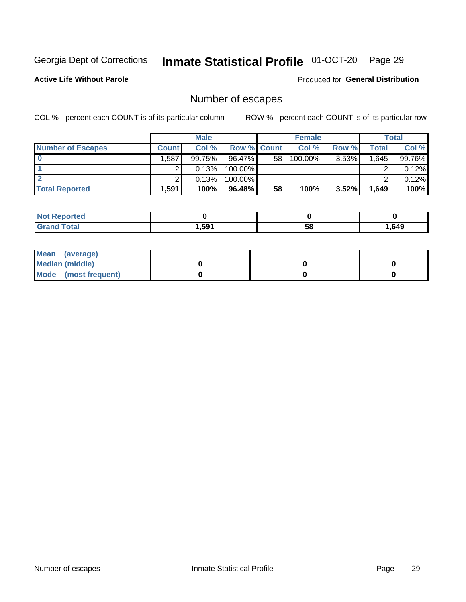## Inmate Statistical Profile 01-OCT-20 Page 29

**Active Life Without Parole** 

Produced for General Distribution

## Number of escapes

COL % - percent each COUNT is of its particular column

|                          | <b>Male</b>  |           |                    | <b>Female</b> |         |          | Total |        |
|--------------------------|--------------|-----------|--------------------|---------------|---------|----------|-------|--------|
| <b>Number of Escapes</b> | <b>Count</b> | Col %     | <b>Row % Count</b> |               | Col %   | Row %    | Total | Col %  |
|                          | .587         | $99.75\%$ | $96.47\%$          | 58            | 100.00% | $3.53\%$ | 1,645 | 99.76% |
|                          |              | 0.13%     | 100.00%            |               |         |          |       | 0.12%  |
|                          |              | 0.13%     | $100.00\%$         |               |         |          |       | 0.12%  |
| <b>Total Reported</b>    | .591         | 100%      | 96.48%             | 58            | 100%    | 3.52%    | 1,649 | 100%   |

| <b>Not Reported</b> |        |    |      |
|---------------------|--------|----|------|
| <b>Grand Total</b>  | 591. ا | 58 | .649 |

| Mean (average)       |  |  |
|----------------------|--|--|
| Median (middle)      |  |  |
| Mode (most frequent) |  |  |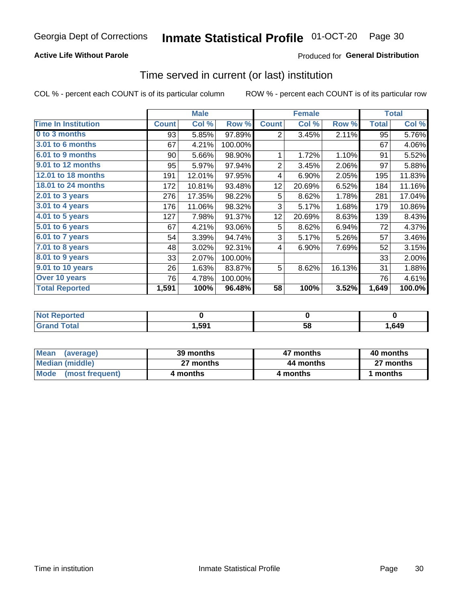#### **Active Life Without Parole**

### Produced for General Distribution

### Time served in current (or last) institution

COL % - percent each COUNT is of its particular column

|                            |              | <b>Male</b> |         | <b>Female</b>  |        |        | <b>Total</b> |        |
|----------------------------|--------------|-------------|---------|----------------|--------|--------|--------------|--------|
| <b>Time In Institution</b> | <b>Count</b> | Col %       | Row %   | <b>Count</b>   | Col %  | Row %  | <b>Total</b> | Col %  |
| 0 to 3 months              | 93           | 5.85%       | 97.89%  | 2              | 3.45%  | 2.11%  | 95           | 5.76%  |
| <b>3.01 to 6 months</b>    | 67           | 4.21%       | 100.00% |                |        |        | 67           | 4.06%  |
| $6.01$ to 9 months         | 90           | 5.66%       | 98.90%  | 1              | 1.72%  | 1.10%  | 91           | 5.52%  |
| 9.01 to 12 months          | 95           | 5.97%       | 97.94%  | $\overline{2}$ | 3.45%  | 2.06%  | 97           | 5.88%  |
| 12.01 to 18 months         | 191          | 12.01%      | 97.95%  | 4              | 6.90%  | 2.05%  | 195          | 11.83% |
| <b>18.01 to 24 months</b>  | 172          | 10.81%      | 93.48%  | 12             | 20.69% | 6.52%  | 184          | 11.16% |
| $2.01$ to 3 years          | 276          | 17.35%      | 98.22%  | 5              | 8.62%  | 1.78%  | 281          | 17.04% |
| 3.01 to 4 years            | 176          | 11.06%      | 98.32%  | 3              | 5.17%  | 1.68%  | 179          | 10.86% |
| $4.01$ to 5 years          | 127          | 7.98%       | 91.37%  | 12             | 20.69% | 8.63%  | 139          | 8.43%  |
| 5.01 to 6 years            | 67           | 4.21%       | 93.06%  | 5              | 8.62%  | 6.94%  | 72           | 4.37%  |
| 6.01 to 7 years            | 54           | 3.39%       | 94.74%  | 3              | 5.17%  | 5.26%  | 57           | 3.46%  |
| 7.01 to 8 years            | 48           | 3.02%       | 92.31%  | 4              | 6.90%  | 7.69%  | 52           | 3.15%  |
| $8.01$ to 9 years          | 33           | 2.07%       | 100.00% |                |        |        | 33           | 2.00%  |
| 9.01 to 10 years           | 26           | 1.63%       | 83.87%  | 5              | 8.62%  | 16.13% | 31           | 1.88%  |
| Over 10 years              | 76           | 4.78%       | 100.00% |                |        |        | 76           | 4.61%  |
| <b>Total Reported</b>      | 1,591        | 100%        | 96.48%  | 58             | 100%   | 3.52%  | 1,649        | 100.0% |

| <b>Not Reported</b> |      |    |      |
|---------------------|------|----|------|
| $f \circ f \circ f$ | .591 | vu | ,649 |

| <b>Mean</b><br>(average) | 39 months | 47 months | 40 months |  |  |
|--------------------------|-----------|-----------|-----------|--|--|
| Median (middle)          | 27 months | 44 months | 27 months |  |  |
| Mode (most frequent)     | 4 months  | 4 months  | ∣ months  |  |  |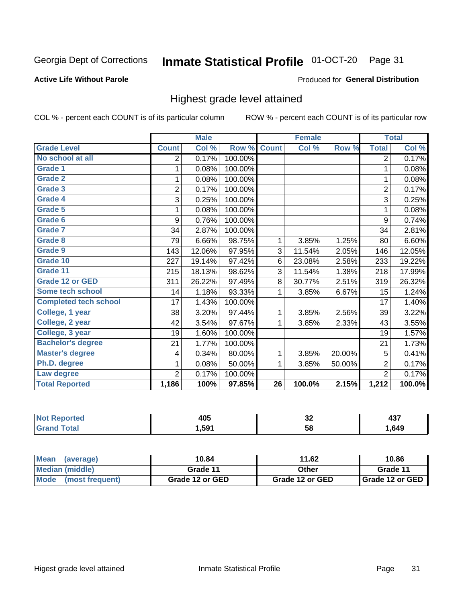#### Inmate Statistical Profile 01-OCT-20 Page 31

#### **Active Life Without Parole**

#### Produced for General Distribution

## Highest grade level attained

COL % - percent each COUNT is of its particular column

|                              |                | <b>Male</b> |         |                 | <b>Female</b> |        |                | <b>Total</b> |
|------------------------------|----------------|-------------|---------|-----------------|---------------|--------|----------------|--------------|
| <b>Grade Level</b>           | <b>Count</b>   | Col %       | Row %   | <b>Count</b>    | Col %         | Row %  | <b>Total</b>   | Col %        |
| No school at all             | 2              | 0.17%       | 100.00% |                 |               |        | $\overline{2}$ | 0.17%        |
| <b>Grade 1</b>               | 1              | 0.08%       | 100.00% |                 |               |        | 1              | 0.08%        |
| <b>Grade 2</b>               | 1              | 0.08%       | 100.00% |                 |               |        | 1              | 0.08%        |
| Grade 3                      | $\overline{2}$ | 0.17%       | 100.00% |                 |               |        | $\overline{2}$ | 0.17%        |
| Grade 4                      | 3              | 0.25%       | 100.00% |                 |               |        | 3              | 0.25%        |
| Grade 5                      | 1              | 0.08%       | 100.00% |                 |               |        | 1              | 0.08%        |
| Grade 6                      | 9              | 0.76%       | 100.00% |                 |               |        | 9              | 0.74%        |
| Grade 7                      | 34             | 2.87%       | 100.00% |                 |               |        | 34             | 2.81%        |
| Grade 8                      | 79             | 6.66%       | 98.75%  | 1               | 3.85%         | 1.25%  | 80             | 6.60%        |
| Grade 9                      | 143            | 12.06%      | 97.95%  | 3               | 11.54%        | 2.05%  | 146            | 12.05%       |
| Grade 10                     | 227            | 19.14%      | 97.42%  | 6               | 23.08%        | 2.58%  | 233            | 19.22%       |
| Grade 11                     | 215            | 18.13%      | 98.62%  | 3               | 11.54%        | 1.38%  | 218            | 17.99%       |
| <b>Grade 12 or GED</b>       | 311            | 26.22%      | 97.49%  | 8               | 30.77%        | 2.51%  | 319            | 26.32%       |
| Some tech school             | 14             | 1.18%       | 93.33%  | 1               | 3.85%         | 6.67%  | 15             | 1.24%        |
| <b>Completed tech school</b> | 17             | 1.43%       | 100.00% |                 |               |        | 17             | 1.40%        |
| College, 1 year              | 38             | 3.20%       | 97.44%  | 1               | 3.85%         | 2.56%  | 39             | 3.22%        |
| College, 2 year              | 42             | 3.54%       | 97.67%  | 1               | 3.85%         | 2.33%  | 43             | 3.55%        |
| College, 3 year              | 19             | 1.60%       | 100.00% |                 |               |        | 19             | 1.57%        |
| <b>Bachelor's degree</b>     | 21             | 1.77%       | 100.00% |                 |               |        | 21             | 1.73%        |
| <b>Master's degree</b>       | 4              | 0.34%       | 80.00%  | 1               | 3.85%         | 20.00% | 5              | 0.41%        |
| Ph.D. degree                 | 1              | 0.08%       | 50.00%  | 1               | 3.85%         | 50.00% | $\overline{2}$ | 0.17%        |
| Law degree                   | $\overline{2}$ | 0.17%       | 100.00% |                 |               |        | $\overline{2}$ | 0.17%        |
| <b>Total Reported</b>        | 1,186          | 100%        | 97.85%  | $\overline{26}$ | 100.0%        | 2.15%  | 1,212          | 100.0%       |

| rtea | <b>ANF</b> | ^^ | ---  |
|------|------------|----|------|
| NO   | TV~        | ◡▵ | ᠇୰   |
| νιαι | 591. ا     | 58 | .649 |

| <b>Mean</b><br>(average) | 10.84           | 11.62           | 10.86           |
|--------------------------|-----------------|-----------------|-----------------|
| <b>Median (middle)</b>   | Grade 11        | Other           | Grade 11        |
| Mode<br>(most frequent)  | Grade 12 or GED | Grade 12 or GED | Grade 12 or GED |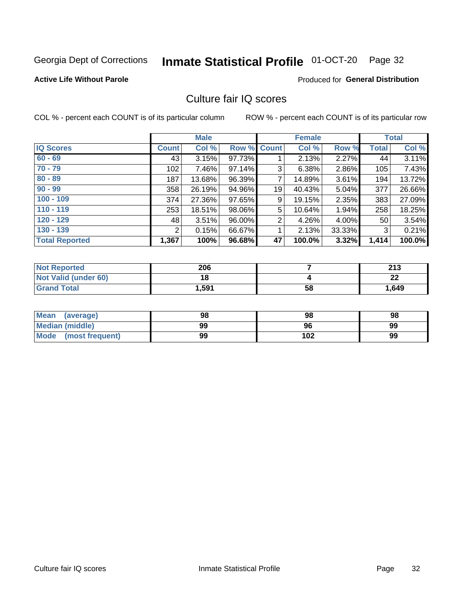#### Inmate Statistical Profile 01-OCT-20 Page 32

#### **Active Life Without Parole**

#### Produced for General Distribution

## Culture fair IQ scores

COL % - percent each COUNT is of its particular column

|                       |                | <b>Male</b> |        |                | <b>Female</b> |          |              | <b>Total</b> |
|-----------------------|----------------|-------------|--------|----------------|---------------|----------|--------------|--------------|
| <b>IQ Scores</b>      | <b>Count</b>   | Col %       | Row %  | <b>Count</b>   | Col %         | Row %    | <b>Total</b> | Col %        |
| $60 - 69$             | 43             | 3.15%       | 97.73% |                | 2.13%         | $2.27\%$ | 44           | 3.11%        |
| $70 - 79$             | 102            | 7.46%       | 97.14% | 3              | 6.38%         | 2.86%    | 105          | 7.43%        |
| $80 - 89$             | 187            | $13.68\%$   | 96.39% | 7              | 14.89%        | $3.61\%$ | 194          | 13.72%       |
| $90 - 99$             | 358            | 26.19%      | 94.96% | 19             | 40.43%        | 5.04%    | 377          | 26.66%       |
| $100 - 109$           | 374            | 27.36%      | 97.65% | 9              | 19.15%        | 2.35%    | 383          | 27.09%       |
| $110 - 119$           | 253            | 18.51%      | 98.06% | 5              | 10.64%        | $1.94\%$ | 258          | 18.25%       |
| $120 - 129$           | 48             | 3.51%       | 96.00% | $\overline{2}$ | 4.26%         | $4.00\%$ | 50           | 3.54%        |
| $130 - 139$           | $\overline{2}$ | 0.15%       | 66.67% | 1              | 2.13%         | 33.33%   | 3            | 0.21%        |
| <b>Total Reported</b> | 1,367          | 100%        | 96.68% | 47             | 100.0%        | 3.32%    | 1,414        | 100.0%       |

| <b>Not Reported</b>  | 206   |    | つイつ<br>2 I J |
|----------------------|-------|----|--------------|
| Not Valid (under 60) | 18    |    | ົ<br>LL      |
| <b>Grand Total</b>   | 1,591 | 58 | 1,649        |

| <b>Mean</b><br>(average) | 98 | 98  | 98 |
|--------------------------|----|-----|----|
| Median (middle)          | 99 | 96  | 99 |
| Mode (most frequent)     | 99 | 102 | 99 |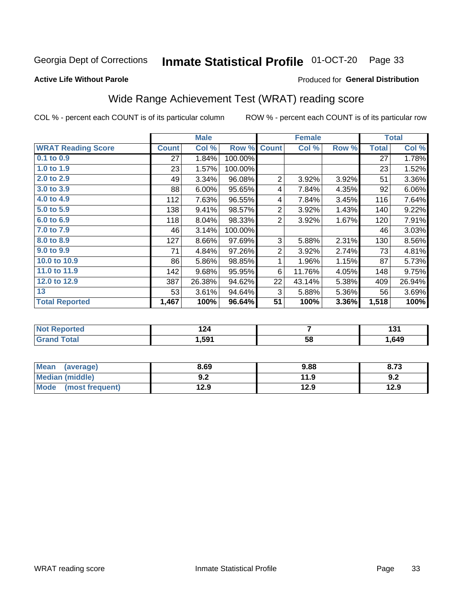#### Inmate Statistical Profile 01-OCT-20 Page 33

#### **Active Life Without Parole**

#### Produced for General Distribution

## Wide Range Achievement Test (WRAT) reading score

COL % - percent each COUNT is of its particular column

|                           |              | <b>Male</b> |         | <b>Female</b>  |        |       | <b>Total</b> |        |
|---------------------------|--------------|-------------|---------|----------------|--------|-------|--------------|--------|
| <b>WRAT Reading Score</b> | <b>Count</b> | Col %       | Row %   | <b>Count</b>   | Col %  | Row % | <b>Total</b> | Col %  |
| $0.1$ to $0.9$            | 27           | 1.84%       | 100.00% |                |        |       | 27           | 1.78%  |
| 1.0 to 1.9                | 23           | 1.57%       | 100.00% |                |        |       | 23           | 1.52%  |
| 2.0 to 2.9                | 49           | 3.34%       | 96.08%  | $\overline{2}$ | 3.92%  | 3.92% | 51           | 3.36%  |
| 3.0 to 3.9                | 88           | 6.00%       | 95.65%  | 4              | 7.84%  | 4.35% | 92           | 6.06%  |
| 4.0 to 4.9                | 112          | 7.63%       | 96.55%  | 4              | 7.84%  | 3.45% | 116          | 7.64%  |
| 5.0 to 5.9                | 138          | 9.41%       | 98.57%  | $\overline{2}$ | 3.92%  | 1.43% | 140          | 9.22%  |
| 6.0 to 6.9                | 118          | 8.04%       | 98.33%  | $\overline{2}$ | 3.92%  | 1.67% | 120          | 7.91%  |
| 7.0 to 7.9                | 46           | 3.14%       | 100.00% |                |        |       | 46           | 3.03%  |
| 8.0 to 8.9                | 127          | 8.66%       | 97.69%  | 3              | 5.88%  | 2.31% | 130          | 8.56%  |
| 9.0 to 9.9                | 71           | 4.84%       | 97.26%  | $\overline{2}$ | 3.92%  | 2.74% | 73           | 4.81%  |
| 10.0 to 10.9              | 86           | 5.86%       | 98.85%  | 1              | 1.96%  | 1.15% | 87           | 5.73%  |
| 11.0 to 11.9              | 142          | 9.68%       | 95.95%  | 6              | 11.76% | 4.05% | 148          | 9.75%  |
| 12.0 to 12.9              | 387          | 26.38%      | 94.62%  | 22             | 43.14% | 5.38% | 409          | 26.94% |
| 13                        | 53           | 3.61%       | 94.64%  | 3              | 5.88%  | 5.36% | 56           | 3.69%  |
| <b>Total Reported</b>     | 1,467        | 100%        | 96.64%  | 51             | 100%   | 3.36% | 1,518        | 100%   |

| <b>Not</b><br><b>Reported</b> | $\ddot{\phantom{1}}$<br>. |    | 1 J I |
|-------------------------------|---------------------------|----|-------|
| <b>otal</b>                   | ,591                      | 58 | 649   |

| <b>Mean</b><br>(average) | 8.69       | 9.88 | 8.73 |
|--------------------------|------------|------|------|
| <b>Median (middle)</b>   | ר ח<br>9.Z | 11.9 | 9.2  |
| Mode (most frequent)     | 12.9       | 12.9 | 12.9 |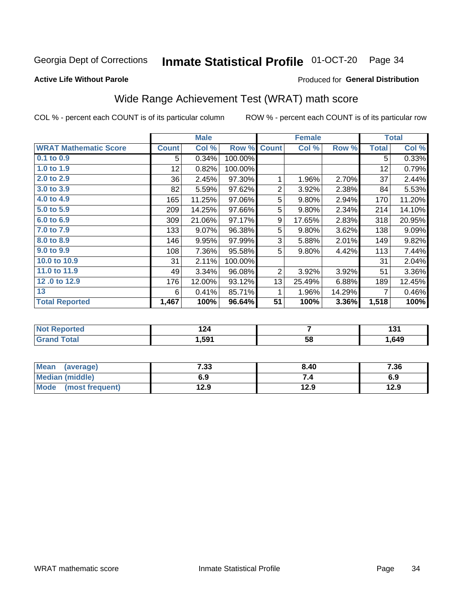#### Inmate Statistical Profile 01-OCT-20 Page 34

#### **Active Life Without Parole**

#### Produced for General Distribution

## Wide Range Achievement Test (WRAT) math score

COL % - percent each COUNT is of its particular column

|                              |              | <b>Male</b> |         |                | <b>Female</b> |        |              | <b>Total</b> |
|------------------------------|--------------|-------------|---------|----------------|---------------|--------|--------------|--------------|
| <b>WRAT Mathematic Score</b> | <b>Count</b> | Col %       | Row %   | <b>Count</b>   | Col %         | Row %  | <b>Total</b> | Col %        |
| $0.1$ to $0.9$               | 5            | 0.34%       | 100.00% |                |               |        | 5            | 0.33%        |
| 1.0 to 1.9                   | 12           | 0.82%       | 100.00% |                |               |        | 12           | 0.79%        |
| 2.0 to 2.9                   | 36           | 2.45%       | 97.30%  | 1              | 1.96%         | 2.70%  | 37           | 2.44%        |
| 3.0 to 3.9                   | 82           | 5.59%       | 97.62%  | $\overline{2}$ | 3.92%         | 2.38%  | 84           | 5.53%        |
| 4.0 to 4.9                   | 165          | 11.25%      | 97.06%  | 5              | 9.80%         | 2.94%  | 170          | 11.20%       |
| 5.0 to 5.9                   | 209          | 14.25%      | 97.66%  | 5              | 9.80%         | 2.34%  | 214          | 14.10%       |
| 6.0 to 6.9                   | 309          | 21.06%      | 97.17%  | 9              | 17.65%        | 2.83%  | 318          | 20.95%       |
| 7.0 to 7.9                   | 133          | 9.07%       | 96.38%  | 5              | 9.80%         | 3.62%  | 138          | 9.09%        |
| 8.0 to 8.9                   | 146          | 9.95%       | 97.99%  | 3              | 5.88%         | 2.01%  | 149          | 9.82%        |
| 9.0 to 9.9                   | 108          | 7.36%       | 95.58%  | 5              | 9.80%         | 4.42%  | 113          | 7.44%        |
| 10.0 to 10.9                 | 31           | 2.11%       | 100.00% |                |               |        | 31           | 2.04%        |
| 11.0 to 11.9                 | 49           | 3.34%       | 96.08%  | $\overline{2}$ | 3.92%         | 3.92%  | 51           | 3.36%        |
| 12.0 to 12.9                 | 176          | 12.00%      | 93.12%  | 13             | 25.49%        | 6.88%  | 189          | 12.45%       |
| 13                           | 6            | 0.41%       | 85.71%  | 1              | 1.96%         | 14.29% | 7            | 0.46%        |
| <b>Total Reported</b>        | 1,467        | 100%        | 96.64%  | 51             | 100%          | 3.36%  | 1,518        | 100%         |
|                              |              |             |         |                |               |        |              |              |

| <b>Not Reported</b> | $\overline{\phantom{a}}$<br>I 44 |    | 1 O<br>י טו |
|---------------------|----------------------------------|----|-------------|
| <b>Grand Total</b>  | 591,ا                            | 58 | . 649.      |

| <b>Mean</b><br>(average)       | 7.33 | 8.40 | 7.36 |
|--------------------------------|------|------|------|
| Median (middle)                | 6.9  |      | 6.9  |
| <b>Mode</b><br>(most frequent) | 12.9 | 12.9 | 12.9 |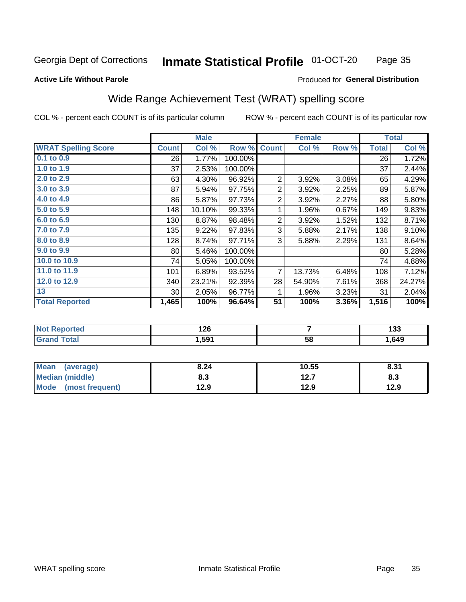#### **Inmate Statistical Profile 01-OCT-20** Page 35

#### **Active Life Without Parole**

#### Produced for General Distribution

## Wide Range Achievement Test (WRAT) spelling score

COL % - percent each COUNT is of its particular column

|                                 |              | <b>Male</b>      |         | <b>Female</b>  |               |       | <b>Total</b> |                  |
|---------------------------------|--------------|------------------|---------|----------------|---------------|-------|--------------|------------------|
| <b>WRAT Spelling Score</b>      | <b>Count</b> | Col %            | Row %   | <b>Count</b>   | Col %         | Row % | Total        | Col %            |
| $0.1$ to $0.9$                  | 26           | 1.77%            | 100.00% |                |               |       | 26           | 1.72%            |
| 1.0 to 1.9                      | 37           | 2.53%            | 100.00% |                |               |       | 37           | 2.44%            |
| 2.0 to 2.9                      | 63           | 4.30%            | 96.92%  | $\overline{2}$ | 3.92%         | 3.08% | 65           | 4.29%            |
| 3.0 to 3.9                      | 87           | 5.94%            | 97.75%  | $\overline{2}$ | 3.92%         | 2.25% | 89           | 5.87%            |
| 4.0 to 4.9                      | 86           | 5.87%            | 97.73%  | 2              | 3.92%         | 2.27% | 88           | 5.80%            |
| 5.0 to 5.9                      | 148          | 10.10%           | 99.33%  | 1              | 1.96%         | 0.67% | 149          | 9.83%            |
| 6.0 to 6.9                      | 130          | 8.87%            | 98.48%  | $\overline{2}$ | 3.92%         | 1.52% | 132          | 8.71%            |
| 7.0 to 7.9                      | 135          | 9.22%            | 97.83%  | 3              | 5.88%         | 2.17% | 138          | 9.10%            |
| 8.0 to 8.9                      | 128          | 8.74%            | 97.71%  | 3              | 5.88%         | 2.29% | 131          | 8.64%            |
| 9.0 to 9.9                      | 80           | 5.46%            | 100.00% |                |               |       | 80           | 5.28%            |
| 10.0 to 10.9                    | 74           | 5.05%            | 100.00% |                |               |       | 74           | 4.88%            |
| 11.0 to 11.9                    | 101          | 6.89%            | 93.52%  | $\overline{7}$ | 13.73%        | 6.48% | 108          | 7.12%            |
| 12.0 to 12.9                    | 340          | 23.21%           | 92.39%  | 28             | 54.90%        | 7.61% | 368          | 24.27%           |
| 13                              | 30           | 2.05%            | 96.77%  | 1              | 1.96%         | 3.23% | 31           | 2.04%            |
| <b>Total Reported</b>           | 1,465        | 100%             | 96.64%  | 51             | 100%          | 3.36% | 1,516        | 100%             |
|                                 |              |                  |         |                |               |       |              |                  |
| <b>INTERNATIONAL CONTRACTOR</b> |              | $\overline{100}$ |         |                | $\rightarrow$ |       |              | $\overline{100}$ |

| оптео | 64<br>74 Q |    | $\sim$<br>⊍ט |
|-------|------------|----|--------------|
|       | .591       | 58 | .649         |

| <b>Mean</b><br>(average)       | 8.24 | 10.55        | 8.31 |
|--------------------------------|------|--------------|------|
| <b>Median (middle)</b>         | 8.3  | 127<br>I 4.I | ი.ა  |
| <b>Mode</b><br>(most frequent) | 12.9 | 12.9         | 12.9 |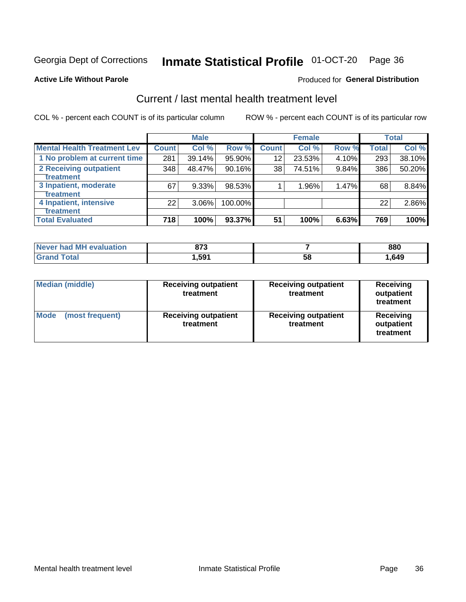## Inmate Statistical Profile 01-OCT-20 Page 36

#### **Active Life Without Parole**

#### Produced for General Distribution

## Current / last mental health treatment level

COL % - percent each COUNT is of its particular column

|                                    |              | <b>Male</b> |         |                    | <b>Female</b> |       |              | <b>Total</b> |
|------------------------------------|--------------|-------------|---------|--------------------|---------------|-------|--------------|--------------|
| <b>Mental Health Treatment Lev</b> | <b>Count</b> | Col %       | Row %   | Count <sup>1</sup> | Col%          | Row % | <b>Total</b> | Col %        |
| 1 No problem at current time       | 281          | 39.14%      | 95.90%  | 12                 | 23.53%        | 4.10% | 293          | 38.10%       |
| 2 Receiving outpatient             | 348          | 48.47%      | 90.16%  | 38                 | 74.51%        | 9.84% | 386          | 50.20%       |
| <b>Treatment</b>                   |              |             |         |                    |               |       |              |              |
| 3 Inpatient, moderate              | 67           | 9.33%       | 98.53%  |                    | 1.96%         | 1.47% | 68           | 8.84%        |
| <b>Treatment</b>                   |              |             |         |                    |               |       |              |              |
| 4 Inpatient, intensive             | 22           | $3.06\%$    | 100.00% |                    |               |       | 22           | 2.86%        |
| <b>Treatment</b>                   |              |             |         |                    |               |       |              |              |
| <b>Total Evaluated</b>             | 718          | 100%        | 93.37%  | 51                 | 100%          | 6.63% | 769          | 100%         |

| Never had MH evaluation | 072<br>o 1 J |    | 880  |
|-------------------------|--------------|----|------|
| $F$ ntal                | . .591       | 58 | .649 |

| <b>Median (middle)</b>         | <b>Receiving outpatient</b><br>treatment | <b>Receiving outpatient</b><br>treatment | <b>Receiving</b><br>outpatient<br>treatment |  |
|--------------------------------|------------------------------------------|------------------------------------------|---------------------------------------------|--|
| <b>Mode</b><br>(most frequent) | <b>Receiving outpatient</b><br>treatment | <b>Receiving outpatient</b><br>treatment | <b>Receiving</b><br>outpatient<br>treatment |  |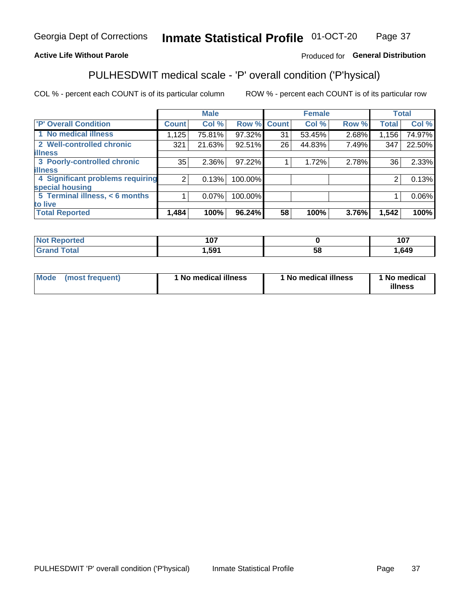#### Inmate Statistical Profile 01-OCT-20 Page 37

#### **Active Life Without Parole**

#### Produced for General Distribution

## PULHESDWIT medical scale - 'P' overall condition ('P'hysical)

COL % - percent each COUNT is of its particular column

|                                  |                | <b>Male</b> |             |    | <b>Female</b> |       |                 | <b>Total</b> |
|----------------------------------|----------------|-------------|-------------|----|---------------|-------|-----------------|--------------|
| 'P' Overall Condition            | <b>Count</b>   | Col %       | Row % Count |    | Col %         | Row % | <b>Total</b>    | Col %        |
| 1 No medical illness             | 1,125          | 75.81%      | 97.32%      | 31 | 53.45%        | 2.68% | 1,156           | 74.97%       |
| 2 Well-controlled chronic        | 321            | 21.63%      | 92.51%      | 26 | 44.83%        | 7.49% | 347             | 22.50%       |
| <b>lillness</b>                  |                |             |             |    |               |       |                 |              |
| 3 Poorly-controlled chronic      | 35             | $2.36\%$    | 97.22%      |    | 1.72%         | 2.78% | 36 <sub>1</sub> | 2.33%        |
| <b>illness</b>                   |                |             |             |    |               |       |                 |              |
| 4 Significant problems requiring | 2 <sub>1</sub> | 0.13%       | 100.00%     |    |               |       | 2               | 0.13%        |
| special housing                  |                |             |             |    |               |       |                 |              |
| 5 Terminal illness, < 6 months   |                | 0.07%       | 100.00%     |    |               |       |                 | 0.06%        |
| to live                          |                |             |             |    |               |       |                 |              |
| <b>Total Reported</b>            | 1,484          | 100%        | 96.24%      | 58 | 100%          | 3.76% | 1,542           | 100%         |

| тео   | 1 A 7 |    | 1 N.T |
|-------|-------|----|-------|
|       | ו טו  |    | 1 V 7 |
| _____ | 591,ا | ၁၀ | ,649  |

|  |  | Mode (most frequent) | 1 No medical illness | 1 No medical illness | 1 No medical<br>illness |
|--|--|----------------------|----------------------|----------------------|-------------------------|
|--|--|----------------------|----------------------|----------------------|-------------------------|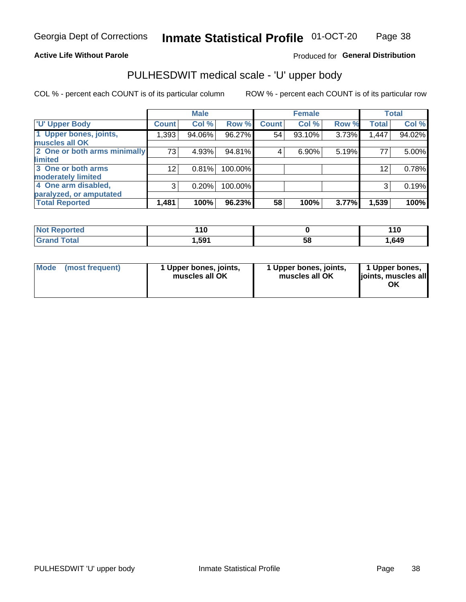#### **Active Life Without Parole**

### Produced for General Distribution

## PULHESDWIT medical scale - 'U' upper body

COL % - percent each COUNT is of its particular column

|                              |                 | <b>Male</b> |         |              | <b>Female</b> |       |              | <b>Total</b> |
|------------------------------|-----------------|-------------|---------|--------------|---------------|-------|--------------|--------------|
| <b>'U' Upper Body</b>        | <b>Count</b>    | Col %       | Row %   | <b>Count</b> | Col %         | Row % | <b>Total</b> | Col %        |
| 1 Upper bones, joints,       | 1,393           | 94.06%      | 96.27%  | 54           | 93.10%        | 3.73% | 1,447        | 94.02%       |
| muscles all OK               |                 |             |         |              |               |       |              |              |
| 2 One or both arms minimally | 73              | 4.93%       | 94.81%  | 4            | 6.90%         | 5.19% | 77           | 5.00%        |
| <b>limited</b>               |                 |             |         |              |               |       |              |              |
| 3 One or both arms           | 12 <sub>2</sub> | 0.81%       | 100.00% |              |               |       | 12           | 0.78%        |
| <b>moderately limited</b>    |                 |             |         |              |               |       |              |              |
| 4 One arm disabled,          | 3               | 0.20%       | 100.00% |              |               |       | 3            | 0.19%        |
| paralyzed, or amputated      |                 |             |         |              |               |       |              |              |
| <b>Total Reported</b>        | 1,481           | 100%        | 96.23%  | 58           | 100%          | 3.77% | 1,539        | 100%         |

| <b>Not Reported</b> | 10    |    | 110  |
|---------------------|-------|----|------|
| <b>Grand Total</b>  | 591,ا | 58 | .649 |

| Mode | (most frequent) | 1 Upper bones, joints,<br>muscles all OK | 1 Upper bones, joints,<br>muscles all OK | 1 Upper bones,<br>ljoints, muscles all<br>ΟK |
|------|-----------------|------------------------------------------|------------------------------------------|----------------------------------------------|
|------|-----------------|------------------------------------------|------------------------------------------|----------------------------------------------|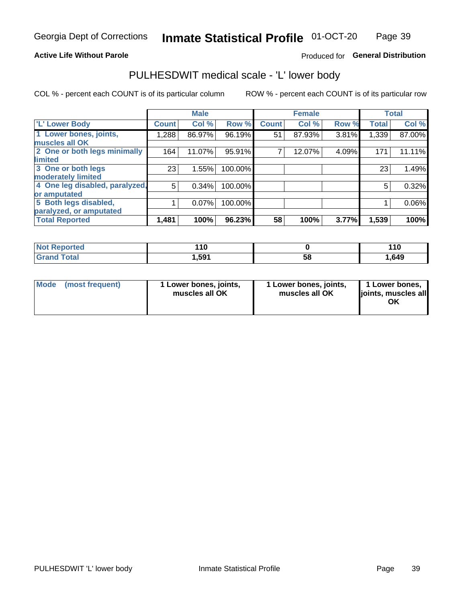#### **Active Life Without Parole**

### Produced for General Distribution

## PULHESDWIT medical scale - 'L' lower body

COL % - percent each COUNT is of its particular column

|                                |              | <b>Male</b> |         |              | <b>Female</b> |       |              | <b>Total</b> |
|--------------------------------|--------------|-------------|---------|--------------|---------------|-------|--------------|--------------|
| 'L' Lower Body                 | <b>Count</b> | Col %       | Row %   | <b>Count</b> | Col %         | Row % | <b>Total</b> | Col %        |
| 1 Lower bones, joints,         | 1,288        | 86.97%      | 96.19%  | 51           | 87.93%        | 3.81% | 1,339        | 87.00%       |
| muscles all OK                 |              |             |         |              |               |       |              |              |
| 2 One or both legs minimally   | 164          | 11.07%      | 95.91%  |              | 12.07%        | 4.09% | 171          | 11.11%       |
| limited                        |              |             |         |              |               |       |              |              |
| 3 One or both legs             | 23           | 1.55%       | 100.00% |              |               |       | 23           | 1.49%        |
| moderately limited             |              |             |         |              |               |       |              |              |
| 4 One leg disabled, paralyzed, | 5            | 0.34%       | 100.00% |              |               |       | 5            | 0.32%        |
| or amputated                   |              |             |         |              |               |       |              |              |
| 5 Both legs disabled,          |              | 0.07%       | 100.00% |              |               |       |              | 0.06%        |
| paralyzed, or amputated        |              |             |         |              |               |       |              |              |
| <b>Total Reported</b>          | 1,481        | 100%        | 96.23%  | 58           | 100%          | 3.77% | 1,539        | 100%         |

| <b>Not Reported</b> | . .<br>. |    | 110  |
|---------------------|----------|----|------|
| <b>Grand Total</b>  | .,591    | 58 | .649 |

| Mode | (most frequent) | 1 Lower bones, joints,<br>muscles all OK | 1 Lower bones, joints,<br>muscles all OK | 1 Lower bones,<br>joints, muscles all<br>ΟK |
|------|-----------------|------------------------------------------|------------------------------------------|---------------------------------------------|
|------|-----------------|------------------------------------------|------------------------------------------|---------------------------------------------|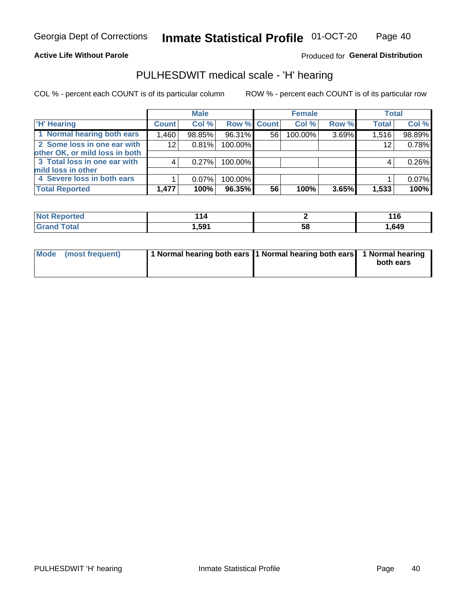#### **Active Life Without Parole**

Produced for General Distribution

## PULHESDWIT medical scale - 'H' hearing

COL % - percent each COUNT is of its particular column

|                                |              | <b>Male</b> |             |    | <b>Female</b> |       | <b>Total</b> |        |
|--------------------------------|--------------|-------------|-------------|----|---------------|-------|--------------|--------|
| <b>H' Hearing</b>              | <b>Count</b> | Col %       | Row % Count |    | Col %         | Row % | <b>Total</b> | Col %  |
| 1 Normal hearing both ears     | 1,460        | 98.85%      | 96.31%      | 56 | 100.00%       | 3.69% | 1,516        | 98.89% |
| 2 Some loss in one ear with    | 12           | 0.81%       | 100.00%     |    |               |       | 12           | 0.78%  |
| other OK, or mild loss in both |              |             |             |    |               |       |              |        |
| 3 Total loss in one ear with   | 4            | 0.27%       | 100.00%     |    |               |       | 4            | 0.26%  |
| mild loss in other             |              |             |             |    |               |       |              |        |
| 4 Severe loss in both ears     |              | $0.07\%$    | 100.00%     |    |               |       |              | 0.07%  |
| <b>Total Reported</b>          | 1,477        | 100%        | 96.35%      | 56 | 100%          | 3.65% | 1,533        | 100%   |

| ported<br><b>NOT</b> | . .<br>14 |                   | . A C<br>טוו |
|----------------------|-----------|-------------------|--------------|
| $\sim$ 10<br>______  | 501       | - 62<br><b>JQ</b> | 649, ا       |

| Mode (most frequent) | 1 Normal hearing both ears 1 Normal hearing both ears 1 Normal hearing | both ears |
|----------------------|------------------------------------------------------------------------|-----------|
|                      |                                                                        |           |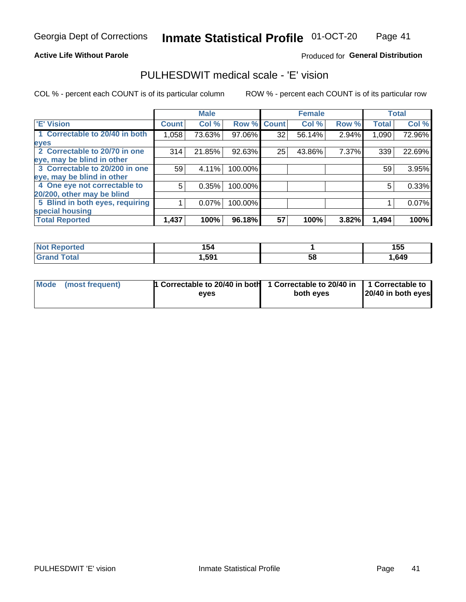#### **Active Life Without Parole**

#### Produced for General Distribution

## PULHESDWIT medical scale - 'E' vision

COL % - percent each COUNT is of its particular column

|                                 |              | <b>Male</b> |             |    | <b>Female</b> |       |              | <b>Total</b> |
|---------------------------------|--------------|-------------|-------------|----|---------------|-------|--------------|--------------|
| <b>E' Vision</b>                | <b>Count</b> | Col %       | Row % Count |    | Col %         | Row % | <b>Total</b> | Col %        |
| 1 Correctable to 20/40 in both  | 1,058        | 73.63%      | 97.06%      | 32 | 56.14%        | 2.94% | 1,090        | 72.96%       |
| eyes                            |              |             |             |    |               |       |              |              |
| 2 Correctable to 20/70 in one   | 314          | 21.85%      | 92.63%      | 25 | 43.86%        | 7.37% | 339          | 22.69%       |
| eye, may be blind in other      |              |             |             |    |               |       |              |              |
| 3 Correctable to 20/200 in one  | 59           | 4.11%       | 100.00%     |    |               |       | 59           | 3.95%        |
| eye, may be blind in other      |              |             |             |    |               |       |              |              |
| 4 One eye not correctable to    | 5            | 0.35%       | 100.00%     |    |               |       | 5            | 0.33%        |
| 20/200, other may be blind      |              |             |             |    |               |       |              |              |
| 5 Blind in both eyes, requiring |              | 0.07%       | 100.00%     |    |               |       |              | 0.07%        |
| special housing                 |              |             |             |    |               |       |              |              |
| <b>Total Reported</b>           | 1,437        | 100%        | 96.18%      | 57 | 100%          | 3.82% | 1,494        | 100%         |

| <b>orted</b><br>NOT<br>sem | 154   |    | 155  |
|----------------------------|-------|----|------|
| $\mathop{\mathsf{total}}$  | .,591 | 58 | ,649 |

| Mode (most frequent) | 1 Correctable to 20/40 in both<br>eves | 1 Correctable to 20/40 in   1 Correctable to  <br>both eyes | 20/40 in both eyes |
|----------------------|----------------------------------------|-------------------------------------------------------------|--------------------|
|                      |                                        |                                                             |                    |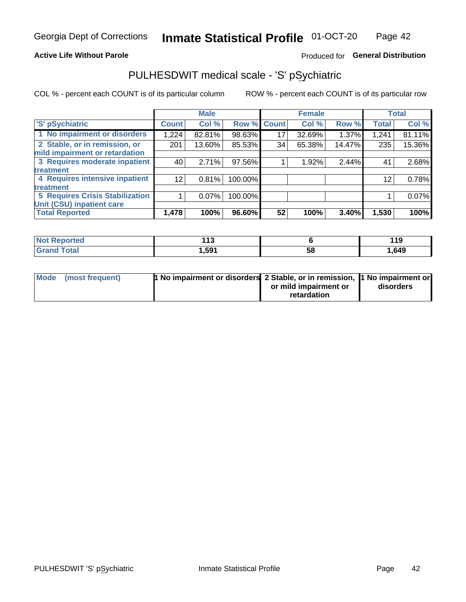#### **Active Life Without Parole**

### Produced for General Distribution

## PULHESDWIT medical scale - 'S' pSychiatric

COL % - percent each COUNT is of its particular column

|                                 |              | <b>Male</b> |         |             | <b>Female</b> |        |              | <b>Total</b> |
|---------------------------------|--------------|-------------|---------|-------------|---------------|--------|--------------|--------------|
| 'S' pSychiatric                 | <b>Count</b> | Col %       |         | Row % Count | Col %         | Row %  | <b>Total</b> | Col %        |
| 1 No impairment or disorders    | 1,224        | 82.81%      | 98.63%  | 17          | 32.69%        | 1.37%  | 1,241        | 81.11%       |
| 2 Stable, or in remission, or   | 201          | 13.60%      | 85.53%  | 34          | 65.38%        | 14.47% | 235          | 15.36%       |
| mild impairment or retardation  |              |             |         |             |               |        |              |              |
| 3 Requires moderate inpatient   | 40           | 2.71%       | 97.56%  |             | 1.92%         | 2.44%  | 41           | 2.68%        |
| treatment                       |              |             |         |             |               |        |              |              |
| 4 Requires intensive inpatient  | 12           | 0.81%       | 100.00% |             |               |        | 12           | 0.78%        |
| <b>treatment</b>                |              |             |         |             |               |        |              |              |
| 5 Requires Crisis Stabilization |              | 0.07%       | 100.00% |             |               |        |              | 0.07%        |
| Unit (CSU) inpatient care       |              |             |         |             |               |        |              |              |
| <b>Total Reported</b>           | 1,478        | 100%        | 96.60%  | 52          | 100%          | 3.40%  | 1,530        | 100%         |

| <b>Not Reported</b> | 44c<br>. . |    | 119      |
|---------------------|------------|----|----------|
| <b>Grand Total</b>  | ,591       | 58 | . 649، ، |

| Mode (most frequent) | <b>1 No impairment or disorders</b> 2 Stable, or in remission, 11 No impairment or |                       |           |
|----------------------|------------------------------------------------------------------------------------|-----------------------|-----------|
|                      |                                                                                    | or mild impairment or | disorders |
|                      |                                                                                    | retardation           |           |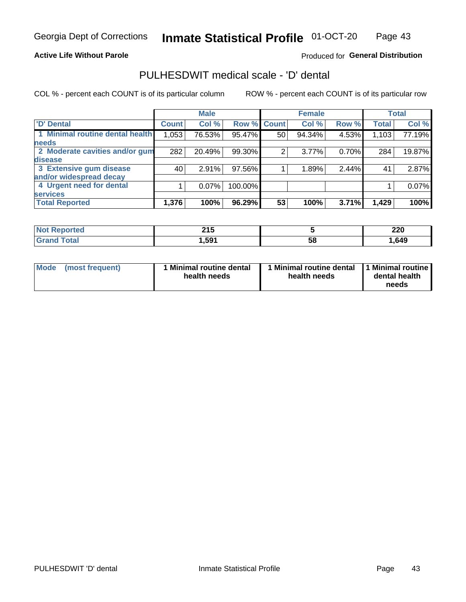#### **Active Life Without Parole**

#### Produced for General Distribution

## PULHESDWIT medical scale - 'D' dental

COL % - percent each COUNT is of its particular column

|                                 |              | <b>Male</b> |         |              | <b>Female</b> |       |              | <b>Total</b> |
|---------------------------------|--------------|-------------|---------|--------------|---------------|-------|--------------|--------------|
| <b>D'</b> Dental                | <b>Count</b> | Col %       | Row %   | <b>Count</b> | Col %         | Row % | <b>Total</b> | Col %        |
| 1 Minimal routine dental health | 1,053        | 76.53%      | 95.47%  | 50           | 94.34%        | 4.53% | 1,103        | 77.19%       |
| <b>needs</b>                    |              |             |         |              |               |       |              |              |
| 2 Moderate cavities and/or gum  | 282          | 20.49%      | 99.30%  | 2            | 3.77%         | 0.70% | 284          | 19.87%       |
| disease                         |              |             |         |              |               |       |              |              |
| 3 Extensive gum disease         | 40           | 2.91%       | 97.56%  |              | 1.89%         | 2.44% | 41           | 2.87%        |
| and/or widespread decay         |              |             |         |              |               |       |              |              |
| 4 Urgent need for dental        |              | $0.07\%$    | 100.00% |              |               |       |              | 0.07%        |
| <b>services</b>                 |              |             |         |              |               |       |              |              |
| <b>Total Reported</b>           | 1,376        | 100%        | 96.29%  | 53           | 100%          | 3.71% | 1,429        | 100%         |

| ాorted<br><b>NOT REDO</b><br>. | 24F<br>4 I J |    | ה מ<br>ZZU |
|--------------------------------|--------------|----|------------|
| Total                          | ,591         | 58 | .649       |

| <b>Mode</b> | (most frequent) | <b>Minimal routine dental</b><br>health needs | 1 Minimal routine dental<br>health needs | <b>11 Minimal routine I</b><br>dental health<br>needs |
|-------------|-----------------|-----------------------------------------------|------------------------------------------|-------------------------------------------------------|
|-------------|-----------------|-----------------------------------------------|------------------------------------------|-------------------------------------------------------|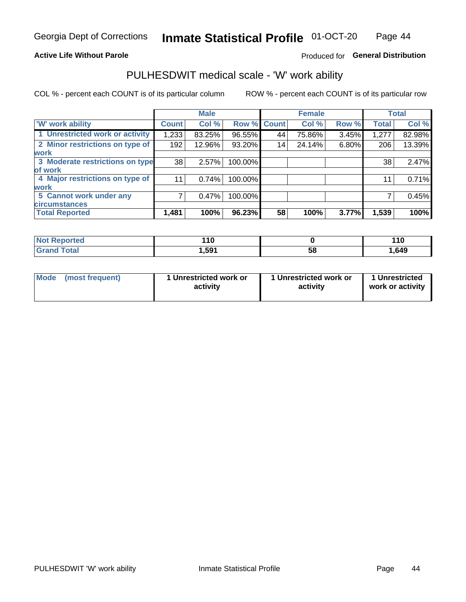#### **Active Life Without Parole**

### Produced for General Distribution

### PULHESDWIT medical scale - 'W' work ability

COL % - percent each COUNT is of its particular column

|                                 |                    | <b>Male</b> |         |             | <b>Female</b> |       |              | <b>Total</b> |
|---------------------------------|--------------------|-------------|---------|-------------|---------------|-------|--------------|--------------|
| <b>W' work ability</b>          | Count <sup>'</sup> | Col %       |         | Row % Count | Col %         | Row % | <b>Total</b> | Col %        |
| 1 Unrestricted work or activity | 1,233              | 83.25%      | 96.55%  | 44          | 75.86%        | 3.45% | 1,277        | 82.98%       |
| 2 Minor restrictions on type of | 192                | 12.96%      | 93.20%  | 14          | 24.14%        | 6.80% | 206          | 13.39%       |
| <b>work</b>                     |                    |             |         |             |               |       |              |              |
| 3 Moderate restrictions on type | 38                 | 2.57%       | 100.00% |             |               |       | 38           | 2.47%        |
| lof work                        |                    |             |         |             |               |       |              |              |
| 4 Major restrictions on type of | 11                 | 0.74%       | 100.00% |             |               |       | 11           | 0.71%        |
| <b>work</b>                     |                    |             |         |             |               |       |              |              |
| 5 Cannot work under any         |                    | 0.47%       | 100.00% |             |               |       |              | 0.45%        |
| <b>circumstances</b>            |                    |             |         |             |               |       |              |              |
| <b>Total Reported</b>           | 1,481              | 100%        | 96.23%  | 58          | 100%          | 3.77% | 1,539        | 100%         |

| <b>Not Reported</b> | .           |    | <b>440</b><br>. . u |
|---------------------|-------------|----|---------------------|
| <b>Grand Total</b>  | <b>.591</b> | 58 | 649، ا              |

| Mode            | 1 Unrestricted work or | 1 Unrestricted work or | 1 Unrestricted   |
|-----------------|------------------------|------------------------|------------------|
| (most frequent) | activity               | activity               | work or activity |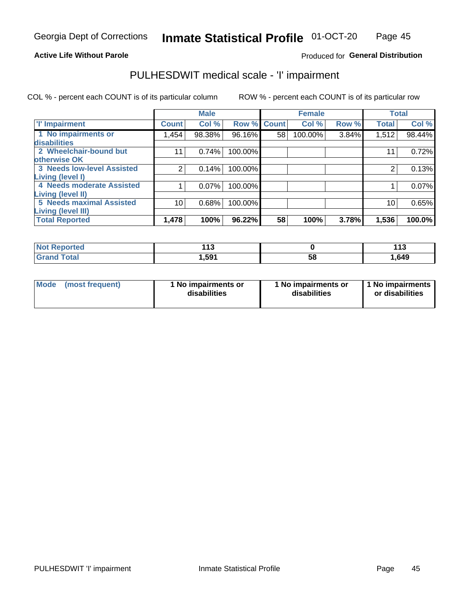#### **Active Life Without Parole**

#### Produced for General Distribution

## PULHESDWIT medical scale - 'I' impairment

|                                   |              | <b>Male</b> |             |    | <b>Female</b> |       |              | <b>Total</b> |
|-----------------------------------|--------------|-------------|-------------|----|---------------|-------|--------------|--------------|
| <b>T' Impairment</b>              | <b>Count</b> | Col %       | Row % Count |    | Col %         | Row % | <b>Total</b> | Col %        |
| 1 No impairments or               | 1,454        | 98.38%      | 96.16%      | 58 | 100.00%       | 3.84% | 1,512        | 98.44%       |
| disabilities                      |              |             |             |    |               |       |              |              |
| 2 Wheelchair-bound but            | 11           | 0.74%       | 100.00%     |    |               |       | 11           | 0.72%        |
| otherwise OK                      |              |             |             |    |               |       |              |              |
| <b>3 Needs low-level Assisted</b> | 2            | 0.14%       | 100.00%     |    |               |       |              | 0.13%        |
| Living (level I)                  |              |             |             |    |               |       |              |              |
| 4 Needs moderate Assisted         |              | 0.07%       | 100.00%     |    |               |       |              | 0.07%        |
| Living (level II)                 |              |             |             |    |               |       |              |              |
| <b>5 Needs maximal Assisted</b>   | 10           | 0.68%       | 100.00%     |    |               |       | 10           | 0.65%        |
| Living (level III)                |              |             |             |    |               |       |              |              |
| <b>Total Reported</b>             | 1,478        | 100%        | 96.22%      | 58 | 100%          | 3.78% | 1,536        | 100.0%       |

| Reported     | 442<br>. |    | 44C<br>. |
|--------------|----------|----|----------|
| <b>Total</b> | 591.ا    | 58 | 1,649    |

| Mode | (most frequent) | 1 No impairments or<br>disabilities | 1 No impairments or<br>disabilities | 1 No impairments<br>or disabilities |
|------|-----------------|-------------------------------------|-------------------------------------|-------------------------------------|
|------|-----------------|-------------------------------------|-------------------------------------|-------------------------------------|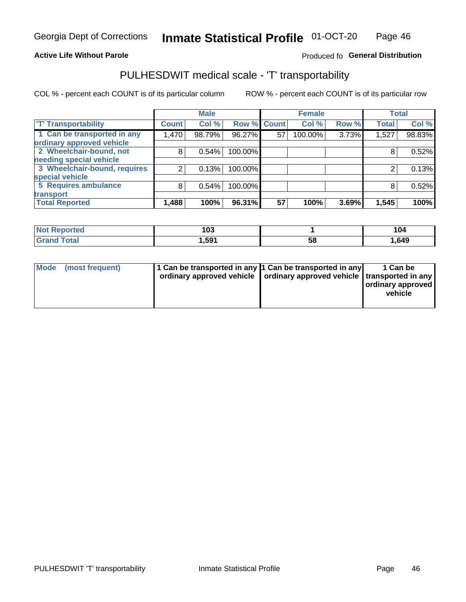#### **Active Life Without Parole**

### Produced fo General Distribution

## PULHESDWIT medical scale - 'T' transportability

COL % - percent each COUNT is of its particular column

|                              |              | <b>Male</b> |             |    | <b>Female</b> |       |              | <b>Total</b> |
|------------------------------|--------------|-------------|-------------|----|---------------|-------|--------------|--------------|
| <b>T' Transportability</b>   | <b>Count</b> | Col %       | Row % Count |    | Col %         | Row % | <b>Total</b> | Col %        |
| 1 Can be transported in any  | 1,470        | 98.79%      | 96.27%      | 57 | 100.00%       | 3.73% | 1,527        | 98.83%       |
| ordinary approved vehicle    |              |             |             |    |               |       |              |              |
| 2 Wheelchair-bound, not      | 8            | 0.54%       | 100.00%     |    |               |       |              | 0.52%        |
| needing special vehicle      |              |             |             |    |               |       |              |              |
| 3 Wheelchair-bound, requires |              | 0.13%       | 100.00%     |    |               |       |              | 0.13%        |
| special vehicle              |              |             |             |    |               |       |              |              |
| 5 Requires ambulance         | 8            | 0.54%       | 100.00%     |    |               |       |              | 0.52%        |
| transport                    |              |             |             |    |               |       |              |              |
| <b>Total Reported</b>        | 1,488        | 100%        | 96.31%      | 57 | 100%          | 3.69% | 1,545        | 100%         |

| orted        | 103   |    | 104    |
|--------------|-------|----|--------|
| <b>Total</b> | 591.ا | 58 | 649، ا |

| <b>Mode</b> | (most frequent) | 1 Can be transported in any 1 Can be transported in any | ordinary approved vehicle   ordinary approved vehicle   transported in any | 1 Can be<br>  ordinary approved  <br>vehicle |
|-------------|-----------------|---------------------------------------------------------|----------------------------------------------------------------------------|----------------------------------------------|
|-------------|-----------------|---------------------------------------------------------|----------------------------------------------------------------------------|----------------------------------------------|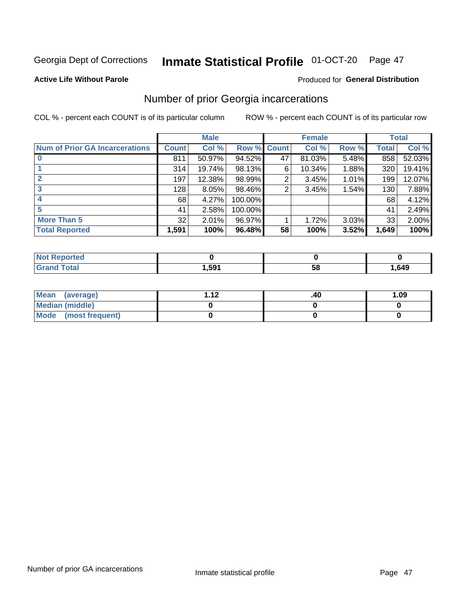## Inmate Statistical Profile 01-OCT-20 Page 47

#### **Active Life Without Parole**

#### Produced for General Distribution

## Number of prior Georgia incarcerations

COL % - percent each COUNT is of its particular column

|                                       |              | <b>Male</b> |             |    | <b>Female</b> |       |       | <b>Total</b> |
|---------------------------------------|--------------|-------------|-------------|----|---------------|-------|-------|--------------|
| <b>Num of Prior GA Incarcerations</b> | <b>Count</b> | Col %       | Row % Count |    | Col %         | Row % | Total | Col %        |
|                                       | 811          | 50.97%      | 94.52%      | 47 | 81.03%        | 5.48% | 858   | 52.03%       |
|                                       | 314          | 19.74%      | 98.13%      | 6  | 10.34%        | 1.88% | 320   | 19.41%       |
|                                       | 197          | 12.38%      | 98.99%      | 2  | 3.45%         | 1.01% | 199   | 12.07%       |
| 3                                     | 128          | 8.05%       | 98.46%      | 2  | 3.45%         | 1.54% | 130   | 7.88%        |
| 4                                     | 68           | 4.27%       | 100.00%     |    |               |       | 68    | 4.12%        |
| 5                                     | 41           | 2.58%       | 100.00%     |    |               |       | 41    | 2.49%        |
| <b>More Than 5</b>                    | 32           | 2.01%       | 96.97%      |    | 1.72%         | 3.03% | 33    | 2.00%        |
| <b>Total Reported</b>                 | 1,591        | 100%        | 96.48%      | 58 | 100%          | 3.52% | 1,649 | 100%         |

| <b>orted</b><br>NI 6             |        |            |        |
|----------------------------------|--------|------------|--------|
| <b>Total</b><br>$\mathbf{v}$ and | 591. ا | - 12<br>JL | 649، ا |

| Mean (average)       | 1 1 J | .40 | 1.09 |
|----------------------|-------|-----|------|
| Median (middle)      |       |     |      |
| Mode (most frequent) |       |     |      |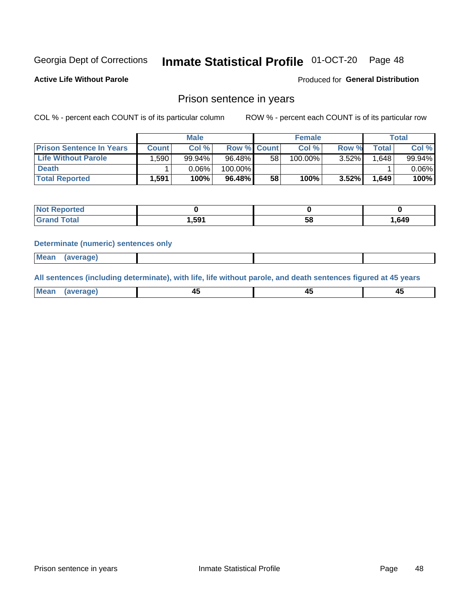#### Inmate Statistical Profile 01-OCT-20 Page 48

**Active Life Without Parole** 

Produced for General Distribution

### Prison sentence in years

COL % - percent each COUNT is of its particular column

ROW % - percent each COUNT is of its particular row

|                                 |              | <b>Male</b> |                    |    | <b>Female</b> |          |       | Total    |
|---------------------------------|--------------|-------------|--------------------|----|---------------|----------|-------|----------|
| <b>Prison Sentence In Years</b> | <b>Count</b> | Col %       | <b>Row % Count</b> |    | Col %         | Row %    | Total | Col %    |
| <b>Life Without Parole</b>      | .590'        | 99.94%      | 96.48%             | 58 | 100.00%       | 3.52%    | 1.648 | 99.94%   |
| <b>Death</b>                    |              | 0.06%       | 100.00%            |    |               |          |       | $0.06\%$ |
| <b>Total Reported</b>           | 1.591        | 100%        | 96.48%             | 58 | 100%          | $3.52\%$ | 1.649 | 100%     |

| <b>Reported</b><br><b>NOT</b> |       |    |       |
|-------------------------------|-------|----|-------|
| <b>Total</b>                  | .,591 | Эč | 1,649 |

#### **Determinate (numeric) sentences only**

| 1112211 | <b>Mean</b> | Ane <sup>*</sup> |  |  |
|---------|-------------|------------------|--|--|

All sentences (including determinate), with life, life without parole, and death sentences figured at 45 years

| l Mea<br>חר<br> | ᠇៶<br>$\sim$ | $\sim$ | ╌ |
|-----------------|--------------|--------|---|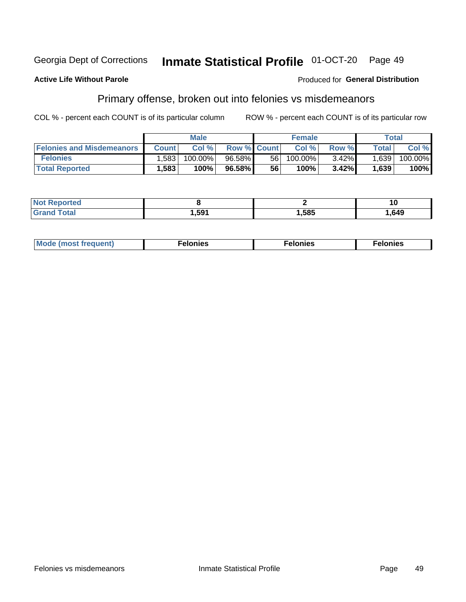#### Inmate Statistical Profile 01-OCT-20 Georgia Dept of Corrections Page 49

#### **Active Life Without Parole**

#### Produced for General Distribution

## Primary offense, broken out into felonies vs misdemeanors

COL % - percent each COUNT is of its particular column

|                                  |              | <b>Male</b> |                    |      | <b>Female</b> |          |              | Total      |
|----------------------------------|--------------|-------------|--------------------|------|---------------|----------|--------------|------------|
| <b>Felonies and Misdemeanors</b> | <b>Count</b> | Col%        | <b>Row % Count</b> |      | Col%          | Row %    | <b>Total</b> | Col %      |
| <b>Felonies</b>                  | 1,583        | 100.00%     | $96.58\%$          | 56 I | 100.00%       | $3.42\%$ | 1,639        | $100.00\%$ |
| <b>Total Reported</b>            | .583         | 100%        | 96.58%             | 56   | 100%          | 3.42%    | 1,639        | 100%       |

| <b>Not Reported</b>          |       |      | 10    |
|------------------------------|-------|------|-------|
| <b>Total</b><br><b>Grand</b> | .,591 | ,585 | . 649 |

| Mode (most frequent)<br>elonies | Felonies | Felonies |
|---------------------------------|----------|----------|
|---------------------------------|----------|----------|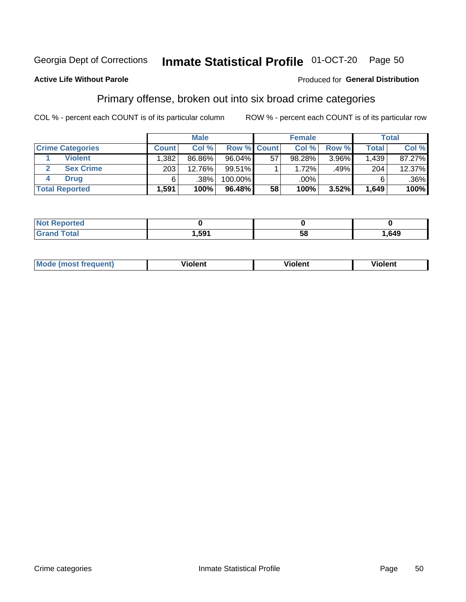#### Inmate Statistical Profile 01-OCT-20 Page 50

#### **Active Life Without Parole**

#### Produced for General Distribution

## Primary offense, broken out into six broad crime categories

COL % - percent each COUNT is of its particular column

|                         |              | <b>Male</b> |                    |    | <b>Female</b> |       |              | Total   |
|-------------------------|--------------|-------------|--------------------|----|---------------|-------|--------------|---------|
| <b>Crime Categories</b> | <b>Count</b> | Col%        | <b>Row % Count</b> |    | Col %         | Row % | <b>Total</b> | Col %   |
| <b>Violent</b>          | .382         | 86.86%      | 96.04%             | 57 | 98.28%        | 3.96% | 1,439        | 87.27%  |
| <b>Sex Crime</b>        | 203          | 12.76%      | $99.51\%$          |    | 1.72%         | .49%  | 204          | 12.37%  |
| <b>Drug</b>             | 6            | .38%        | 100.00%            |    | .00%          |       | 6            | $.36\%$ |
| <b>Total Reported</b>   | 1,591        | 100%        | 96.48%             | 58 | 100%          | 3.52% | 1,649        | 100%    |

| _____ | 501 | E O<br>-<br>Ju | ,649 |
|-------|-----|----------------|------|

| Mo<br>quenti | .<br>iolent<br>ΊΙ. | --<br>olent | .<br>'ent |
|--------------|--------------------|-------------|-----------|
|              |                    |             |           |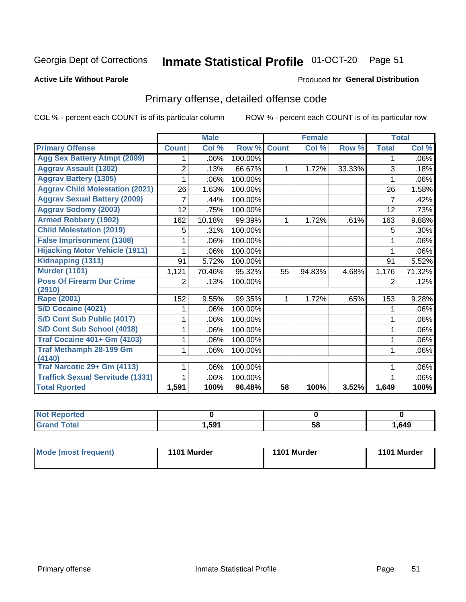## Inmate Statistical Profile 01-OCT-20 Page 51

#### **Active Life Without Parole**

#### Produced for General Distribution

## Primary offense, detailed offense code

COL % - percent each COUNT is of its particular column

|                                         |              | <b>Male</b>                |         |              | <b>Female</b> |        |                | <b>Total</b> |
|-----------------------------------------|--------------|----------------------------|---------|--------------|---------------|--------|----------------|--------------|
| <b>Primary Offense</b>                  | <b>Count</b> | $\overline{\text{Col }^9}$ | Row %   | <b>Count</b> | Col %         | Row %  | <b>Total</b>   | Col %        |
| <b>Agg Sex Battery Atmpt (2099)</b>     |              | .06%                       | 100.00% |              |               |        | 1              | .06%         |
| <b>Aggrav Assault (1302)</b>            | 2            | .13%                       | 66.67%  | 1            | 1.72%         | 33.33% | 3              | .18%         |
| <b>Aggrav Battery (1305)</b>            |              | .06%                       | 100.00% |              |               |        |                | .06%         |
| <b>Aggrav Child Molestation (2021)</b>  | 26           | 1.63%                      | 100.00% |              |               |        | 26             | 1.58%        |
| <b>Aggrav Sexual Battery (2009)</b>     |              | .44%                       | 100.00% |              |               |        | $\overline{7}$ | .42%         |
| <b>Aggrav Sodomy (2003)</b>             | 12           | .75%                       | 100.00% |              |               |        | 12             | .73%         |
| <b>Armed Robbery (1902)</b>             | 162          | 10.18%                     | 99.39%  | 1            | 1.72%         | .61%   | 163            | 9.88%        |
| <b>Child Molestation (2019)</b>         | 5            | .31%                       | 100.00% |              |               |        | 5              | .30%         |
| <b>False Imprisonment (1308)</b>        |              | .06%                       | 100.00% |              |               |        |                | .06%         |
| <b>Hijacking Motor Vehicle (1911)</b>   |              | .06%                       | 100.00% |              |               |        |                | .06%         |
| Kidnapping (1311)                       | 91           | 5.72%                      | 100.00% |              |               |        | 91             | 5.52%        |
| <b>Murder (1101)</b>                    | 1,121        | 70.46%                     | 95.32%  | 55           | 94.83%        | 4.68%  | 1,176          | 71.32%       |
| <b>Poss Of Firearm Dur Crime</b>        | 2            | .13%                       | 100.00% |              |               |        | 2              | .12%         |
| (2910)                                  |              |                            |         |              |               |        |                |              |
| Rape (2001)                             | 152          | 9.55%                      | 99.35%  |              | 1.72%         | .65%   | 153            | 9.28%        |
| S/D Cocaine (4021)                      |              | .06%                       | 100.00% |              |               |        |                | .06%         |
| S/D Cont Sub Public (4017)              |              | .06%                       | 100.00% |              |               |        |                | .06%         |
| S/D Cont Sub School (4018)              |              | .06%                       | 100.00% |              |               |        | 1              | .06%         |
| <b>Traf Cocaine 401+ Gm (4103)</b>      |              | .06%                       | 100.00% |              |               |        | 1              | .06%         |
| <b>Traf Methamph 28-199 Gm</b>          |              | .06%                       | 100.00% |              |               |        | 1              | .06%         |
| (4140)                                  |              |                            |         |              |               |        |                |              |
| Traf Narcotic 29+ Gm (4113)             |              | .06%                       | 100.00% |              |               |        |                | .06%         |
| <b>Traffick Sexual Servitude (1331)</b> |              | .06%                       | 100.00% |              |               |        |                | .06%         |
| <b>Total Rported</b>                    | 1,591        | 100%                       | 96.48%  | 58           | 100%          | 3.52%  | 1,649          | 100%         |

| <b>Not</b><br><b>orted</b><br>₹еос |      |    |      |
|------------------------------------|------|----|------|
| <b>Total</b>                       | ,591 | 58 | .649 |

| Mode (most frequent) | 1101 Murder | 1101 Murder | 1101 Murder |
|----------------------|-------------|-------------|-------------|
|----------------------|-------------|-------------|-------------|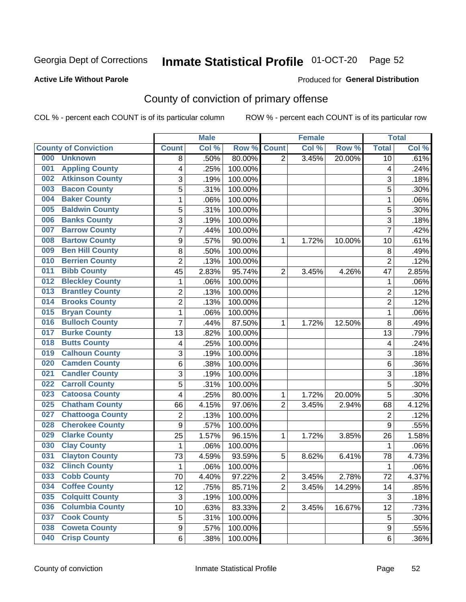## Inmate Statistical Profile 01-OCT-20 Page 52

#### **Active Life Without Parole**

#### Produced for General Distribution

## County of conviction of primary offense

COL % - percent each COUNT is of its particular column

|                                |                  | <b>Male</b> |         |                | <b>Female</b> |        |                | <b>Total</b> |
|--------------------------------|------------------|-------------|---------|----------------|---------------|--------|----------------|--------------|
| <b>County of Conviction</b>    | <b>Count</b>     | Col%        | Row %   | <b>Count</b>   | Col %         | Row %  | <b>Total</b>   | Col %        |
| 000<br><b>Unknown</b>          | 8                | .50%        | 80.00%  | $\overline{2}$ | 3.45%         | 20.00% | 10             | .61%         |
| <b>Appling County</b><br>001   | 4                | .25%        | 100.00% |                |               |        | 4              | .24%         |
| <b>Atkinson County</b><br>002  | 3                | .19%        | 100.00% |                |               |        | 3              | .18%         |
| <b>Bacon County</b><br>003     | 5                | .31%        | 100.00% |                |               |        | 5              | .30%         |
| <b>Baker County</b><br>004     | 1                | .06%        | 100.00% |                |               |        | 1              | .06%         |
| <b>Baldwin County</b><br>005   | 5                | .31%        | 100.00% |                |               |        | 5              | .30%         |
| <b>Banks County</b><br>006     | 3                | .19%        | 100.00% |                |               |        | 3              | .18%         |
| <b>Barrow County</b><br>007    | $\overline{7}$   | .44%        | 100.00% |                |               |        | $\overline{7}$ | .42%         |
| <b>Bartow County</b><br>008    | $\boldsymbol{9}$ | .57%        | 90.00%  | 1              | 1.72%         | 10.00% | 10             | .61%         |
| <b>Ben Hill County</b><br>009  | 8                | .50%        | 100.00% |                |               |        | 8              | .49%         |
| <b>Berrien County</b><br>010   | $\overline{c}$   | .13%        | 100.00% |                |               |        | $\overline{2}$ | .12%         |
| <b>Bibb County</b><br>011      | 45               | 2.83%       | 95.74%  | $\overline{2}$ | 3.45%         | 4.26%  | 47             | 2.85%        |
| <b>Bleckley County</b><br>012  | 1                | .06%        | 100.00% |                |               |        | 1              | .06%         |
| <b>Brantley County</b><br>013  | $\overline{2}$   | .13%        | 100.00% |                |               |        | $\overline{2}$ | .12%         |
| <b>Brooks County</b><br>014    | $\overline{c}$   | .13%        | 100.00% |                |               |        | $\overline{2}$ | .12%         |
| <b>Bryan County</b><br>015     | $\mathbf{1}$     | .06%        | 100.00% |                |               |        | $\mathbf{1}$   | .06%         |
| <b>Bulloch County</b><br>016   | $\overline{7}$   | .44%        | 87.50%  | 1              | 1.72%         | 12.50% | 8              | .49%         |
| <b>Burke County</b><br>017     | 13               | .82%        | 100.00% |                |               |        | 13             | .79%         |
| <b>Butts County</b><br>018     | 4                | .25%        | 100.00% |                |               |        | 4              | .24%         |
| <b>Calhoun County</b><br>019   | 3                | .19%        | 100.00% |                |               |        | $\sqrt{3}$     | .18%         |
| <b>Camden County</b><br>020    | 6                | .38%        | 100.00% |                |               |        | 6              | .36%         |
| <b>Candler County</b><br>021   | 3                | .19%        | 100.00% |                |               |        | 3              | .18%         |
| <b>Carroll County</b><br>022   | 5                | .31%        | 100.00% |                |               |        | 5              | .30%         |
| <b>Catoosa County</b><br>023   | 4                | .25%        | 80.00%  | 1              | 1.72%         | 20.00% | 5              | .30%         |
| <b>Chatham County</b><br>025   | 66               | 4.15%       | 97.06%  | $\overline{2}$ | 3.45%         | 2.94%  | 68             | 4.12%        |
| <b>Chattooga County</b><br>027 | $\overline{2}$   | .13%        | 100.00% |                |               |        | $\overline{2}$ | .12%         |
| <b>Cherokee County</b><br>028  | $\boldsymbol{9}$ | .57%        | 100.00% |                |               |        | 9              | .55%         |
| <b>Clarke County</b><br>029    | 25               | 1.57%       | 96.15%  | 1              | 1.72%         | 3.85%  | 26             | 1.58%        |
| <b>Clay County</b><br>030      | $\mathbf{1}$     | .06%        | 100.00% |                |               |        | $\mathbf 1$    | .06%         |
| <b>Clayton County</b><br>031   | 73               | 4.59%       | 93.59%  | 5              | 8.62%         | 6.41%  | 78             | 4.73%        |
| <b>Clinch County</b><br>032    | 1                | .06%        | 100.00% |                |               |        | 1              | .06%         |
| <b>Cobb County</b><br>033      | 70               | 4.40%       | 97.22%  | 2              | 3.45%         | 2.78%  | 72             | 4.37%        |
| <b>Coffee County</b><br>034    | 12               | .75%        | 85.71%  | $\overline{2}$ | 3.45%         | 14.29% | 14             | .85%         |
| 035<br><b>Colquitt County</b>  | $\sqrt{3}$       | .19%        | 100.00% |                |               |        | $\sqrt{3}$     | .18%         |
| <b>Columbia County</b><br>036  | 10               | .63%        | 83.33%  | $\overline{2}$ | 3.45%         | 16.67% | 12             | .73%         |
| <b>Cook County</b><br>037      | 5                | .31%        | 100.00% |                |               |        | 5              | .30%         |
| <b>Coweta County</b><br>038    | $\boldsymbol{9}$ | .57%        | 100.00% |                |               |        | 9              | .55%         |
| <b>Crisp County</b><br>040     | 6                | .38%        | 100.00% |                |               |        | 6              | .36%         |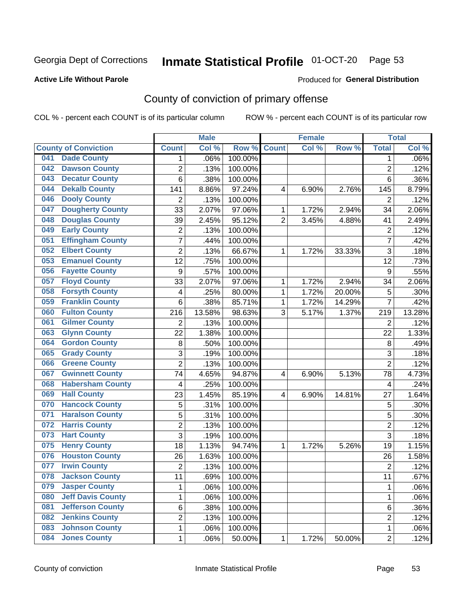## Inmate Statistical Profile 01-OCT-20 Page 53

#### **Active Life Without Parole**

#### Produced for General Distribution

## County of conviction of primary offense

COL % - percent each COUNT is of its particular column

|     |                             |                  | <b>Male</b> |         |                | <b>Female</b> |        |                | <b>Total</b> |
|-----|-----------------------------|------------------|-------------|---------|----------------|---------------|--------|----------------|--------------|
|     | <b>County of Conviction</b> | <b>Count</b>     | Col %       | Row %   | <b>Count</b>   | Col %         | Row %  | <b>Total</b>   | Col %        |
| 041 | <b>Dade County</b>          | 1                | .06%        | 100.00% |                |               |        | 1              | .06%         |
| 042 | <b>Dawson County</b>        | $\overline{2}$   | .13%        | 100.00% |                |               |        | $\overline{2}$ | .12%         |
| 043 | <b>Decatur County</b>       | 6                | .38%        | 100.00% |                |               |        | 6              | .36%         |
| 044 | <b>Dekalb County</b>        | 141              | 8.86%       | 97.24%  | 4              | 6.90%         | 2.76%  | 145            | 8.79%        |
| 046 | <b>Dooly County</b>         | $\overline{2}$   | .13%        | 100.00% |                |               |        | $\overline{2}$ | .12%         |
| 047 | <b>Dougherty County</b>     | 33               | 2.07%       | 97.06%  | 1              | 1.72%         | 2.94%  | 34             | 2.06%        |
| 048 | <b>Douglas County</b>       | 39               | 2.45%       | 95.12%  | $\overline{2}$ | 3.45%         | 4.88%  | 41             | 2.49%        |
| 049 | <b>Early County</b>         | $\mathbf 2$      | .13%        | 100.00% |                |               |        | $\overline{2}$ | .12%         |
| 051 | <b>Effingham County</b>     | 7                | .44%        | 100.00% |                |               |        | $\overline{7}$ | .42%         |
| 052 | <b>Elbert County</b>        | $\overline{2}$   | .13%        | 66.67%  | 1              | 1.72%         | 33.33% | 3              | .18%         |
| 053 | <b>Emanuel County</b>       | 12               | .75%        | 100.00% |                |               |        | 12             | .73%         |
| 056 | <b>Fayette County</b>       | $\boldsymbol{9}$ | .57%        | 100.00% |                |               |        | 9              | .55%         |
| 057 | <b>Floyd County</b>         | 33               | 2.07%       | 97.06%  | $\mathbf{1}$   | 1.72%         | 2.94%  | 34             | 2.06%        |
| 058 | <b>Forsyth County</b>       | 4                | .25%        | 80.00%  | 1              | 1.72%         | 20.00% | 5              | .30%         |
| 059 | <b>Franklin County</b>      | 6                | .38%        | 85.71%  | 1              | 1.72%         | 14.29% | $\overline{7}$ | .42%         |
| 060 | <b>Fulton County</b>        | 216              | 13.58%      | 98.63%  | 3              | 5.17%         | 1.37%  | 219            | 13.28%       |
| 061 | <b>Gilmer County</b>        | $\overline{2}$   | .13%        | 100.00% |                |               |        | $\overline{2}$ | .12%         |
| 063 | <b>Glynn County</b>         | 22               | 1.38%       | 100.00% |                |               |        | 22             | 1.33%        |
| 064 | <b>Gordon County</b>        | 8                | .50%        | 100.00% |                |               |        | 8              | .49%         |
| 065 | <b>Grady County</b>         | 3                | .19%        | 100.00% |                |               |        | 3              | .18%         |
| 066 | <b>Greene County</b>        | $\overline{2}$   | .13%        | 100.00% |                |               |        | $\overline{2}$ | .12%         |
| 067 | <b>Gwinnett County</b>      | 74               | 4.65%       | 94.87%  | 4              | 6.90%         | 5.13%  | 78             | 4.73%        |
| 068 | <b>Habersham County</b>     | 4                | .25%        | 100.00% |                |               |        | 4              | .24%         |
| 069 | <b>Hall County</b>          | 23               | 1.45%       | 85.19%  | 4              | 6.90%         | 14.81% | 27             | 1.64%        |
| 070 | <b>Hancock County</b>       | 5                | .31%        | 100.00% |                |               |        | 5              | .30%         |
| 071 | <b>Haralson County</b>      | 5                | .31%        | 100.00% |                |               |        | 5              | .30%         |
| 072 | <b>Harris County</b>        | $\overline{c}$   | .13%        | 100.00% |                |               |        | $\overline{2}$ | .12%         |
| 073 | <b>Hart County</b>          | 3                | .19%        | 100.00% |                |               |        | $\overline{3}$ | .18%         |
| 075 | <b>Henry County</b>         | 18               | 1.13%       | 94.74%  | $\mathbf{1}$   | 1.72%         | 5.26%  | 19             | 1.15%        |
| 076 | <b>Houston County</b>       | 26               | 1.63%       | 100.00% |                |               |        | 26             | 1.58%        |
| 077 | <b>Irwin County</b>         | $\overline{c}$   | .13%        | 100.00% |                |               |        | $\overline{2}$ | .12%         |
| 078 | <b>Jackson County</b>       | 11               | .69%        | 100.00% |                |               |        | 11             | $.67\%$      |
| 079 | <b>Jasper County</b>        | $\mathbf{1}$     | .06%        | 100.00% |                |               |        | $\mathbf{1}$   | .06%         |
| 080 | <b>Jeff Davis County</b>    | 1                | .06%        | 100.00% |                |               |        | $\mathbf{1}$   | .06%         |
| 081 | <b>Jefferson County</b>     | 6                | .38%        | 100.00% |                |               |        | 6              | .36%         |
| 082 | <b>Jenkins County</b>       | $\overline{2}$   | .13%        | 100.00% |                |               |        | $\overline{2}$ | .12%         |
| 083 | <b>Johnson County</b>       | $\mathbf 1$      | .06%        | 100.00% |                |               |        | $\mathbf 1$    | .06%         |
| 084 | <b>Jones County</b>         | $\mathbf 1$      | .06%        | 50.00%  | 1              | 1.72%         | 50.00% | $\overline{2}$ | .12%         |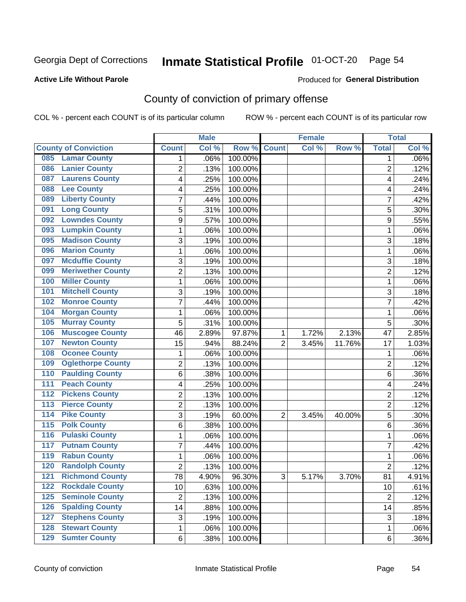## Inmate Statistical Profile 01-OCT-20 Page 54

#### **Active Life Without Parole**

#### Produced for General Distribution

## County of conviction of primary offense

COL % - percent each COUNT is of its particular column

|                                        |                 | <b>Male</b> |         |                | <b>Female</b> |        |                 | <b>Total</b> |
|----------------------------------------|-----------------|-------------|---------|----------------|---------------|--------|-----------------|--------------|
| <b>County of Conviction</b>            | <b>Count</b>    | Col %       | Row %   | <b>Count</b>   | Col %         | Row %  | <b>Total</b>    | Col %        |
| 085 Lamar County                       | 1               | .06%        | 100.00% |                |               |        | 1               | .06%         |
| <b>Lanier County</b><br>086            | $\overline{2}$  | .13%        | 100.00% |                |               |        | $\overline{2}$  | .12%         |
| <b>Laurens County</b><br>087           | 4               | .25%        | 100.00% |                |               |        | 4               | .24%         |
| <b>Lee County</b><br>088               | 4               | .25%        | 100.00% |                |               |        | 4               | .24%         |
| <b>Liberty County</b><br>089           | 7               | .44%        | 100.00% |                |               |        | 7               | .42%         |
| <b>Long County</b><br>091              | 5               | .31%        | 100.00% |                |               |        | 5               | .30%         |
| <b>Lowndes County</b><br>092           | 9               | .57%        | 100.00% |                |               |        | 9               | .55%         |
| <b>Lumpkin County</b><br>093           | $\mathbf{1}$    | .06%        | 100.00% |                |               |        | 1               | .06%         |
| <b>Madison County</b><br>095           | 3               | .19%        | 100.00% |                |               |        | 3               | .18%         |
| <b>Marion County</b><br>096            | 1               | .06%        | 100.00% |                |               |        | 1               | .06%         |
| <b>Mcduffie County</b><br>097          | 3               | .19%        | 100.00% |                |               |        | 3               | .18%         |
| <b>Meriwether County</b><br>099        | $\overline{2}$  | .13%        | 100.00% |                |               |        | $\overline{2}$  | .12%         |
| <b>Miller County</b><br>100            | 1               | .06%        | 100.00% |                |               |        | 1               | .06%         |
| <b>Mitchell County</b><br>101          | 3               | .19%        | 100.00% |                |               |        | 3               | .18%         |
| <b>Monroe County</b><br>102            | 7               | .44%        | 100.00% |                |               |        | $\overline{7}$  | .42%         |
| <b>Morgan County</b><br>104            | 1               | .06%        | 100.00% |                |               |        | 1               | .06%         |
| <b>Murray County</b><br>105            | 5               | .31%        | 100.00% |                |               |        | 5               | .30%         |
| <b>Muscogee County</b><br>106          | 46              | 2.89%       | 97.87%  | 1              | 1.72%         | 2.13%  | 47              | 2.85%        |
| <b>Newton County</b><br>107            | 15              | .94%        | 88.24%  | $\overline{2}$ | 3.45%         | 11.76% | 17              | 1.03%        |
| <b>Oconee County</b><br>108            | 1               | .06%        | 100.00% |                |               |        | 1               | .06%         |
| <b>Oglethorpe County</b><br>109        | 2               | .13%        | 100.00% |                |               |        | $\overline{2}$  | .12%         |
| <b>Paulding County</b><br>110          | 6               | .38%        | 100.00% |                |               |        | 6               | .36%         |
| <b>Peach County</b><br>111             | 4               | .25%        | 100.00% |                |               |        | 4               | .24%         |
| <b>Pickens County</b><br>112           | $\overline{2}$  | .13%        | 100.00% |                |               |        | $\overline{2}$  | .12%         |
| <b>Pierce County</b><br>113            | $\overline{2}$  | .13%        | 100.00% |                |               |        | 2               | .12%         |
| <b>Pike County</b><br>$\overline{114}$ | 3               | .19%        | 60.00%  | $\overline{2}$ | 3.45%         | 40.00% | 5               | .30%         |
| <b>Polk County</b><br>$\overline{115}$ | 6               | .38%        | 100.00% |                |               |        | 6               | .36%         |
| <b>Pulaski County</b><br>116           | 1               | .06%        | 100.00% |                |               |        | 1               | .06%         |
| <b>Putnam County</b><br>117            | 7               | .44%        | 100.00% |                |               |        | 7               | .42%         |
| <b>Rabun County</b><br>119             | 1               | .06%        | 100.00% |                |               |        | 1               | .06%         |
| <b>Randolph County</b><br>120          | $\overline{2}$  | .13%        | 100.00% |                |               |        | $\overline{2}$  | .12%         |
| <b>121 Richmond County</b>             | $\overline{78}$ | 4.90%       | 96.30%  | З              | 5.17%         | 3.70%  | $\overline{81}$ | 4.91%        |
| <b>Rockdale County</b><br>122          | 10              | .63%        | 100.00% |                |               |        | 10              | .61%         |
| $125$<br><b>Seminole County</b>        | $\overline{2}$  | .13%        | 100.00% |                |               |        | $\overline{2}$  | .12%         |
| <b>Spalding County</b><br>126          | 14              | .88%        | 100.00% |                |               |        | 14              | .85%         |
| <b>Stephens County</b><br>127          | 3               | .19%        | 100.00% |                |               |        | 3               | .18%         |
| <b>Stewart County</b><br>128           | 1               | .06%        | 100.00% |                |               |        | 1               | .06%         |
| <b>Sumter County</b><br>129            | 6               | .38%        | 100.00% |                |               |        | 6               | $.36\%$      |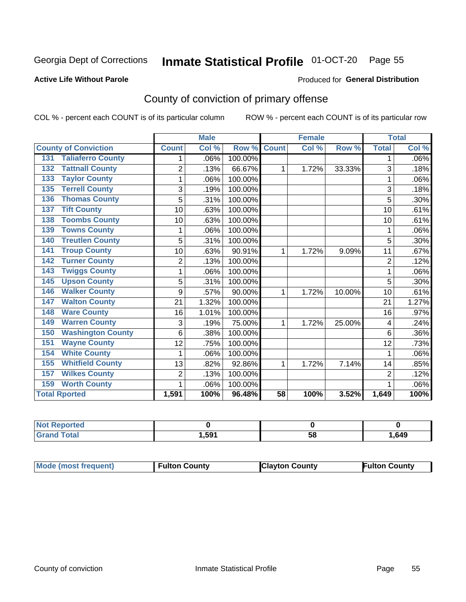## Inmate Statistical Profile 01-OCT-20 Page 55

#### **Active Life Without Parole**

#### Produced for General Distribution

## County of conviction of primary offense

COL % - percent each COUNT is of its particular column

|                                 |                | <b>Male</b> |         |                 | <b>Female</b> |        | <b>Total</b>   |       |
|---------------------------------|----------------|-------------|---------|-----------------|---------------|--------|----------------|-------|
| <b>County of Conviction</b>     | <b>Count</b>   | Col %       | Row %   | <b>Count</b>    | Col %         | Row %  | <b>Total</b>   | Col % |
| <b>Taliaferro County</b><br>131 | 1              | .06%        | 100.00% |                 |               |        | 1              | .06%  |
| <b>Tattnall County</b><br>132   | $\overline{2}$ | .13%        | 66.67%  | 1               | 1.72%         | 33.33% | 3              | .18%  |
| <b>Taylor County</b><br>133     | 1              | .06%        | 100.00% |                 |               |        | 1              | .06%  |
| <b>Terrell County</b><br>135    | 3              | .19%        | 100.00% |                 |               |        | 3              | .18%  |
| <b>Thomas County</b><br>136     | 5              | .31%        | 100.00% |                 |               |        | 5              | .30%  |
| <b>Tift County</b><br>137       | 10             | .63%        | 100.00% |                 |               |        | 10             | .61%  |
| <b>Toombs County</b><br>138     | 10             | .63%        | 100.00% |                 |               |        | 10             | .61%  |
| <b>Towns County</b><br>139      | 1              | .06%        | 100.00% |                 |               |        | 1              | .06%  |
| <b>Treutlen County</b><br>140   | 5              | .31%        | 100.00% |                 |               |        | 5              | .30%  |
| <b>Troup County</b><br>141      | 10             | .63%        | 90.91%  | 1               | 1.72%         | 9.09%  | 11             | .67%  |
| <b>Turner County</b><br>142     | $\overline{2}$ | .13%        | 100.00% |                 |               |        | $\overline{2}$ | .12%  |
| <b>Twiggs County</b><br>143     | 1              | .06%        | 100.00% |                 |               |        | 1              | .06%  |
| <b>Upson County</b><br>145      | 5              | .31%        | 100.00% |                 |               |        | 5              | .30%  |
| <b>Walker County</b><br>146     | 9              | .57%        | 90.00%  | 1               | 1.72%         | 10.00% | 10             | .61%  |
| <b>Walton County</b><br>147     | 21             | 1.32%       | 100.00% |                 |               |        | 21             | 1.27% |
| <b>Ware County</b><br>148       | 16             | 1.01%       | 100.00% |                 |               |        | 16             | .97%  |
| <b>Warren County</b><br>149     | 3              | .19%        | 75.00%  | 1               | 1.72%         | 25.00% | 4              | .24%  |
| <b>Washington County</b><br>150 | 6              | .38%        | 100.00% |                 |               |        | 6              | .36%  |
| <b>Wayne County</b><br>151      | 12             | .75%        | 100.00% |                 |               |        | 12             | .73%  |
| <b>White County</b><br>154      | 1              | .06%        | 100.00% |                 |               |        | 1              | .06%  |
| <b>Whitfield County</b><br>155  | 13             | .82%        | 92.86%  | 1               | 1.72%         | 7.14%  | 14             | .85%  |
| <b>Wilkes County</b><br>157     | 2              | .13%        | 100.00% |                 |               |        | $\overline{2}$ | .12%  |
| <b>Worth County</b><br>159      | 1              | .06%        | 100.00% |                 |               |        |                | .06%  |
| <b>Total Rported</b>            | 1,591          | 100%        | 96.48%  | $\overline{58}$ | 100%          | 3.52%  | 1,649          | 100%  |

| τeα |     |    |      |
|-----|-----|----|------|
|     | 591 | ວດ | ,649 |

| Mode (most frequent) | <b>Fulton County</b> | <b>Clayton County</b> | <b>Fulton County</b> |
|----------------------|----------------------|-----------------------|----------------------|
|----------------------|----------------------|-----------------------|----------------------|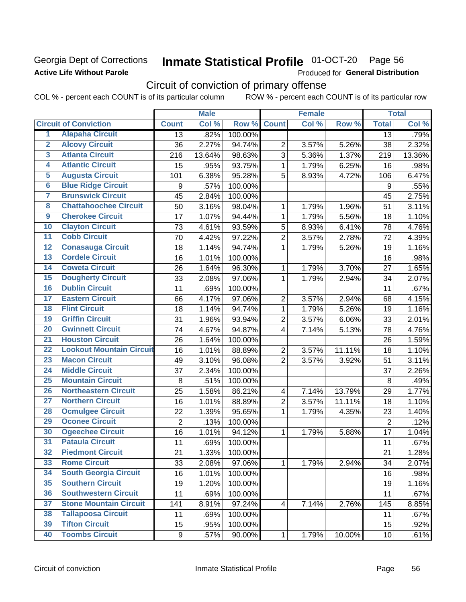### Georgia Dept of Corrections **Active Life Without Parole**

## Inmate Statistical Profile 01-OCT-20 Page 56

Produced for General Distribution

## Circuit of conviction of primary offense

|                         |                                 |                  | <b>Male</b> |         |                          | <b>Female</b> |        |                  | <b>Total</b> |
|-------------------------|---------------------------------|------------------|-------------|---------|--------------------------|---------------|--------|------------------|--------------|
|                         | <b>Circuit of Conviction</b>    | <b>Count</b>     | Col %       | Row %   | <b>Count</b>             | Col %         | Row %  | <b>Total</b>     | Col %        |
| 1                       | <b>Alapaha Circuit</b>          | $\overline{13}$  | .82%        | 100.00% |                          |               |        | 13               | .79%         |
| $\overline{2}$          | <b>Alcovy Circuit</b>           | 36               | 2.27%       | 94.74%  | $\overline{2}$           | 3.57%         | 5.26%  | 38               | 2.32%        |
| $\overline{\mathbf{3}}$ | <b>Atlanta Circuit</b>          | 216              | 13.64%      | 98.63%  | 3                        | 5.36%         | 1.37%  | 219              | 13.36%       |
| 4                       | <b>Atlantic Circuit</b>         | 15               | .95%        | 93.75%  | $\mathbf 1$              | 1.79%         | 6.25%  | 16               | .98%         |
| 5                       | <b>Augusta Circuit</b>          | 101              | 6.38%       | 95.28%  | 5                        | 8.93%         | 4.72%  | 106              | 6.47%        |
| $\overline{6}$          | <b>Blue Ridge Circuit</b>       | $\boldsymbol{9}$ | .57%        | 100.00% |                          |               |        | $\boldsymbol{9}$ | .55%         |
| 7                       | <b>Brunswick Circuit</b>        | 45               | 2.84%       | 100.00% |                          |               |        | 45               | 2.75%        |
| 8                       | <b>Chattahoochee Circuit</b>    | 50               | 3.16%       | 98.04%  | 1                        | 1.79%         | 1.96%  | 51               | 3.11%        |
| $\overline{9}$          | <b>Cherokee Circuit</b>         | 17               | 1.07%       | 94.44%  | 1                        | 1.79%         | 5.56%  | 18               | 1.10%        |
| 10                      | <b>Clayton Circuit</b>          | 73               | 4.61%       | 93.59%  | $\sqrt{5}$               | 8.93%         | 6.41%  | 78               | 4.76%        |
| $\overline{11}$         | <b>Cobb Circuit</b>             | 70               | 4.42%       | 97.22%  | $\overline{c}$           | 3.57%         | 2.78%  | 72               | 4.39%        |
| 12                      | <b>Conasauga Circuit</b>        | 18               | 1.14%       | 94.74%  | $\mathbf{1}$             | 1.79%         | 5.26%  | 19               | 1.16%        |
| 13                      | <b>Cordele Circuit</b>          | 16               | 1.01%       | 100.00% |                          |               |        | 16               | .98%         |
| $\overline{14}$         | <b>Coweta Circuit</b>           | 26               | 1.64%       | 96.30%  | $\mathbf{1}$             | 1.79%         | 3.70%  | 27               | 1.65%        |
| $\overline{15}$         | <b>Dougherty Circuit</b>        | 33               | 2.08%       | 97.06%  | $\mathbf 1$              | 1.79%         | 2.94%  | 34               | 2.07%        |
| 16                      | <b>Dublin Circuit</b>           | 11               | .69%        | 100.00% |                          |               |        | 11               | .67%         |
| 17                      | <b>Eastern Circuit</b>          | 66               | 4.17%       | 97.06%  | $\overline{2}$           | 3.57%         | 2.94%  | 68               | 4.15%        |
| 18                      | <b>Flint Circuit</b>            | 18               | 1.14%       | 94.74%  | $\mathbf{1}$             | 1.79%         | 5.26%  | 19               | 1.16%        |
| 19                      | <b>Griffin Circuit</b>          | 31               | 1.96%       | 93.94%  | $\overline{2}$           | 3.57%         | 6.06%  | 33               | 2.01%        |
| $\overline{20}$         | <b>Gwinnett Circuit</b>         | 74               | 4.67%       | 94.87%  | 4                        | 7.14%         | 5.13%  | 78               | 4.76%        |
| $\overline{21}$         | <b>Houston Circuit</b>          | 26               | 1.64%       | 100.00% |                          |               |        | 26               | 1.59%        |
| $\overline{22}$         | <b>Lookout Mountain Circuit</b> | 16               | 1.01%       | 88.89%  | $\overline{2}$           | 3.57%         | 11.11% | 18               | 1.10%        |
| 23                      | <b>Macon Circuit</b>            | 49               | 3.10%       | 96.08%  | $\overline{2}$           | 3.57%         | 3.92%  | 51               | 3.11%        |
| $\overline{24}$         | <b>Middle Circuit</b>           | 37               | 2.34%       | 100.00% |                          |               |        | 37               | 2.26%        |
| $\overline{25}$         | <b>Mountain Circuit</b>         | 8                | .51%        | 100.00% |                          |               |        | 8                | .49%         |
| 26                      | <b>Northeastern Circuit</b>     | 25               | 1.58%       | 86.21%  | $\overline{\mathcal{A}}$ | 7.14%         | 13.79% | 29               | 1.77%        |
| $\overline{27}$         | <b>Northern Circuit</b>         | 16               | 1.01%       | 88.89%  | $\overline{c}$           | 3.57%         | 11.11% | 18               | 1.10%        |
| 28                      | <b>Ocmulgee Circuit</b>         | 22               | 1.39%       | 95.65%  | $\mathbf{1}$             | 1.79%         | 4.35%  | 23               | 1.40%        |
| 29                      | <b>Oconee Circuit</b>           | $\overline{2}$   | .13%        | 100.00% |                          |               |        | $\overline{2}$   | .12%         |
| 30                      | <b>Ogeechee Circuit</b>         | 16               | 1.01%       | 94.12%  | 1                        | 1.79%         | 5.88%  | 17               | 1.04%        |
| $\overline{31}$         | <b>Pataula Circuit</b>          | 11               | .69%        | 100.00% |                          |               |        | 11               | .67%         |
| 32                      | <b>Piedmont Circuit</b>         | 21               | 1.33%       | 100.00% |                          |               |        | 21               | 1.28%        |
| 33                      | <b>Rome Circuit</b>             | 33               | 2.08%       | 97.06%  | $\mathbf{1}$             | 1.79%         | 2.94%  | 34               | 2.07%        |
| 34                      | <b>South Georgia Circuit</b>    | 16               | 1.01%       | 100.00% |                          |               |        | 16               | .98%         |
| 35                      | <b>Southern Circuit</b>         | 19               | 1.20%       | 100.00% |                          |               |        | 19               | 1.16%        |
| 36                      | <b>Southwestern Circuit</b>     | 11               | .69%        | 100.00% |                          |               |        | 11               | .67%         |
| 37                      | <b>Stone Mountain Circuit</b>   | 141              | 8.91%       | 97.24%  | 4                        | 7.14%         | 2.76%  | 145              | 8.85%        |
| 38                      | <b>Tallapoosa Circuit</b>       | 11               | .69%        | 100.00% |                          |               |        | 11               | .67%         |
| 39                      | <b>Tifton Circuit</b>           | 15               | .95%        | 100.00% |                          |               |        | 15               | .92%         |
| 40                      | <b>Toombs Circuit</b>           | 9                | .57%        | 90.00%  | $\mathbf{1}$             | 1.79%         | 10.00% | 10 <sub>1</sub>  | .61%         |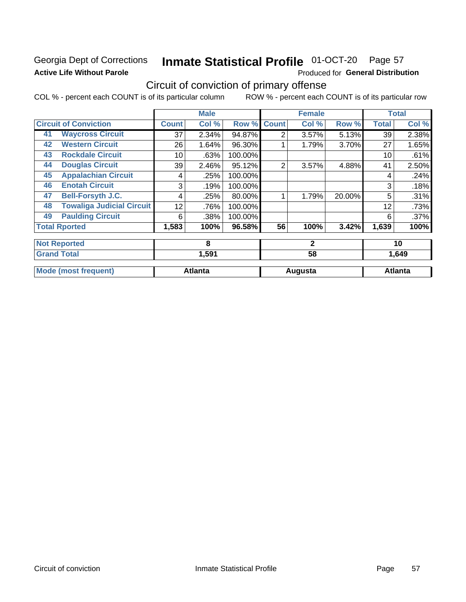## Georgia Dept of Corrections **Active Life Without Parole**

#### Inmate Statistical Profile 01-OCT-20 Page 57

Produced for General Distribution

## Circuit of conviction of primary offense

|    |                                  |              | <b>Male</b>    |         |                | <b>Female</b> |        |              | <b>Total</b>   |
|----|----------------------------------|--------------|----------------|---------|----------------|---------------|--------|--------------|----------------|
|    | <b>Circuit of Conviction</b>     | <b>Count</b> | Col %          | Row %   | <b>Count</b>   | Col %         | Row %  | <b>Total</b> | Col %          |
| 41 | <b>Waycross Circuit</b>          | 37           | 2.34%          | 94.87%  | 2              | 3.57%         | 5.13%  | 39           | 2.38%          |
| 42 | <b>Western Circuit</b>           | 26           | 1.64%          | 96.30%  |                | 1.79%         | 3.70%  | 27           | 1.65%          |
| 43 | <b>Rockdale Circuit</b>          | 10           | .63%           | 100.00% |                |               |        | 10           | .61%           |
| 44 | <b>Douglas Circuit</b>           | 39           | 2.46%          | 95.12%  | $\overline{2}$ | 3.57%         | 4.88%  | 41           | 2.50%          |
| 45 | <b>Appalachian Circuit</b>       | 4            | .25%           | 100.00% |                |               |        | 4            | .24%           |
| 46 | <b>Enotah Circuit</b>            | 3            | .19%           | 100.00% |                |               |        | 3            | .18%           |
| 47 | <b>Bell-Forsyth J.C.</b>         | 4            | .25%           | 80.00%  |                | 1.79%         | 20.00% | 5            | .31%           |
| 48 | <b>Towaliga Judicial Circuit</b> | 12           | .76%           | 100.00% |                |               |        | 12           | .73%           |
| 49 | <b>Paulding Circuit</b>          | 6            | .38%           | 100.00% |                |               |        | 6            | .37%           |
|    | <b>Total Rported</b>             | 1,583        | 100%           | 96.58%  | 56             | 100%          | 3.42%  | 1,639        | 100%           |
|    | <b>Not Reported</b>              |              | 8              |         |                | $\mathbf{2}$  |        |              | 10             |
|    | <b>Grand Total</b>               |              | 1,591          |         |                | 58            |        |              | 1,649          |
|    | <b>Mode (most frequent)</b>      |              | <b>Atlanta</b> |         |                | Augusta       |        |              | <b>Atlanta</b> |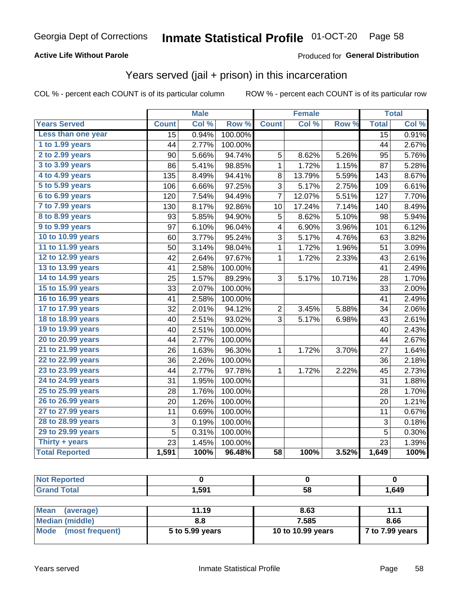#### **Active Life Without Parole**

### **Produced for General Distribution**

## Years served (jail + prison) in this incarceration

COL % - percent each COUNT is of its particular column

|                        |              | <b>Male</b> |         | <b>Female</b>   |        |        |                 | <b>Total</b> |
|------------------------|--------------|-------------|---------|-----------------|--------|--------|-----------------|--------------|
| <b>Years Served</b>    | <b>Count</b> | Col %       | Row %   | <b>Count</b>    | Col %  | Row %  | <b>Total</b>    | Col %        |
| Less than one year     | 15           | 0.94%       | 100.00% |                 |        |        | $\overline{15}$ | 0.91%        |
| 1 to 1.99 years        | 44           | 2.77%       | 100.00% |                 |        |        | 44              | 2.67%        |
| 2 to 2.99 years        | 90           | 5.66%       | 94.74%  | 5               | 8.62%  | 5.26%  | 95              | 5.76%        |
| 3 to 3.99 years        | 86           | 5.41%       | 98.85%  | 1               | 1.72%  | 1.15%  | 87              | 5.28%        |
| 4 to 4.99 years        | 135          | 8.49%       | 94.41%  | 8               | 13.79% | 5.59%  | 143             | 8.67%        |
| 5 to 5.99 years        | 106          | 6.66%       | 97.25%  | 3               | 5.17%  | 2.75%  | 109             | 6.61%        |
| 6 to 6.99 years        | 120          | 7.54%       | 94.49%  | $\overline{7}$  | 12.07% | 5.51%  | 127             | 7.70%        |
| 7 to 7.99 years        | 130          | 8.17%       | 92.86%  | 10              | 17.24% | 7.14%  | 140             | 8.49%        |
| <b>8 to 8.99 years</b> | 93           | 5.85%       | 94.90%  | 5               | 8.62%  | 5.10%  | 98              | 5.94%        |
| 9 to 9.99 years        | 97           | 6.10%       | 96.04%  | 4               | 6.90%  | 3.96%  | 101             | 6.12%        |
| 10 to 10.99 years      | 60           | 3.77%       | 95.24%  | 3               | 5.17%  | 4.76%  | 63              | 3.82%        |
| 11 to 11.99 years      | 50           | 3.14%       | 98.04%  | 1               | 1.72%  | 1.96%  | 51              | 3.09%        |
| 12 to 12.99 years      | 42           | 2.64%       | 97.67%  | 1               | 1.72%  | 2.33%  | 43              | 2.61%        |
| 13 to 13.99 years      | 41           | 2.58%       | 100.00% |                 |        |        | 41              | 2.49%        |
| 14 to 14.99 years      | 25           | 1.57%       | 89.29%  | 3               | 5.17%  | 10.71% | 28              | 1.70%        |
| 15 to 15.99 years      | 33           | 2.07%       | 100.00% |                 |        |        | 33              | 2.00%        |
| 16 to 16.99 years      | 41           | 2.58%       | 100.00% |                 |        |        | 41              | 2.49%        |
| 17 to 17.99 years      | 32           | 2.01%       | 94.12%  | 2               | 3.45%  | 5.88%  | 34              | 2.06%        |
| 18 to 18.99 years      | 40           | 2.51%       | 93.02%  | 3               | 5.17%  | 6.98%  | 43              | 2.61%        |
| 19 to 19.99 years      | 40           | 2.51%       | 100.00% |                 |        |        | 40              | 2.43%        |
| 20 to 20.99 years      | 44           | 2.77%       | 100.00% |                 |        |        | 44              | 2.67%        |
| 21 to 21.99 years      | 26           | 1.63%       | 96.30%  | 1               | 1.72%  | 3.70%  | 27              | 1.64%        |
| 22 to 22.99 years      | 36           | 2.26%       | 100.00% |                 |        |        | 36              | 2.18%        |
| 23 to 23.99 years      | 44           | 2.77%       | 97.78%  | 1               | 1.72%  | 2.22%  | 45              | 2.73%        |
| 24 to 24.99 years      | 31           | 1.95%       | 100.00% |                 |        |        | 31              | 1.88%        |
| 25 to 25.99 years      | 28           | 1.76%       | 100.00% |                 |        |        | 28              | 1.70%        |
| 26 to 26.99 years      | 20           | 1.26%       | 100.00% |                 |        |        | 20              | 1.21%        |
| 27 to 27.99 years      | 11           | 0.69%       | 100.00% |                 |        |        | 11              | 0.67%        |
| 28 to 28.99 years      | 3            | 0.19%       | 100.00% |                 |        |        | 3               | 0.18%        |
| 29 to 29.99 years      | 5            | 0.31%       | 100.00% |                 |        |        | 5               | 0.30%        |
| Thirty + years         | 23           | 1.45%       | 100.00% |                 |        |        | 23              | 1.39%        |
| <b>Total Reported</b>  | 1,591        | 100%        | 96.48%  | $\overline{58}$ | 100%   | 3.52%  | 1,649           | 100%         |

| <b>Not Reported</b>             |       |      |       |
|---------------------------------|-------|------|-------|
| <b>Grand Total</b>              | 1,591 | 58   | 1,649 |
|                                 |       |      |       |
| <b>Mean</b><br><i>(average)</i> | 11 19 | 8.63 | 44    |

| <b>I</b> Mean (average) | 11.19           | გ.ხპ              | 11.1            |
|-------------------------|-----------------|-------------------|-----------------|
| Median (middle)         | 8.8             | 7.585             | 8.66            |
| Mode (most frequent)    | 5 to 5.99 years | 10 to 10.99 years | 7 to 7.99 years |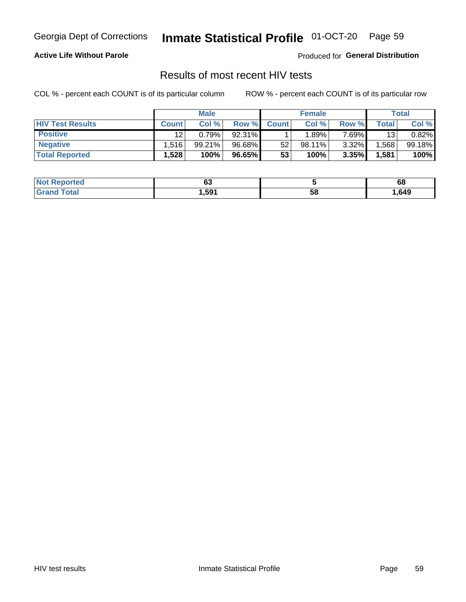#### Inmate Statistical Profile 01-OCT-20 Page 59

#### **Active Life Without Parole**

Produced for General Distribution

## Results of most recent HIV tests

COL % - percent each COUNT is of its particular column

|                         | <b>Male</b>  |        |        | <b>Female</b> |           |          | Total |        |
|-------------------------|--------------|--------|--------|---------------|-----------|----------|-------|--------|
| <b>HIV Test Results</b> | <b>Count</b> | Col %  | Row %I | <b>Count</b>  | Col %     | Row %    | Total | Col %  |
| <b>Positive</b>         | 12           | 0.79%  | 92.31% |               | .89%      | 7.69%    | 13    | 0.82%  |
| <b>Negative</b>         | .516'        | 99.21% | 96.68% | 52            | $98.11\%$ | $3.32\%$ | .568  | 99.18% |
| <b>Total Reported</b>   | .528         | 100%   | 96.65% | 53            | 100%      | 3.35%    | 1,581 | 100%   |

| <b>Not Reported</b>         | ^^<br>uj |    | 68   |
|-----------------------------|----------|----|------|
| <b>Total</b><br><b>Gran</b> | 591.ا    | 58 | ,649 |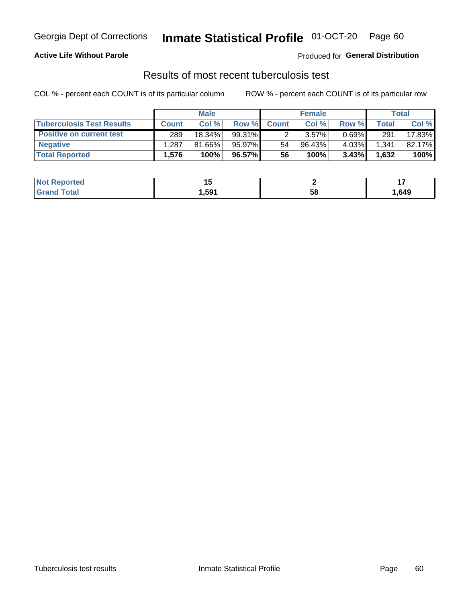## Georgia Dept of Corrections **Inmate Statistical Profile** 01-OCT-20 Page 60

#### **Active Life Without Parole**

Produced for **General Distribution**

## Results of most recent tuberculosis test

|                                  |              | <b>Male</b> |           |              | <b>Female</b> |          |       | Total  |
|----------------------------------|--------------|-------------|-----------|--------------|---------------|----------|-------|--------|
| <b>Tuberculosis Test Results</b> | <b>Count</b> | Col%        | Row %     | <b>Count</b> | Col %         | Row %    | Total | Col %  |
| <b>Positive on current test</b>  | 289          | 18.34%      | $99.31\%$ |              | 3.57%         | $0.69\%$ | 291   | 17.83% |
| <b>Negative</b>                  | .287         | 81.66%      | 95.97%    | 54           | 96.43%        | 4.03%    | 1,341 | 82.17% |
| <b>Total Reported</b>            | .576'        | 100%        | 96.57%    | 56           | 100%          | 3.43%    | 1,632 | 100%   |

| <b>Not Reported</b> |       |    |      |
|---------------------|-------|----|------|
| <b>Grand Total</b>  | 591.ا | 58 | ,649 |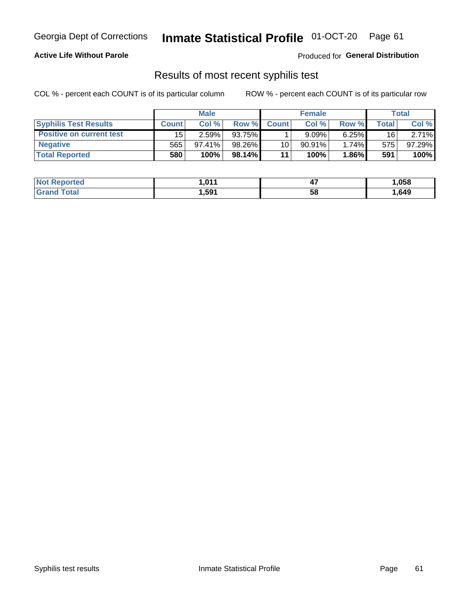## Georgia Dept of Corrections **Inmate Statistical Profile** 01-OCT-20 Page 61

#### **Active Life Without Parole**

Produced for **General Distribution**

### Results of most recent syphilis test

|                                 |              | <b>Male</b> |          |                 | <b>Female</b> |          |             | Total  |
|---------------------------------|--------------|-------------|----------|-----------------|---------------|----------|-------------|--------|
| <b>Syphilis Test Results</b>    | <b>Count</b> | Col%        | Row %    | <b>Count</b>    | Col %         | Row %I   | $\tau$ otal | Col %  |
| <b>Positive on current test</b> | 15           | 2.59%       | 93.75%   |                 | 9.09%         | $6.25\%$ | 16          | 2.71%  |
| <b>Negative</b>                 | 565          | $97.41\%$   | 98.26%   | 10 <sup>1</sup> | $90.91\%$     | 1.74%    | 575         | 97.29% |
| <b>Total Reported</b>           | 580          | 100%        | 98.14% L | 11              | 100%          | $1.86\%$ | 591         | 100%   |

| <b>Not Reported</b> | 1.011 | . .<br>−. | 1,058 |
|---------------------|-------|-----------|-------|
| <b>Grand Total</b>  | i,591 | 58        | ,649  |